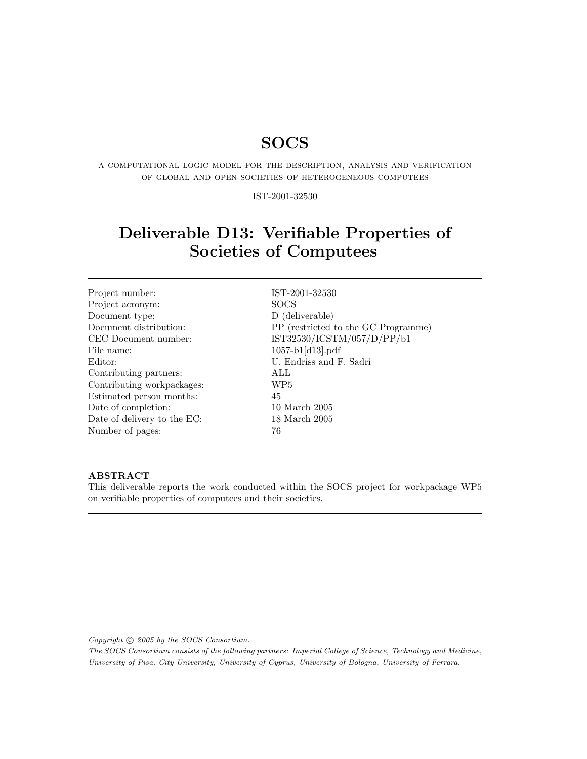# SOCS

a computational logic model for the description, analysis and verification of global and open societies of heterogeneous computees

IST-2001-32530

# Deliverable D13: Verifiable Properties of Societies of Computees

| Project number:             | $IST-2$         |
|-----------------------------|-----------------|
| Project acronym:            | SOC:            |
| Document type:              | $D(d_0$         |
| Document distribution:      | PP(             |
| CEC Document number:        | IST3            |
| File name:                  | 1057-           |
| Editor:                     | U. Ei           |
| Contributing partners:      | ALL             |
| Contributing workpackages:  | WP <sub>5</sub> |
| Estimated person months:    | 45              |
| Date of completion:         | 10 M            |
| Date of delivery to the EC: | 18 M            |
| Number of pages:            | 76              |
|                             |                 |

IST-2001-32530 SOCS D (deliverable) PP (restricted to the GC Programme) IST32530/ICSTM/057/D/PP/b1  $1057$ -b1[d13].pdf U. Endriss and F. Sadri 10 March 2005  $18$  March  $2005$ 

### ABSTRACT

This deliverable reports the work conducted within the SOCS project for workpackage WP5 on verifiable properties of computees and their societies.

Copyright  $\odot$  2005 by the SOCS Consortium.

The SOCS Consortium consists of the following partners: Imperial College of Science, Technology and Medicine, University of Pisa, City University, University of Cyprus, University of Bologna, University of Ferrara.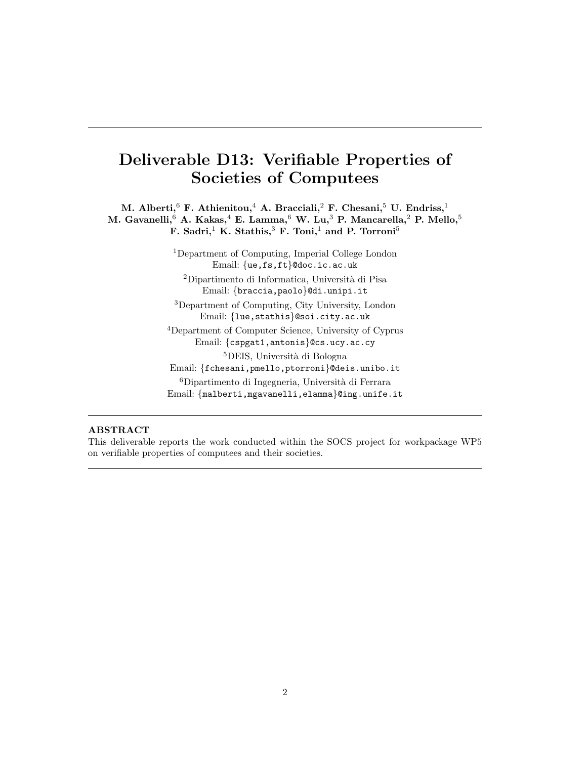# Deliverable D13: Verifiable Properties of Societies of Computees

M. Alberti,<sup>6</sup> F. Athienitou,<sup>4</sup> A. Bracciali,<sup>2</sup> F. Chesani,<sup>5</sup> U. Endriss,<sup>1</sup> M. Gavanelli,  $6$  A. Kakas,  $4$  E. Lamma,  $6$  W. Lu,  $3$  P. Mancarella,  $2$  P. Mello,  $5$ F. Sadri,<sup>1</sup> K. Stathis,<sup>3</sup> F. Toni,<sup>1</sup> and P. Torroni<sup>5</sup>

> <sup>1</sup>Department of Computing, Imperial College London Email: {ue,fs,ft}@doc.ic.ac.uk <sup>2</sup>Dipartimento di Informatica, Università di Pisa Email: {braccia,paolo}@di.unipi.it <sup>3</sup>Department of Computing, City University, London Email: {lue,stathis}@soi.city.ac.uk <sup>4</sup>Department of Computer Science, University of Cyprus Email: {cspgat1,antonis}@cs.ucy.ac.cy <sup>5</sup>DEIS, Università di Bologna Email: {fchesani,pmello,ptorroni}@deis.unibo.it

> ${}^{6}$ Dipartimento di Ingegneria, Università di Ferrara Email: {malberti,mgavanelli,elamma}@ing.unife.it

#### ABSTRACT

This deliverable reports the work conducted within the SOCS project for workpackage WP5 on verifiable properties of computees and their societies.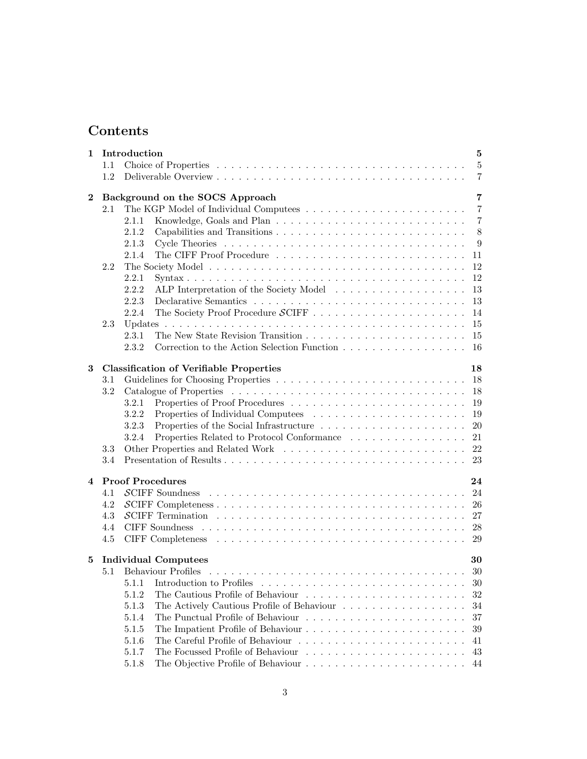# Contents

| 1              |     | Introduction<br>5                                                                                                                                          |
|----------------|-----|------------------------------------------------------------------------------------------------------------------------------------------------------------|
|                | 1.1 | $\overline{5}$                                                                                                                                             |
|                | 1.2 | $\overline{7}$                                                                                                                                             |
|                |     |                                                                                                                                                            |
| $\bf{2}$       |     | Background on the SOCS Approach<br>$\overline{7}$                                                                                                          |
|                | 2.1 | $\overline{7}$<br>$\overline{7}$<br>2.1.1                                                                                                                  |
|                |     | 8<br>2.1.2                                                                                                                                                 |
|                |     | 2.1.3<br>9                                                                                                                                                 |
|                |     | 2.1.4<br>11                                                                                                                                                |
|                | 2.2 | 12                                                                                                                                                         |
|                |     | 2.2.1<br>12                                                                                                                                                |
|                |     | 2.2.2<br>13                                                                                                                                                |
|                |     | 2.2.3<br>13                                                                                                                                                |
|                |     | 2.2.4<br>14                                                                                                                                                |
|                | 2.3 | 15                                                                                                                                                         |
|                |     | 2.3.1<br>15                                                                                                                                                |
|                |     | 2.3.2<br>16                                                                                                                                                |
|                |     |                                                                                                                                                            |
| 3              |     | <b>Classification of Verifiable Properties</b><br>18                                                                                                       |
|                | 3.1 | 18                                                                                                                                                         |
|                | 3.2 | 18                                                                                                                                                         |
|                |     | 3.2.1<br>19                                                                                                                                                |
|                |     | 3.2.2<br>19                                                                                                                                                |
|                |     | Properties of the Social Infrastructure $\;\ldots\; \ldots\; \ldots\; \ldots\; \ldots\; \ldots\; \ldots\; \ldots\;$<br>20<br>3.2.3                         |
|                |     | Properties Related to Protocol Conformance<br>21<br>3.2.4                                                                                                  |
|                | 3.3 | 22                                                                                                                                                         |
|                | 3.4 | 23                                                                                                                                                         |
|                |     |                                                                                                                                                            |
| $\overline{4}$ |     | <b>Proof Procedures</b><br>24                                                                                                                              |
|                | 4.1 | 24<br>$\mathcal{S}$ CIFF Soundness<br>.<br>The contract of the contract of the contract of the contract of the contract of the contract of the contract of |
|                | 4.2 | 26                                                                                                                                                         |
|                | 4.3 | $\mathcal{S}$ CIFF Termination $\ldots \ldots \ldots \ldots \ldots \ldots \ldots \ldots \ldots \ldots \ldots$<br>27                                        |
|                | 4.4 | 28                                                                                                                                                         |
|                | 4.5 | 29                                                                                                                                                         |
| 5              |     | <b>Individual Computees</b><br>30                                                                                                                          |
|                | 5.1 | 30                                                                                                                                                         |
|                |     | 5.1.1<br>Introduction to Profiles<br>30                                                                                                                    |
|                |     | 32<br>5.1.2                                                                                                                                                |
|                |     | 5.1.3<br>The Actively Cautious Profile of Behaviour<br>34                                                                                                  |
|                |     | 5.1.4<br>37                                                                                                                                                |
|                |     | 39<br>5.1.5                                                                                                                                                |
|                |     | 5.1.6<br>41                                                                                                                                                |
|                |     | 5.1.7<br>43                                                                                                                                                |
|                |     | 5.1.8<br>44                                                                                                                                                |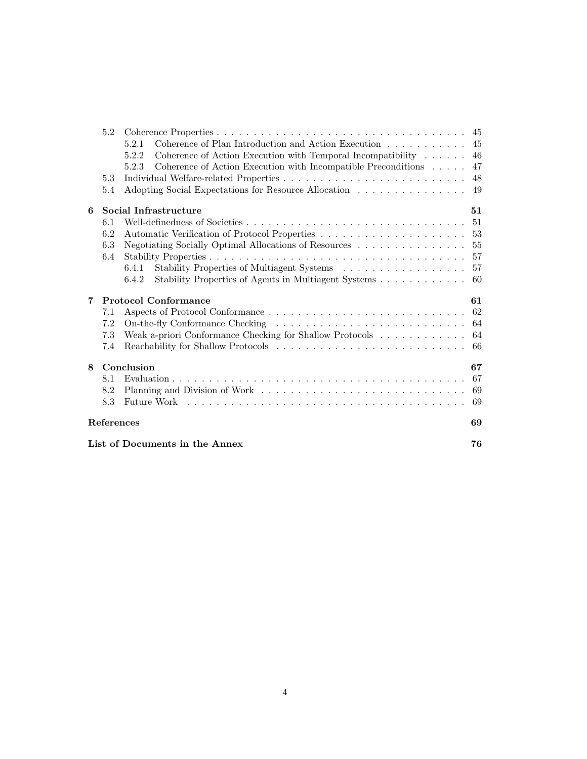|   | 5.2                                  |                                                                                      |     |
|---|--------------------------------------|--------------------------------------------------------------------------------------|-----|
|   |                                      | 5.2.1                                                                                | 45  |
|   |                                      | Coherence of Action Execution with Temporal Incompatibility $\ldots \ldots$<br>5.2.2 | 46  |
|   |                                      | 5.2.3<br>Coherence of Action Execution with Incompatible Preconditions               | 47  |
|   | 5.3                                  |                                                                                      | 48  |
|   | 5.4                                  | Adopting Social Expectations for Resource Allocation                                 | 49  |
| 6 |                                      | Social Infrastructure                                                                | 51  |
|   | 6.1                                  |                                                                                      | 51  |
|   | 6.2                                  |                                                                                      |     |
|   | 6.3                                  | Negotiating Socially Optimal Allocations of Resources                                | 55  |
|   | 6.4                                  |                                                                                      |     |
|   |                                      | Stability Properties of Multiagent Systems 57<br>6.4.1                               |     |
|   |                                      | Stability Properties of Agents in Multiagent Systems 60<br>6.4.2                     |     |
| 7 |                                      | <b>Protocol Conformance</b>                                                          | 61  |
|   | 7.1                                  |                                                                                      | 62  |
|   | 7.2                                  |                                                                                      |     |
|   | 7.3                                  | Weak a-priori Conformance Checking for Shallow Protocols                             | 64  |
|   | 7.4                                  |                                                                                      | -66 |
| 8 |                                      | Conclusion                                                                           | 67  |
|   | 8.1                                  |                                                                                      | 67  |
|   | 8.2                                  |                                                                                      | 69  |
|   | 8.3                                  |                                                                                      | 69  |
|   | ${\rm References}$                   |                                                                                      | 69  |
|   | List of Documents in the Annex<br>76 |                                                                                      |     |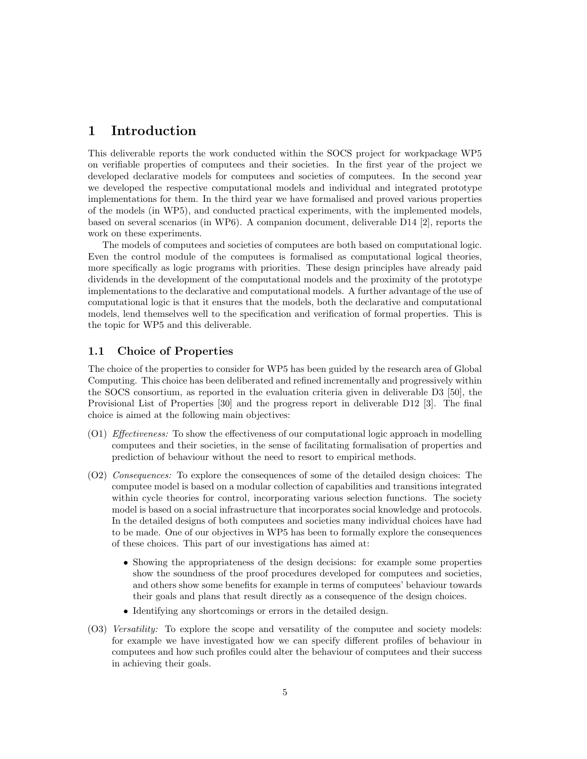# 1 Introduction

This deliverable reports the work conducted within the SOCS project for workpackage WP5 on verifiable properties of computees and their societies. In the first year of the project we developed declarative models for computees and societies of computees. In the second year we developed the respective computational models and individual and integrated prototype implementations for them. In the third year we have formalised and proved various properties of the models (in WP5), and conducted practical experiments, with the implemented models, based on several scenarios (in WP6). A companion document, deliverable D14 [2], reports the work on these experiments.

The models of computees and societies of computees are both based on computational logic. Even the control module of the computees is formalised as computational logical theories, more specifically as logic programs with priorities. These design principles have already paid dividends in the development of the computational models and the proximity of the prototype implementations to the declarative and computational models. A further advantage of the use of computational logic is that it ensures that the models, both the declarative and computational models, lend themselves well to the specification and verification of formal properties. This is the topic for WP5 and this deliverable.

# 1.1 Choice of Properties

The choice of the properties to consider for WP5 has been guided by the research area of Global Computing. This choice has been deliberated and refined incrementally and progressively within the SOCS consortium, as reported in the evaluation criteria given in deliverable D3 [50], the Provisional List of Properties [30] and the progress report in deliverable D12 [3]. The final choice is aimed at the following main objectives:

- (O1) Effectiveness: To show the effectiveness of our computational logic approach in modelling computees and their societies, in the sense of facilitating formalisation of properties and prediction of behaviour without the need to resort to empirical methods.
- (O2) Consequences: To explore the consequences of some of the detailed design choices: The computee model is based on a modular collection of capabilities and transitions integrated within cycle theories for control, incorporating various selection functions. The society model is based on a social infrastructure that incorporates social knowledge and protocols. In the detailed designs of both computees and societies many individual choices have had to be made. One of our objectives in WP5 has been to formally explore the consequences of these choices. This part of our investigations has aimed at:
	- Showing the appropriateness of the design decisions: for example some properties show the soundness of the proof procedures developed for computees and societies, and others show some benefits for example in terms of computees' behaviour towards their goals and plans that result directly as a consequence of the design choices.
	- Identifying any shortcomings or errors in the detailed design.
- (O3) Versatility: To explore the scope and versatility of the computee and society models: for example we have investigated how we can specify different profiles of behaviour in computees and how such profiles could alter the behaviour of computees and their success in achieving their goals.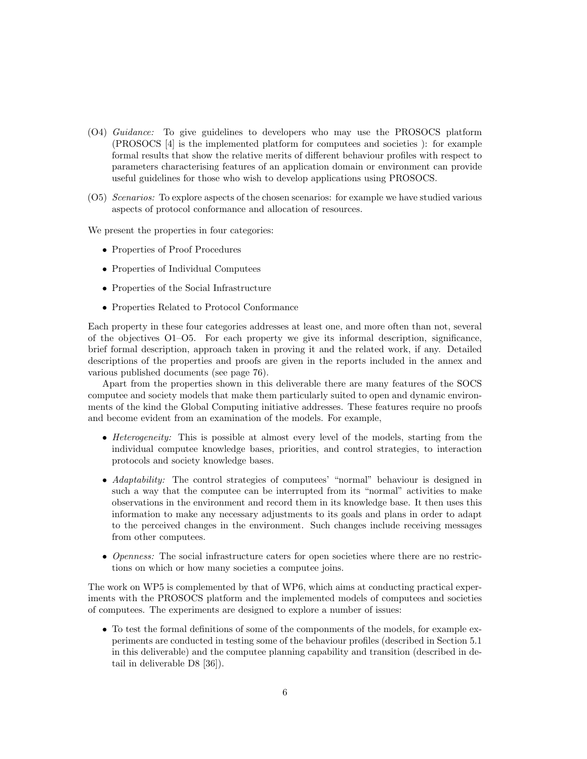- (O4) Guidance: To give guidelines to developers who may use the PROSOCS platform (PROSOCS [4] is the implemented platform for computees and societies ): for example formal results that show the relative merits of different behaviour profiles with respect to parameters characterising features of an application domain or environment can provide useful guidelines for those who wish to develop applications using PROSOCS.
- (O5) Scenarios: To explore aspects of the chosen scenarios: for example we have studied various aspects of protocol conformance and allocation of resources.

We present the properties in four categories:

- Properties of Proof Procedures
- Properties of Individual Computees
- Properties of the Social Infrastructure
- Properties Related to Protocol Conformance

Each property in these four categories addresses at least one, and more often than not, several of the objectives O1–O5. For each property we give its informal description, significance, brief formal description, approach taken in proving it and the related work, if any. Detailed descriptions of the properties and proofs are given in the reports included in the annex and various published documents (see page 76).

Apart from the properties shown in this deliverable there are many features of the SOCS computee and society models that make them particularly suited to open and dynamic environments of the kind the Global Computing initiative addresses. These features require no proofs and become evident from an examination of the models. For example,

- Heterogeneity: This is possible at almost every level of the models, starting from the individual computee knowledge bases, priorities, and control strategies, to interaction protocols and society knowledge bases.
- Adaptability: The control strategies of computees' "normal" behaviour is designed in such a way that the computee can be interrupted from its "normal" activities to make observations in the environment and record them in its knowledge base. It then uses this information to make any necessary adjustments to its goals and plans in order to adapt to the perceived changes in the environment. Such changes include receiving messages from other computees.
- Openness: The social infrastructure caters for open societies where there are no restrictions on which or how many societies a computee joins.

The work on WP5 is complemented by that of WP6, which aims at conducting practical experiments with the PROSOCS platform and the implemented models of computees and societies of computees. The experiments are designed to explore a number of issues:

• To test the formal definitions of some of the componments of the models, for example experiments are conducted in testing some of the behaviour profiles (described in Section 5.1 in this deliverable) and the computee planning capability and transition (described in detail in deliverable D8 [36]).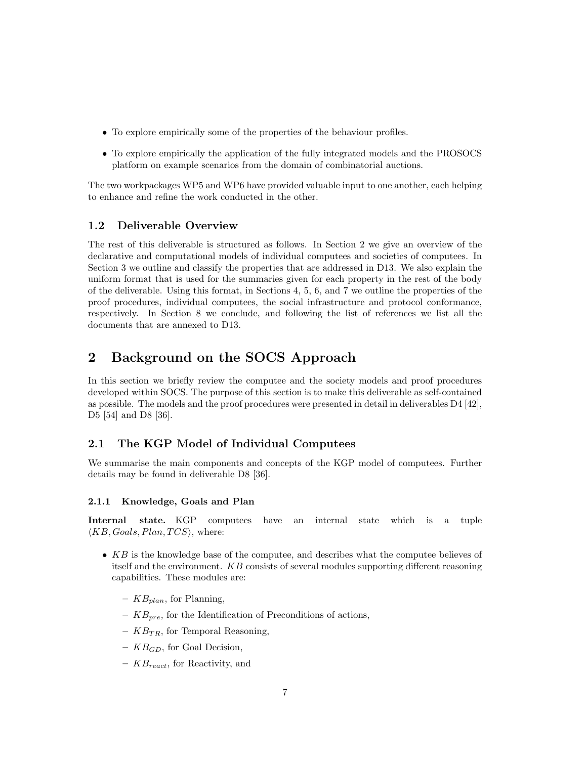- To explore empirically some of the properties of the behaviour profiles.
- To explore empirically the application of the fully integrated models and the PROSOCS platform on example scenarios from the domain of combinatorial auctions.

The two workpackages WP5 and WP6 have provided valuable input to one another, each helping to enhance and refine the work conducted in the other.

## 1.2 Deliverable Overview

The rest of this deliverable is structured as follows. In Section 2 we give an overview of the declarative and computational models of individual computees and societies of computees. In Section 3 we outline and classify the properties that are addressed in D13. We also explain the uniform format that is used for the summaries given for each property in the rest of the body of the deliverable. Using this format, in Sections 4, 5, 6, and 7 we outline the properties of the proof procedures, individual computees, the social infrastructure and protocol conformance, respectively. In Section 8 we conclude, and following the list of references we list all the documents that are annexed to D13.

# 2 Background on the SOCS Approach

In this section we briefly review the computee and the society models and proof procedures developed within SOCS. The purpose of this section is to make this deliverable as self-contained as possible. The models and the proof procedures were presented in detail in deliverables D4 [42], D5 [54] and D8 [36].

# 2.1 The KGP Model of Individual Computees

We summarise the main components and concepts of the KGP model of computees. Further details may be found in deliverable D8 [36].

#### 2.1.1 Knowledge, Goals and Plan

Internal state. KGP computees have an internal state which is a tuple  $\langle KB, Goals, Plan, TCS \rangle$ , where:

- $KB$  is the knowledge base of the computee, and describes what the computee believes of itself and the environment. KB consists of several modules supporting different reasoning capabilities. These modules are:
	- $KB_{plan}$ , for Planning,
	- $KB_{pre}$ , for the Identification of Preconditions of actions,
	- $KB_{TR}$ , for Temporal Reasoning.
	- $KB_{GD}$ , for Goal Decision,
	- $KB_{react}$ , for Reactivity, and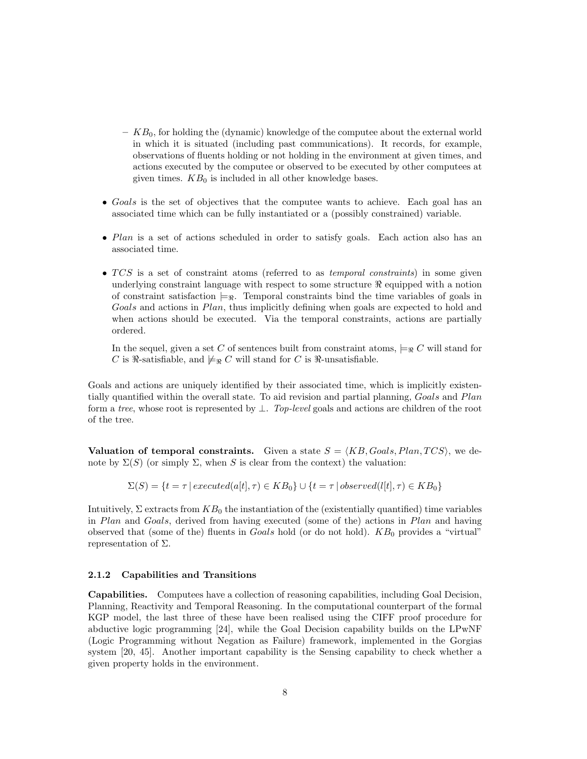- $KB<sub>0</sub>$ , for holding the (dynamic) knowledge of the computee about the external world in which it is situated (including past communications). It records, for example, observations of fluents holding or not holding in the environment at given times, and actions executed by the computee or observed to be executed by other computees at given times.  $KB<sub>0</sub>$  is included in all other knowledge bases.
- Goals is the set of objectives that the computee wants to achieve. Each goal has an associated time which can be fully instantiated or a (possibly constrained) variable.
- Plan is a set of actions scheduled in order to satisfy goals. Each action also has an associated time.
- $TCS$  is a set of constraint atoms (referred to as *temporal constraints*) in some given underlying constraint language with respect to some structure  $\Re$  equipped with a notion of constraint satisfaction  $\models_{\Re}$ . Temporal constraints bind the time variables of goals in Goals and actions in Plan, thus implicitly defining when goals are expected to hold and when actions should be executed. Via the temporal constraints, actions are partially ordered.

In the sequel, given a set C of sentences built from constraint atoms,  $\models_R C$  will stand for C is  $\Re$ -satisfiable, and  $\models_{\Re} C$  will stand for C is  $\Re$ -unsatisfiable.

Goals and actions are uniquely identified by their associated time, which is implicitly existentially quantified within the overall state. To aid revision and partial planning, Goals and Plan form a tree, whose root is represented by  $\perp$ . Top-level goals and actions are children of the root of the tree.

Valuation of temporal constraints. Given a state  $S = \langle KB, Goals, Plan, TCS \rangle$ , we denote by  $\Sigma(S)$  (or simply  $\Sigma$ , when S is clear from the context) the valuation:

 $\Sigma(S) = \{t = \tau \mid executed(a[t], \tau) \in KB_0\} \cup \{t = \tau \mid observed(l[t], \tau) \in KB_0\}$ 

Intuitively,  $\Sigma$  extracts from  $KB_0$  the instantiation of the (existentially quantified) time variables in Plan and Goals, derived from having executed (some of the) actions in Plan and having observed that (some of the) fluents in  $Goals$  hold (or do not hold).  $KB<sub>0</sub>$  provides a "virtual" representation of  $\Sigma$ .

#### 2.1.2 Capabilities and Transitions

Capabilities. Computees have a collection of reasoning capabilities, including Goal Decision, Planning, Reactivity and Temporal Reasoning. In the computational counterpart of the formal KGP model, the last three of these have been realised using the CIFF proof procedure for abductive logic programming [24], while the Goal Decision capability builds on the LPwNF (Logic Programming without Negation as Failure) framework, implemented in the Gorgias system [20, 45]. Another important capability is the Sensing capability to check whether a given property holds in the environment.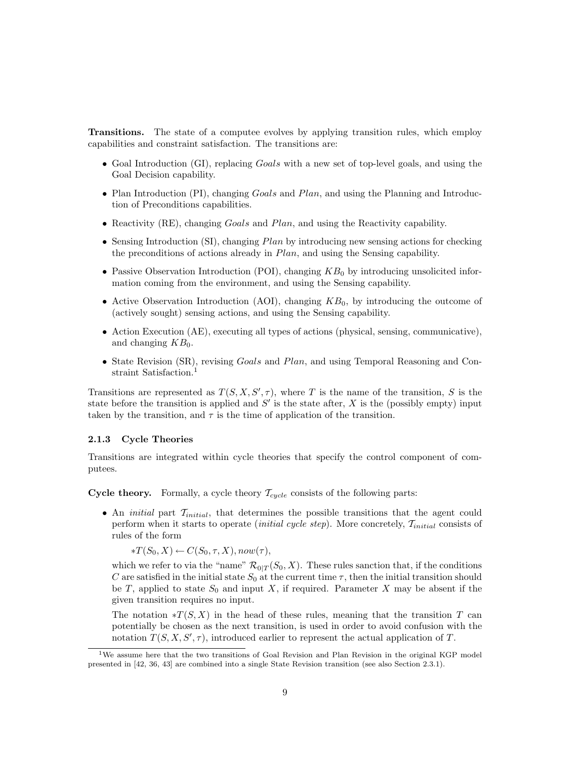Transitions. The state of a computee evolves by applying transition rules, which employ capabilities and constraint satisfaction. The transitions are:

- Goal Introduction (GI), replacing *Goals* with a new set of top-level goals, and using the Goal Decision capability.
- Plan Introduction (PI), changing Goals and Plan, and using the Planning and Introduction of Preconditions capabilities.
- Reactivity (RE), changing *Goals* and *Plan*, and using the Reactivity capability.
- Sensing Introduction (SI), changing *Plan* by introducing new sensing actions for checking the preconditions of actions already in Plan, and using the Sensing capability.
- Passive Observation Introduction (POI), changing  $KB<sub>0</sub>$  by introducing unsolicited information coming from the environment, and using the Sensing capability.
- Active Observation Introduction (AOI), changing  $KB<sub>0</sub>$ , by introducing the outcome of (actively sought) sensing actions, and using the Sensing capability.
- Action Execution (AE), executing all types of actions (physical, sensing, communicative), and changing  $KB<sub>0</sub>$ .
- State Revision (SR), revising *Goals* and *Plan*, and using Temporal Reasoning and Constraint Satisfaction.<sup>1</sup>

Transitions are represented as  $T(S, X, S', \tau)$ , where T is the name of the transition, S is the state before the transition is applied and  $S'$  is the state after, X is the (possibly empty) input taken by the transition, and  $\tau$  is the time of application of the transition.

#### 2.1.3 Cycle Theories

Transitions are integrated within cycle theories that specify the control component of computees.

**Cycle theory.** Formally, a cycle theory  $\mathcal{T}_{cycle}$  consists of the following parts:

• An *initial* part  $\mathcal{T}_{initial}$ , that determines the possible transitions that the agent could perform when it starts to operate *(initial cycle step)*. More concretely,  $\mathcal{T}_{initial}$  consists of rules of the form

 $*T(S_0, X) \leftarrow C(S_0, \tau, X), now(\tau),$ 

which we refer to via the "name"  $\mathcal{R}_{0|T}(S_0, X)$ . These rules sanction that, if the conditions C are satisfied in the initial state  $S_0$  at the current time  $\tau$ , then the initial transition should be T, applied to state  $S_0$  and input X, if required. Parameter X may be absent if the given transition requires no input.

The notation  $\mathscr{F}(S, X)$  in the head of these rules, meaning that the transition T can potentially be chosen as the next transition, is used in order to avoid confusion with the notation  $T(S, X, S', \tau)$ , introduced earlier to represent the actual application of T.

<sup>&</sup>lt;sup>1</sup>We assume here that the two transitions of Goal Revision and Plan Revision in the original KGP model presented in [42, 36, 43] are combined into a single State Revision transition (see also Section 2.3.1).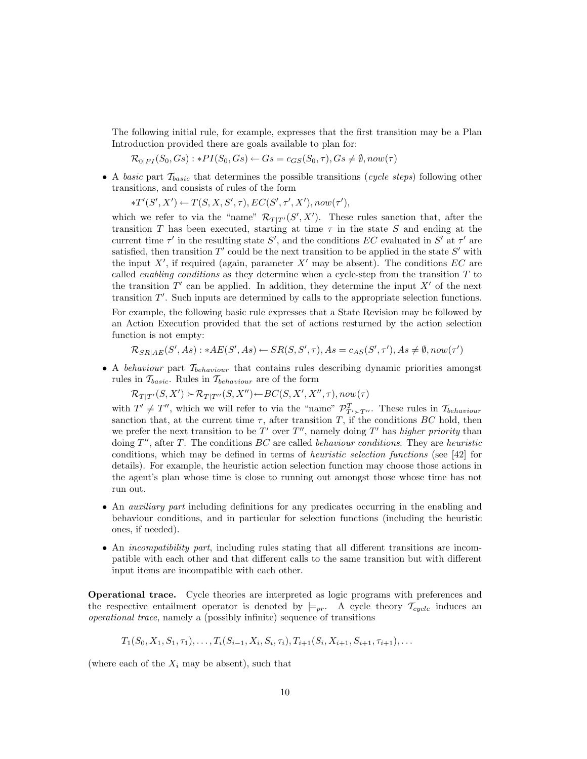The following initial rule, for example, expresses that the first transition may be a Plan Introduction provided there are goals available to plan for:

 $\mathcal{R}_{0|PI}(S_0, Gs): *PI(S_0, Gs) \leftarrow Gs = c_{GS}(S_0, \tau), Gs \neq \emptyset, now(\tau)$ 

• A basic part  $\mathcal{T}_{basic}$  that determines the possible transitions (cycle steps) following other transitions, and consists of rules of the form

 $*T'(S', X') \leftarrow T(S, X, S', \tau), EC(S', \tau', X'), now(\tau'),$ 

which we refer to via the "name"  $\mathcal{R}_{T|T'}(S', X')$ . These rules sanction that, after the transition T has been executed, starting at time  $\tau$  in the state S and ending at the current time  $\tau'$  in the resulting state S', and the conditions EC evaluated in S' at  $\tau'$  are satisfied, then transition  $T'$  could be the next transition to be applied in the state  $S'$  with the input  $X'$ , if required (again, parameter  $X'$  may be absent). The conditions  $EC$  are called *enabling conditions* as they determine when a cycle-step from the transition  $T$  to the transition  $T'$  can be applied. In addition, they determine the input  $X'$  of the next transition  $T'$ . Such inputs are determined by calls to the appropriate selection functions.

For example, the following basic rule expresses that a State Revision may be followed by an Action Execution provided that the set of actions resturned by the action selection function is not empty:

 $\mathcal{R}_{SR|AE}(S', As) : *AE(S', As) \leftarrow SR(S, S', \tau), As = c_{AS}(S', \tau'), As \neq \emptyset, now(\tau')$ 

• A behaviour part  $\mathcal{T}_{behavior}$  that contains rules describing dynamic priorities amongst rules in  $\mathcal{T}_{basic}$ . Rules in  $\mathcal{T}_{behavior}$  are of the form

 $\mathcal{R}_{T|T'}(S, X') \succ \mathcal{R}_{T|T''}(S, X'') \leftarrow BC(S, X', X'', \tau), now(\tau)$ 

with  $T' \neq T''$ , which we will refer to via the "name"  $\mathcal{P}_{T' \succ T''}^T$ . These rules in  $\mathcal{T}_{behavior}$ sanction that, at the current time  $\tau$ , after transition T, if the conditions BC hold, then we prefer the next transition to be  $T'$  over  $T''$ , namely doing  $T'$  has higher priority than doing  $T''$ , after T. The conditions  $BC$  are called behaviour conditions. They are heuristic conditions, which may be defined in terms of heuristic selection functions (see [42] for details). For example, the heuristic action selection function may choose those actions in the agent's plan whose time is close to running out amongst those whose time has not run out.

- An auxiliary part including definitions for any predicates occurring in the enabling and behaviour conditions, and in particular for selection functions (including the heuristic ones, if needed).
- An *incompatibility part*, including rules stating that all different transitions are incompatible with each other and that different calls to the same transition but with different input items are incompatible with each other.

Operational trace. Cycle theories are interpreted as logic programs with preferences and the respective entailment operator is denoted by  $\models_{pr}$ . A cycle theory  $\mathcal{T}_{cycle}$  induces an operational trace, namely a (possibly infinite) sequence of transitions

$$
T_1(S_0, X_1, S_1, \tau_1), \ldots, T_i(S_{i-1}, X_i, S_i, \tau_i), T_{i+1}(S_i, X_{i+1}, S_{i+1}, \tau_{i+1}), \ldots
$$

(where each of the  $X_i$  may be absent), such that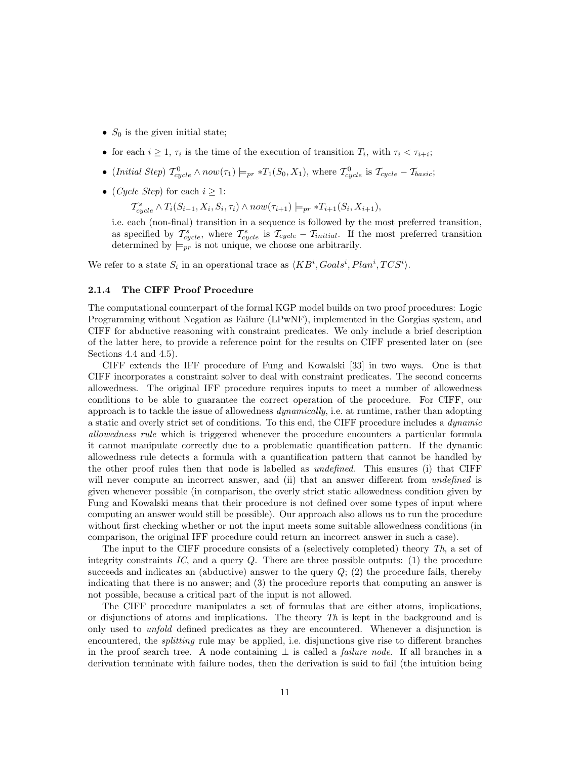- $S_0$  is the given initial state;
- for each  $i \geq 1$ ,  $\tau_i$  is the time of the execution of transition  $T_i$ , with  $\tau_i < \tau_{i+i}$ ;
- (Initial Step)  $T_{cycle}^0 \wedge now(\tau_1) \models_{pr} *T_1(S_0, X_1)$ , where  $T_{cycle}^0$  is  $T_{cycle} T_{basic};$
- (*Cycle Step*) for each  $i > 1$ :

 $\mathcal{T}^s_{cycle} \wedge T_i(S_{i-1}, X_i, S_i, \tau_i) \wedge now(\tau_{i+1}) \models_{pr} *T_{i+1}(S_i, X_{i+1}),$ 

i.e. each (non-final) transition in a sequence is followed by the most preferred transition, as specified by  $\mathcal{T}^s_{cycle}$ , where  $\mathcal{T}^s_{cycle}$  is  $\mathcal{T}_{cycle} - \mathcal{T}_{initial}$ . If the most preferred transition determined by  $\models_{pr}$  is not unique, we choose one arbitrarily.

We refer to a state  $S_i$  in an operational trace as  $\langle KB^i, Goals^i, Plan^i, TCS^i \rangle$ .

#### 2.1.4 The CIFF Proof Procedure

The computational counterpart of the formal KGP model builds on two proof procedures: Logic Programming without Negation as Failure (LPwNF), implemented in the Gorgias system, and CIFF for abductive reasoning with constraint predicates. We only include a brief description of the latter here, to provide a reference point for the results on CIFF presented later on (see Sections 4.4 and 4.5).

CIFF extends the IFF procedure of Fung and Kowalski [33] in two ways. One is that CIFF incorporates a constraint solver to deal with constraint predicates. The second concerns allowedness. The original IFF procedure requires inputs to meet a number of allowedness conditions to be able to guarantee the correct operation of the procedure. For CIFF, our approach is to tackle the issue of allowedness dynamically, i.e. at runtime, rather than adopting a static and overly strict set of conditions. To this end, the CIFF procedure includes a dynamic allowedness rule which is triggered whenever the procedure encounters a particular formula it cannot manipulate correctly due to a problematic quantification pattern. If the dynamic allowedness rule detects a formula with a quantification pattern that cannot be handled by the other proof rules then that node is labelled as undefined. This ensures (i) that CIFF will never compute an incorrect answer, and (ii) that an answer different from *undefined* is given whenever possible (in comparison, the overly strict static allowedness condition given by Fung and Kowalski means that their procedure is not defined over some types of input where computing an answer would still be possible). Our approach also allows us to run the procedure without first checking whether or not the input meets some suitable allowedness conditions (in comparison, the original IFF procedure could return an incorrect answer in such a case).

The input to the CIFF procedure consists of a (selectively completed) theory Th, a set of integrity constraints IC, and a query  $Q$ . There are three possible outputs: (1) the procedure succeeds and indicates an (abductive) answer to the query  $Q$ ; (2) the procedure fails, thereby indicating that there is no answer; and (3) the procedure reports that computing an answer is not possible, because a critical part of the input is not allowed.

The CIFF procedure manipulates a set of formulas that are either atoms, implications, or disjunctions of atoms and implications. The theory  $Th$  is kept in the background and is only used to *unfold* defined predicates as they are encountered. Whenever a disjunction is encountered, the *splitting* rule may be applied, i.e. disjunctions give rise to different branches in the proof search tree. A node containing  $\perp$  is called a *failure node*. If all branches in a derivation terminate with failure nodes, then the derivation is said to fail (the intuition being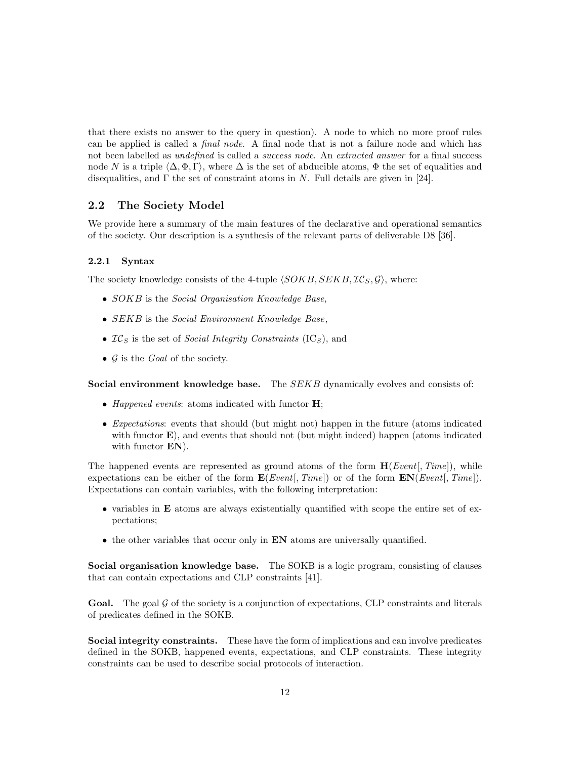that there exists no answer to the query in question). A node to which no more proof rules can be applied is called a final node. A final node that is not a failure node and which has not been labelled as *undefined* is called a *success node*. An *extracted answer* for a final success node N is a triple  $\langle \Delta, \Phi, \Gamma \rangle$ , where  $\Delta$  is the set of abducible atoms,  $\Phi$  the set of equalities and disequalities, and  $\Gamma$  the set of constraint atoms in N. Full details are given in [24].

## 2.2 The Society Model

We provide here a summary of the main features of the declarative and operational semantics of the society. Our description is a synthesis of the relevant parts of deliverable D8 [36].

#### 2.2.1 Syntax

The society knowledge consists of the 4-tuple  $\langle SOKB, SEKB, \mathcal{IC}_S, \mathcal{G} \rangle$ , where:

- SOKB is the Social Organisation Knowledge Base,
- SEKB is the Social Environment Knowledge Base,
- $IC_S$  is the set of *Social Integrity Constraints* (IC<sub>S</sub>), and
- $\mathcal G$  is the *Goal* of the society.

Social environment knowledge base. The SEKB dynamically evolves and consists of:

- Happened events: atoms indicated with functor  $H$ ;
- Expectations: events that should (but might not) happen in the future (atoms indicated with functor **E**), and events that should not (but might indeed) happen (atoms indicated with functor **EN**).

The happened events are represented as ground atoms of the form  $H(Event, Time)$ , while expectations can be either of the form  $\mathbf{E}(Event[, Time])$  or of the form  $\mathbf{EN}(Event[, Time]).$ Expectations can contain variables, with the following interpretation:

- variables in E atoms are always existentially quantified with scope the entire set of expectations;
- the other variables that occur only in EN atoms are universally quantified.

Social organisation knowledge base. The SOKB is a logic program, consisting of clauses that can contain expectations and CLP constraints [41].

**Goal.** The goal  $\mathcal{G}$  of the society is a conjunction of expectations, CLP constraints and literals of predicates defined in the SOKB.

Social integrity constraints. These have the form of implications and can involve predicates defined in the SOKB, happened events, expectations, and CLP constraints. These integrity constraints can be used to describe social protocols of interaction.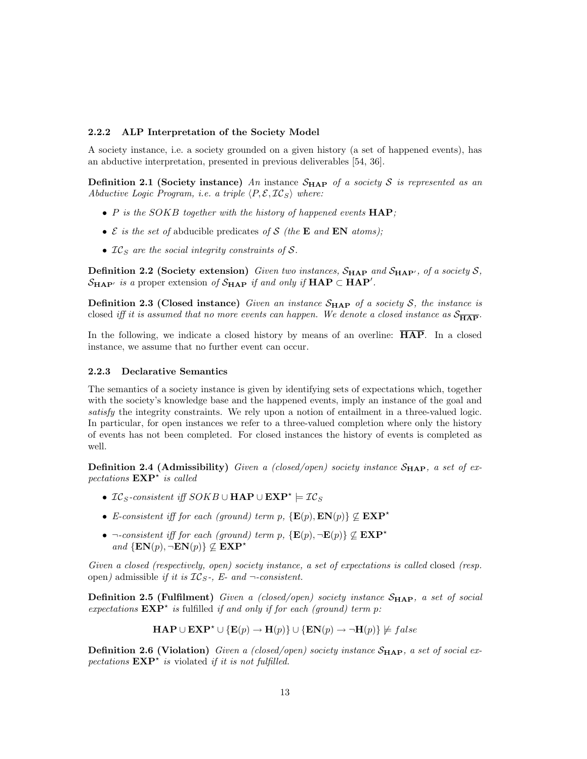#### 2.2.2 ALP Interpretation of the Society Model

A society instance, i.e. a society grounded on a given history (a set of happened events), has an abductive interpretation, presented in previous deliverables [54, 36].

**Definition 2.1 (Society instance)** An instance  $S_{\text{HAP}}$  of a society S is represented as an Abductive Logic Program, i.e. a triple  $\langle P, \mathcal{E}, \mathcal{IC}_S \rangle$  where:

- P is the SOKB together with the history of happened events  $\text{HAP}$ ;
- $\mathcal E$  is the set of abducible predicates of S (the **E** and **EN** atoms);
- $IC<sub>S</sub>$  are the social integrity constraints of S.

**Definition 2.2 (Society extension)** Given two instances,  $S_{\text{HAP}}$  and  $S_{\text{HAP}}$ , of a society S,  $\mathcal{S}_{\mathbf{HAP'}}$  is a proper extension of  $\mathcal{S}_{\mathbf{HAP}}$  if and only if  $\mathbf{HAP} \subset \mathbf{HAP'}$ .

**Definition 2.3 (Closed instance)** Given an instance  $S_{\text{HAP}}$  of a society S, the instance is closed iff it is assumed that no more events can happen. We denote a closed instance as  $S_{\overline{HAP}}$ .

In the following, we indicate a closed history by means of an overline: HAP. In a closed instance, we assume that no further event can occur.

#### 2.2.3 Declarative Semantics

The semantics of a society instance is given by identifying sets of expectations which, together with the society's knowledge base and the happened events, imply an instance of the goal and satisfy the integrity constraints. We rely upon a notion of entailment in a three-valued logic. In particular, for open instances we refer to a three-valued completion where only the history of events has not been completed. For closed instances the history of events is completed as well.

**Definition 2.4 (Admissibility)** Given a (closed/open) society instance  $S_{\text{HAP}}$ , a set of expectations  $\mathbf{EXP}^{\star}$  is called

- IC<sub>S</sub>-consistent iff  $SOKB \cup \textbf{HAP} \cup \textbf{EXP}^* \models \mathcal{IC}_S$
- E-consistent iff for each (ground) term p,  $\{E(p), E N(p)\} \not\subseteq EXP^*$
- ¬-consistent iff for each (ground) term p,  $\{E(p), \neg E(p)\} \not\subseteq EXP^*$ and  $\{EN(p), \neg EN(p)\}\nsubseteq EXP^*$

Given a closed (respectively, open) society instance, a set of expectations is called closed (resp. open) admissible if it is  $IC_{S}$ -, E- and  $\neg$ -consistent.

**Definition 2.5 (Fulfilment)** Given a (closed/open) society instance  $S_{\text{HAP}}$ , a set of social expectations  $\mathbf{EXP}^*$  is fulfilled if and only if for each (ground) term p:

$$
\mathbf{HAP} \cup \mathbf{EXP}^{\star} \cup \{\mathbf{E}(p) \to \mathbf{H}(p)\} \cup \{\mathbf{EN}(p) \to \neg \mathbf{H}(p)\} \not\models false
$$

**Definition 2.6 (Violation)** Given a (closed/open) society instance  $S_{\text{HAP}}$ , a set of social expectations  $\mathbf{EXP}^{\star}$  is violated if it is not fulfilled.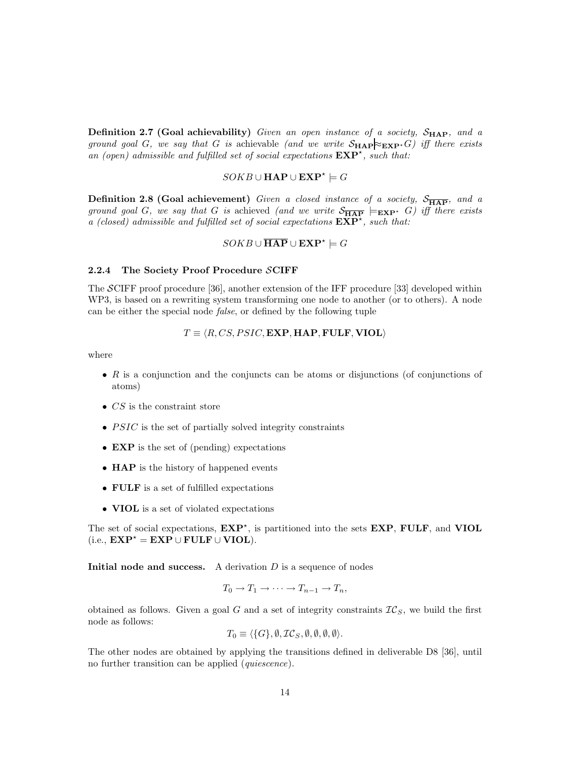**Definition 2.7 (Goal achievability)** Given an open instance of a society,  $S_{\text{HAP}}$ , and a ground goal G, we say that G is achievable (and we write  $S_{\text{HAP}}\gtrsim_{\text{EXP}} G$ ) iff there exists an (open) admissible and fulfilled set of social expectations  $\mathbf{EXP}^{\star}$ , such that:

# $\textit{SOKB} \cup \textbf{HAP} \cup \textbf{EXP}^* \models G$

**Definition 2.8 (Goal achievement)** Given a closed instance of a society,  $S_{\overline{HAP}}$ , and a ground goal G, we say that G is achieved (and we write  $S_{\overline{HAP}} \models_{\mathbf{EXP}^*} G$ ) iff there exists a (closed) admissible and fulfilled set of social expectations  $\widetilde{\operatorname{EXP}}^{\star}$ , such that:

# $\overline{SOKB} \cup \overline{\bf HAP} \cup \mathbf{EXP}^{\star} \models G$

#### 2.2.4 The Society Proof Procedure SCIFF

The SCIFF proof procedure [36], another extension of the IFF procedure [33] developed within WP3, is based on a rewriting system transforming one node to another (or to others). A node can be either the special node false, or defined by the following tuple

$$
T \equiv \langle R, CS, PSIC, \mathbf{EXP}, \mathbf{HAP}, \mathbf{FULE}, \mathbf{VIDL} \rangle
$$

where

- $R$  is a conjunction and the conjuncts can be atoms or disjunctions (of conjunctions of atoms)
- $CS$  is the constraint store
- $PSIC$  is the set of partially solved integrity constraints
- **EXP** is the set of (pending) expectations
- **HAP** is the history of happened events
- FULF is a set of fulfilled expectations
- VIOL is a set of violated expectations

The set of social expectations,  $EXP^*$ , is partitioned into the sets  $EXP$ ,  $FULER$ , and  $VIDL$ (i.e.,  $\mathbf{EXP}^* = \mathbf{EXP} \cup \mathbf{FULF} \cup \mathbf{VIDL}$ ).

**Initial node and success.** A derivation  $D$  is a sequence of nodes

$$
T_0 \to T_1 \to \cdots \to T_{n-1} \to T_n,
$$

obtained as follows. Given a goal G and a set of integrity constraints  $TC_S$ , we build the first node as follows:

$$
T_0 \equiv \langle \{G\}, \emptyset, \mathcal{IC}_S, \emptyset, \emptyset, \emptyset, \emptyset \rangle.
$$

The other nodes are obtained by applying the transitions defined in deliverable D8 [36], until no further transition can be applied (quiescence).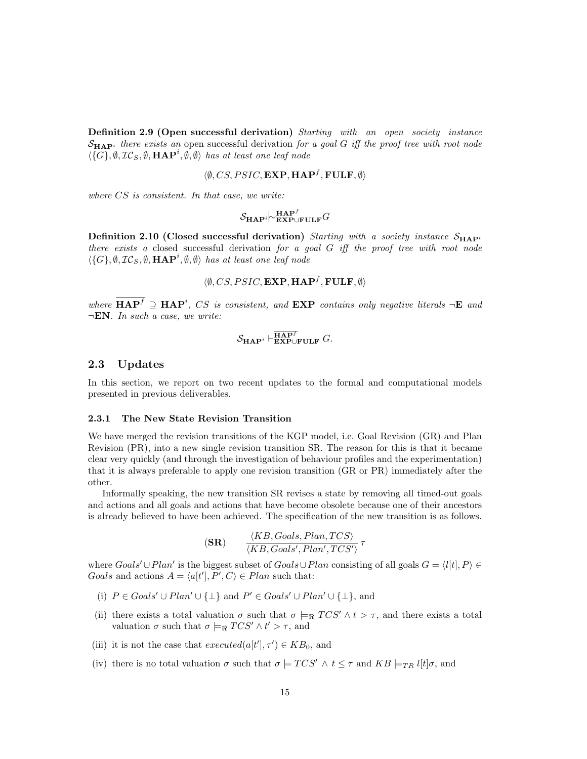**Definition 2.9 (Open successful derivation)** Starting with an open society instance  $\mathcal{S}_{\mathbf{H}\mathbf{A}\mathbf{P}^i}$  there exists an open successful derivation for a goal G iff the proof tree with root node  $\langle \{G\}, \emptyset, \mathcal{IC}_S, \emptyset, \textbf{HAP}^i, \emptyset, \emptyset \rangle$  has at least one leaf node

$$
\langle \emptyset, CS, PSIC, \mathbf{EXP}, \mathbf{HAP}^f, \mathbf{FULF}, \emptyset \rangle
$$

where CS is consistent. In that case, we write:

$$
\mathcal{S}_{\textbf{HAP}^i} \not\sim^{\textbf{HAP}^f}_{\textbf{EXP}\cup\textbf{FULF}} G
$$

Definition 2.10 (Closed successful derivation) Starting with a society instance  $S_{\text{HAP}}$ there exists a closed successful derivation for a goal  $G$  iff the proof tree with root node  $\langle \{G\}, \emptyset, \mathcal{IC}_S, \emptyset, \textbf{HAP}^i, \emptyset, \emptyset \rangle$  has at least one leaf node

$$
\langle \emptyset, CS, PSIC, \mathbf{EXP}, \mathbf{HAP}^f, \mathbf{FULF}, \emptyset \rangle
$$

where  $\mathbf{HAP}^f \supseteq \mathbf{HAP}^i$ , CS is consistent, and  $\mathbf{EXP}$  contains only negative literals  $\neg \mathbf{E}$  and  $\neg EN.$  In such a case, we write:

$$
\mathcal{S}_{\textbf{HAP}^i} \vdash_{\textbf{EXP}\cup\textbf{FULF}}^{\overline{\textbf{HAP}^f}} G.
$$

#### 2.3 Updates

In this section, we report on two recent updates to the formal and computational models presented in previous deliverables.

#### 2.3.1 The New State Revision Transition

We have merged the revision transitions of the KGP model, i.e. Goal Revision (GR) and Plan Revision (PR), into a new single revision transition SR. The reason for this is that it became clear very quickly (and through the investigation of behaviour profiles and the experimentation) that it is always preferable to apply one revision transition (GR or PR) immediately after the other.

Informally speaking, the new transition SR revises a state by removing all timed-out goals and actions and all goals and actions that have become obsolete because one of their ancestors is already believed to have been achieved. The specification of the new transition is as follows.

$$
\textbf{(SR)} \qquad \frac{\langle KB, Goals, Plan, TCS \rangle}{\langle KB, Goals', Plan', TCS' \rangle} \tau
$$

where  $Goals' \cup Plan'$  is the biggest subset of  $Goals \cup Plan$  consisting of all goals  $G = \langle l[t], P \rangle \in$ Goals and actions  $A = \langle a[t'], P', C \rangle \in Plan$  such that:

- (i)  $P \in \text{Goals'} \cup \text{Plan'} \cup \{\perp\}$  and  $P' \in \text{Goals'} \cup \text{Plan'} \cup \{\perp\}$ , and
- (ii) there exists a total valuation  $\sigma$  such that  $\sigma \models_{\Re} TCS' \wedge t > \tau$ , and there exists a total valuation  $\sigma$  such that  $\sigma \models_{\Re} TCS' \wedge t' > \tau$ , and
- (iii) it is not the case that  $executed(a[t'], \tau') \in KB_0$ , and
- (iv) there is no total valuation  $\sigma$  such that  $\sigma \models TCS' \land t \leq \tau$  and  $KB \models_{TR} l[t]\sigma$ , and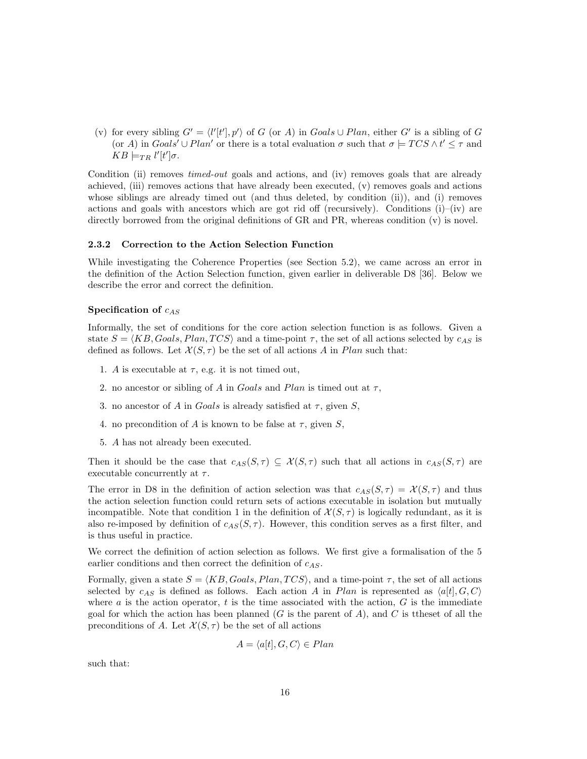(v) for every sibling  $G' = \langle l'[t'], p' \rangle$  of G (or A) in Goals  $\cup$  Plan, either G' is a sibling of G (or A) in  $Goal s' \cup Plan'$  or there is a total evaluation  $\sigma$  such that  $\sigma \models TCS \wedge t' \leq \tau$  and  $KB \models_{TR} l'[t']\sigma.$ 

Condition (ii) removes *timed-out* goals and actions, and (iv) removes goals that are already achieved, (iii) removes actions that have already been executed, (v) removes goals and actions whose siblings are already timed out (and thus deleted, by condition (ii)), and (i) removes actions and goals with ancestors which are got rid off (recursively). Conditions  $(i)$ – $(iv)$  are directly borrowed from the original definitions of GR and PR, whereas condition (v) is novel.

#### 2.3.2 Correction to the Action Selection Function

While investigating the Coherence Properties (see Section 5.2), we came across an error in the definition of the Action Selection function, given earlier in deliverable D8 [36]. Below we describe the error and correct the definition.

#### Specification of  $c_{AS}$

Informally, the set of conditions for the core action selection function is as follows. Given a state  $S = \langle KB, Goals, Plan, TCS \rangle$  and a time-point  $\tau$ , the set of all actions selected by  $c_{AS}$  is defined as follows. Let  $\mathcal{X}(S,\tau)$  be the set of all actions A in Plan such that:

- 1. A is executable at  $\tau$ , e.g. it is not timed out,
- 2. no ancestor or sibling of A in Goals and Plan is timed out at  $\tau$ ,
- 3. no ancestor of A in Goals is already satisfied at  $\tau$ , given S,
- 4. no precondition of A is known to be false at  $\tau$ , given S,
- 5. A has not already been executed.

Then it should be the case that  $c_{AS}(S, \tau) \subseteq \mathcal{X}(S, \tau)$  such that all actions in  $c_{AS}(S, \tau)$  are executable concurrently at  $\tau$ .

The error in D8 in the definition of action selection was that  $c_{AS}(S, \tau) = \mathcal{X}(S, \tau)$  and thus the action selection function could return sets of actions executable in isolation but mutually incompatible. Note that condition 1 in the definition of  $\mathcal{X}(S,\tau)$  is logically redundant, as it is also re-imposed by definition of  $c_{AS}(S, \tau)$ . However, this condition serves as a first filter, and is thus useful in practice.

We correct the definition of action selection as follows. We first give a formalisation of the 5 earlier conditions and then correct the definition of  $c_{AS}$ .

Formally, given a state  $S = \langle KB, Goals, Plan, TCS \rangle$ , and a time-point  $\tau$ , the set of all actions selected by  $c_{AS}$  is defined as follows. Each action A in Plan is represented as  $\langle a[t], G, C \rangle$ where  $a$  is the action operator,  $t$  is the time associated with the action,  $G$  is the immediate goal for which the action has been planned  $(G$  is the parent of A), and C is ttheset of all the preconditions of A. Let  $\mathcal{X}(S,\tau)$  be the set of all actions

$$
A = \langle a[t], G, C \rangle \in Plan
$$

such that: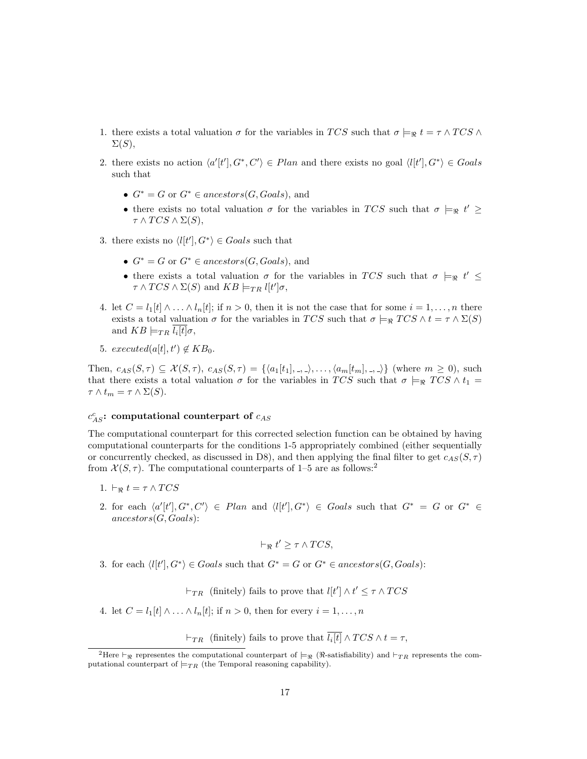- 1. there exists a total valuation  $\sigma$  for the variables in TCS such that  $\sigma \models_{\Re} t = \tau \wedge TCS \wedge TCS$  $\Sigma(S),$
- 2. there exists no action  $\langle a'[t'], G^*, C' \rangle \in Plan$  and there exists no goal  $\langle l[t'], G^* \rangle \in Goals$ such that
	- $G^* = G$  or  $G^* \in ancestors(G, Goals)$ , and
	- there exists no total valuation  $\sigma$  for the variables in TCS such that  $\sigma \models_{\Re} t' \geq$  $\tau \wedge TCS \wedge \Sigma(S),$
- 3. there exists no  $\langle l[t'], G^* \rangle \in \text{Goals}$  such that
	- $G^* = G$  or  $G^* \in ancestors(G, Goals)$ , and
	- there exists a total valuation  $\sigma$  for the variables in TCS such that  $\sigma \models_{\Re} t' \leq$  $\tau \wedge TCS \wedge \Sigma(S)$  and  $KB \models_{TR} l[t']\sigma$ ,
- 4. let  $C = l_1[t] \wedge \ldots \wedge l_n[t]$ ; if  $n > 0$ , then it is not the case that for some  $i = 1, \ldots, n$  there exists a total valuation  $\sigma$  for the variables in TCS such that  $\sigma \models_{\Re} TCS \wedge t = \tau \wedge \Sigma(S)$ and  $KB \models_{TR} l_i[t]\sigma,$
- 5.  $executed(a[t], t') \notin KB_0$ .

Then,  $c_{AS}(S, \tau) \subseteq \mathcal{X}(S, \tau)$ ,  $c_{AS}(S, \tau) = \{\langle a_1[t_1], \ldots, a_m[t_m], \ldots \rangle\}$  (where  $m \geq 0$ ), such that there exists a total valuation  $\sigma$  for the variables in TCS such that  $\sigma \models_{\Re} TCS \wedge t_1 =$  $\tau \wedge t_m = \tau \wedge \Sigma(S).$ 

# $c_{AS}^c$ : computational counterpart of  $c_{AS}$

The computational counterpart for this corrected selection function can be obtained by having computational counterparts for the conditions 1-5 appropriately combined (either sequentially or concurrently checked, as discussed in D8), and then applying the final filter to get  $c_{AS}(S, \tau)$ from  $X(S, \tau)$ . The computational counterparts of 1–5 are as follows:<sup>2</sup>

- 1.  $\vdash_{\mathcal{P}} t = \tau \wedge TCS$
- 2. for each  $\langle a'[t'], G^*, C' \rangle \in Plan$  and  $\langle l[t'], G^* \rangle \in \text{Goals}$  such that  $G^* = G$  or  $G^* \in$  $ancestors(G, Goals)$ :

$$
\vdash_{\Re} t' \geq \tau \wedge TCS,
$$

3. for each  $\langle l[t'], G^* \rangle \in \text{Goals}$  such that  $G^* = G$  or  $G^* \in \text{ancestors}(G, \text{Goals})$ :

 $\vdash_{TR}$  (finitely) fails to prove that  $l[t'] \wedge t' \leq \tau \wedge TCS$ 

4. let  $C = l_1[t] \wedge \ldots \wedge l_n[t]$ ; if  $n > 0$ , then for every  $i = 1, \ldots, n$ 

 $\vdash_{TR}$  (finitely) fails to prove that  $l_i[t] \wedge TCS \wedge t = \tau$ ,

<sup>&</sup>lt;sup>2</sup>Here  $\vdash_{\Re}$  representes the computational counterpart of  $\models_{\Re}$  (R-satisfiability) and  $\vdash_{TR}$  represents the computational counterpart of  $\models_{TR}$  (the Temporal reasoning capability).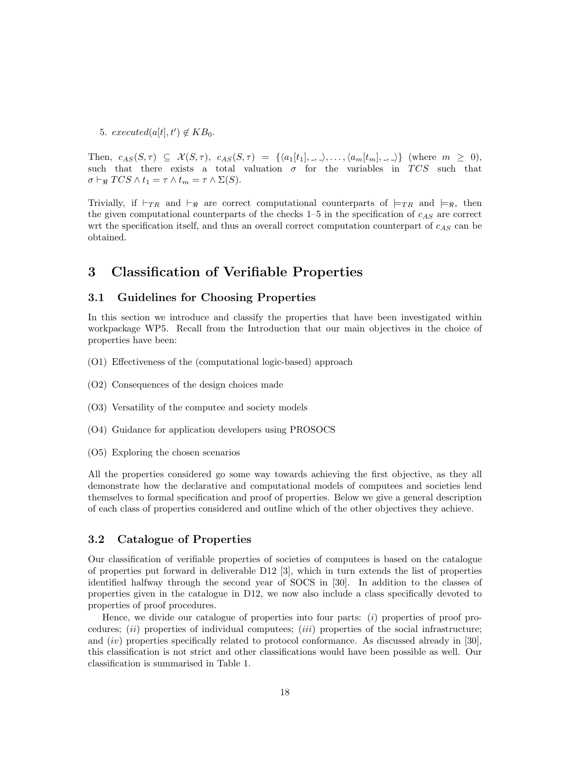5.  $executed(a[t], t') \notin KB_0$ .

Then,  $c_{AS}(S,\tau) \subseteq \mathcal{X}(S,\tau)$ ,  $c_{AS}(S,\tau) = \{ \langle a_1[t_1], \ldots, \rangle, \ldots, \langle a_m[t_m], \ldots \rangle \}$  (where  $m \geq 0$ ), such that there exists a total valuation  $\sigma$  for the variables in TCS such that  $\sigma \vdash_{\Re} TCS \wedge t_1 = \tau \wedge t_m = \tau \wedge \Sigma(S).$ 

Trivially, if  $\vdash_{TR}$  and  $\vdash_{\Re}$  are correct computational counterparts of  $\models_{TR}$  and  $\models_{\Re}$ , then the given computational counterparts of the checks  $1-5$  in the specification of  $c_{AS}$  are correct wrt the specification itself, and thus an overall correct computation counterpart of  $c_{AS}$  can be obtained.

# 3 Classification of Verifiable Properties

## 3.1 Guidelines for Choosing Properties

In this section we introduce and classify the properties that have been investigated within workpackage WP5. Recall from the Introduction that our main objectives in the choice of properties have been:

- (O1) Effectiveness of the (computational logic-based) approach
- (O2) Consequences of the design choices made
- (O3) Versatility of the computee and society models
- (O4) Guidance for application developers using PROSOCS
- (O5) Exploring the chosen scenarios

All the properties considered go some way towards achieving the first objective, as they all demonstrate how the declarative and computational models of computees and societies lend themselves to formal specification and proof of properties. Below we give a general description of each class of properties considered and outline which of the other objectives they achieve.

## 3.2 Catalogue of Properties

Our classification of verifiable properties of societies of computees is based on the catalogue of properties put forward in deliverable D12 [3], which in turn extends the list of properties identified halfway through the second year of SOCS in [30]. In addition to the classes of properties given in the catalogue in D12, we now also include a class specifically devoted to properties of proof procedures.

Hence, we divide our catalogue of properties into four parts:  $(i)$  properties of proof procedures;  $(ii)$  properties of individual computees;  $(iii)$  properties of the social infrastructure; and (iv) properties specifically related to protocol conformance. As discussed already in [30], this classification is not strict and other classifications would have been possible as well. Our classification is summarised in Table 1.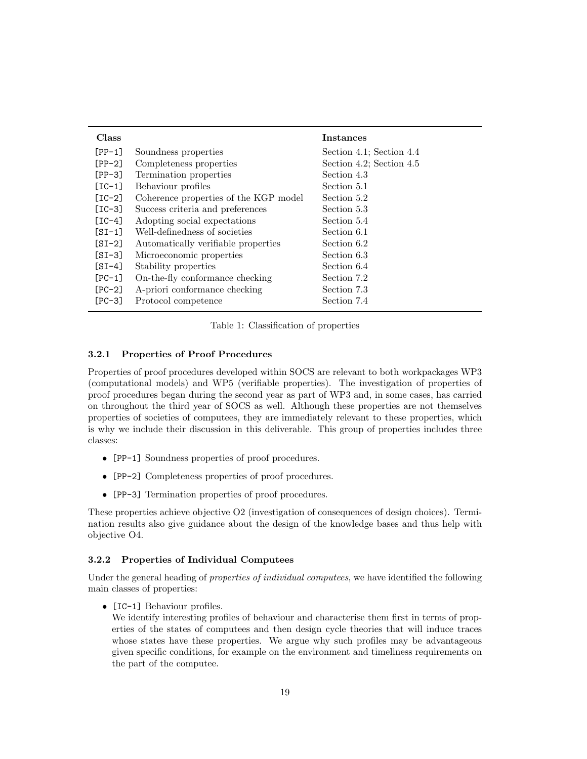| <b>Class</b>   |                                       | Instances                |
|----------------|---------------------------------------|--------------------------|
| $[PP-1]$       | Soundness properties                  | Section 4.1; Section 4.4 |
| $[PP-2]$       | Completeness properties               | Section 4.2; Section 4.5 |
| $[PP-3]$       | Termination properties                | Section 4.3              |
| $\lceil$ IC-1] | Behaviour profiles                    | Section 5.1              |
| $[IC-2]$       | Coherence properties of the KGP model | Section 5.2              |
| $[IC-3]$       | Success criteria and preferences      | Section 5.3              |
| $\lceil$ IC-4] | Adopting social expectations          | Section 5.4              |
| $[SI-1]$       | Well-definedness of societies         | Section 6.1              |
| $[SI-2]$       | Automatically verifiable properties   | Section 6.2              |
| $[SI-3]$       | Microeconomic properties              | Section 6.3              |
| $[SI-4]$       | Stability properties                  | Section 6.4              |
| $[PC-1]$       | On-the-fly conformance checking       | Section 7.2              |
| $\Gamma$ PC-21 | A-priori conformance checking         | Section 7.3              |
| $\Gamma$ PC-31 | Protocol competence                   | Section 7.4              |

Table 1: Classification of properties

#### 3.2.1 Properties of Proof Procedures

Properties of proof procedures developed within SOCS are relevant to both workpackages WP3 (computational models) and WP5 (verifiable properties). The investigation of properties of proof procedures began during the second year as part of WP3 and, in some cases, has carried on throughout the third year of SOCS as well. Although these properties are not themselves properties of societies of computees, they are immediately relevant to these properties, which is why we include their discussion in this deliverable. This group of properties includes three classes:

- [PP-1] Soundness properties of proof procedures.
- [PP-2] Completeness properties of proof procedures.
- [PP-3] Termination properties of proof procedures.

These properties achieve objective O2 (investigation of consequences of design choices). Termination results also give guidance about the design of the knowledge bases and thus help with objective O4.

#### 3.2.2 Properties of Individual Computees

Under the general heading of *properties of individual computees*, we have identified the following main classes of properties:

• [IC-1] Behaviour profiles.

We identify interesting profiles of behaviour and characterise them first in terms of properties of the states of computees and then design cycle theories that will induce traces whose states have these properties. We argue why such profiles may be advantageous given specific conditions, for example on the environment and timeliness requirements on the part of the computee.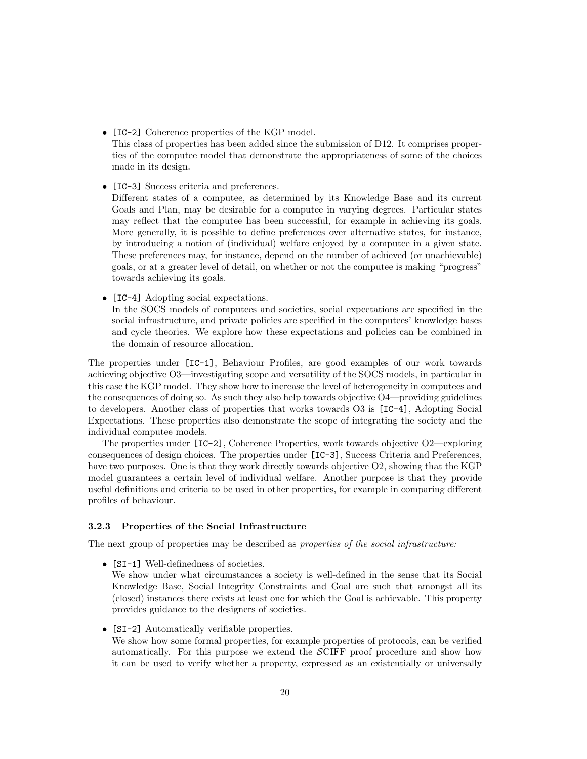- [IC-2] Coherence properties of the KGP model. This class of properties has been added since the submission of D12. It comprises properties of the computee model that demonstrate the appropriateness of some of the choices made in its design.
- [IC-3] Success criteria and preferences.

Different states of a computee, as determined by its Knowledge Base and its current Goals and Plan, may be desirable for a computee in varying degrees. Particular states may reflect that the computee has been successful, for example in achieving its goals. More generally, it is possible to define preferences over alternative states, for instance, by introducing a notion of (individual) welfare enjoyed by a computee in a given state. These preferences may, for instance, depend on the number of achieved (or unachievable) goals, or at a greater level of detail, on whether or not the computee is making "progress" towards achieving its goals.

• [IC-4] Adopting social expectations.

In the SOCS models of computees and societies, social expectations are specified in the social infrastructure, and private policies are specified in the computees' knowledge bases and cycle theories. We explore how these expectations and policies can be combined in the domain of resource allocation.

The properties under [IC-1], Behaviour Profiles, are good examples of our work towards achieving objective O3—investigating scope and versatility of the SOCS models, in particular in this case the KGP model. They show how to increase the level of heterogeneity in computees and the consequences of doing so. As such they also help towards objective  $O4$ —providing guidelines to developers. Another class of properties that works towards O3 is [IC-4], Adopting Social Expectations. These properties also demonstrate the scope of integrating the society and the individual computee models.

The properties under [IC-2], Coherence Properties, work towards objective O2—exploring consequences of design choices. The properties under [IC-3], Success Criteria and Preferences, have two purposes. One is that they work directly towards objective O2, showing that the KGP model guarantees a certain level of individual welfare. Another purpose is that they provide useful definitions and criteria to be used in other properties, for example in comparing different profiles of behaviour.

# 3.2.3 Properties of the Social Infrastructure

The next group of properties may be described as *properties of the social infrastructure:* 

• [SI-1] Well-definedness of societies.

We show under what circumstances a society is well-defined in the sense that its Social Knowledge Base, Social Integrity Constraints and Goal are such that amongst all its (closed) instances there exists at least one for which the Goal is achievable. This property provides guidance to the designers of societies.

• [SI-2] Automatically verifiable properties.

We show how some formal properties, for example properties of protocols, can be verified automatically. For this purpose we extend the  $\mathcal{SCIFF}$  proof procedure and show how it can be used to verify whether a property, expressed as an existentially or universally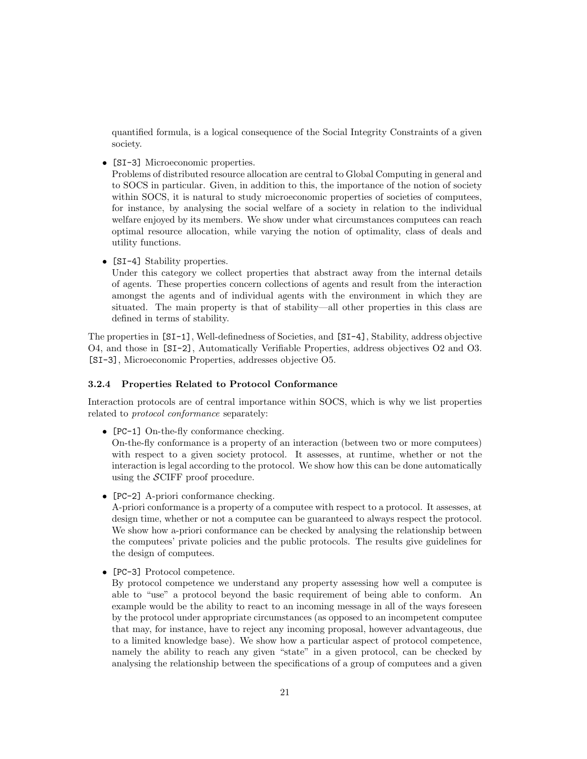quantified formula, is a logical consequence of the Social Integrity Constraints of a given society.

• [SI-3] Microeconomic properties.

Problems of distributed resource allocation are central to Global Computing in general and to SOCS in particular. Given, in addition to this, the importance of the notion of society within SOCS, it is natural to study microeconomic properties of societies of computees, for instance, by analysing the social welfare of a society in relation to the individual welfare enjoyed by its members. We show under what circumstances computees can reach optimal resource allocation, while varying the notion of optimality, class of deals and utility functions.

• [SI-4] Stability properties.

Under this category we collect properties that abstract away from the internal details of agents. These properties concern collections of agents and result from the interaction amongst the agents and of individual agents with the environment in which they are situated. The main property is that of stability—all other properties in this class are defined in terms of stability.

The properties in [SI-1], Well-definedness of Societies, and [SI-4], Stability, address objective O4, and those in [SI-2], Automatically Verifiable Properties, address objectives O2 and O3. [SI-3], Microeconomic Properties, addresses objective O5.

#### 3.2.4 Properties Related to Protocol Conformance

Interaction protocols are of central importance within SOCS, which is why we list properties related to protocol conformance separately:

• [PC-1] On-the-fly conformance checking.

On-the-fly conformance is a property of an interaction (between two or more computees) with respect to a given society protocol. It assesses, at runtime, whether or not the interaction is legal according to the protocol. We show how this can be done automatically using the SCIFF proof procedure.

• [PC-2] A-priori conformance checking.

A-priori conformance is a property of a computee with respect to a protocol. It assesses, at design time, whether or not a computee can be guaranteed to always respect the protocol. We show how a-priori conformance can be checked by analysing the relationship between the computees' private policies and the public protocols. The results give guidelines for the design of computees.

• [PC-3] Protocol competence.

By protocol competence we understand any property assessing how well a computee is able to "use" a protocol beyond the basic requirement of being able to conform. An example would be the ability to react to an incoming message in all of the ways foreseen by the protocol under appropriate circumstances (as opposed to an incompetent computee that may, for instance, have to reject any incoming proposal, however advantageous, due to a limited knowledge base). We show how a particular aspect of protocol competence, namely the ability to reach any given "state" in a given protocol, can be checked by analysing the relationship between the specifications of a group of computees and a given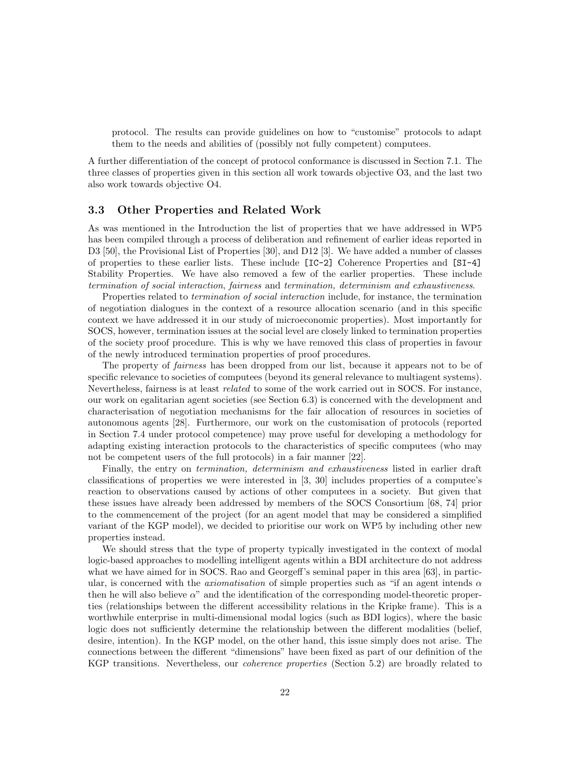protocol. The results can provide guidelines on how to "customise" protocols to adapt them to the needs and abilities of (possibly not fully competent) computees.

A further differentiation of the concept of protocol conformance is discussed in Section 7.1. The three classes of properties given in this section all work towards objective O3, and the last two also work towards objective O4.

### 3.3 Other Properties and Related Work

As was mentioned in the Introduction the list of properties that we have addressed in WP5 has been compiled through a process of deliberation and refinement of earlier ideas reported in D3 [50], the Provisional List of Properties [30], and D12 [3]. We have added a number of classes of properties to these earlier lists. These include [IC-2] Coherence Properties and [SI-4] Stability Properties. We have also removed a few of the earlier properties. These include termination of social interaction, fairness and termination, determinism and exhaustiveness.

Properties related to termination of social interaction include, for instance, the termination of negotiation dialogues in the context of a resource allocation scenario (and in this specific context we have addressed it in our study of microeconomic properties). Most importantly for SOCS, however, termination issues at the social level are closely linked to termination properties of the society proof procedure. This is why we have removed this class of properties in favour of the newly introduced termination properties of proof procedures.

The property of fairness has been dropped from our list, because it appears not to be of specific relevance to societies of computees (beyond its general relevance to multiagent systems). Nevertheless, fairness is at least related to some of the work carried out in SOCS. For instance, our work on egalitarian agent societies (see Section 6.3) is concerned with the development and characterisation of negotiation mechanisms for the fair allocation of resources in societies of autonomous agents [28]. Furthermore, our work on the customisation of protocols (reported in Section 7.4 under protocol competence) may prove useful for developing a methodology for adapting existing interaction protocols to the characteristics of specific computees (who may not be competent users of the full protocols) in a fair manner [22].

Finally, the entry on *termination*, *determinism and exhaustiveness* listed in earlier draft classifications of properties we were interested in [3, 30] includes properties of a computee's reaction to observations caused by actions of other computees in a society. But given that these issues have already been addressed by members of the SOCS Consortium [68, 74] prior to the commencement of the project (for an agent model that may be considered a simplified variant of the KGP model), we decided to prioritise our work on WP5 by including other new properties instead.

We should stress that the type of property typically investigated in the context of modal logic-based approaches to modelling intelligent agents within a BDI architecture do not address what we have aimed for in SOCS. Rao and Georgeff's seminal paper in this area [63], in particular, is concerned with the *axiomatisation* of simple properties such as "if an agent intends  $\alpha$ then he will also believe  $\alpha$ " and the identification of the corresponding model-theoretic properties (relationships between the different accessibility relations in the Kripke frame). This is a worthwhile enterprise in multi-dimensional modal logics (such as BDI logics), where the basic logic does not sufficiently determine the relationship between the different modalities (belief, desire, intention). In the KGP model, on the other hand, this issue simply does not arise. The connections between the different "dimensions" have been fixed as part of our definition of the KGP transitions. Nevertheless, our coherence properties (Section 5.2) are broadly related to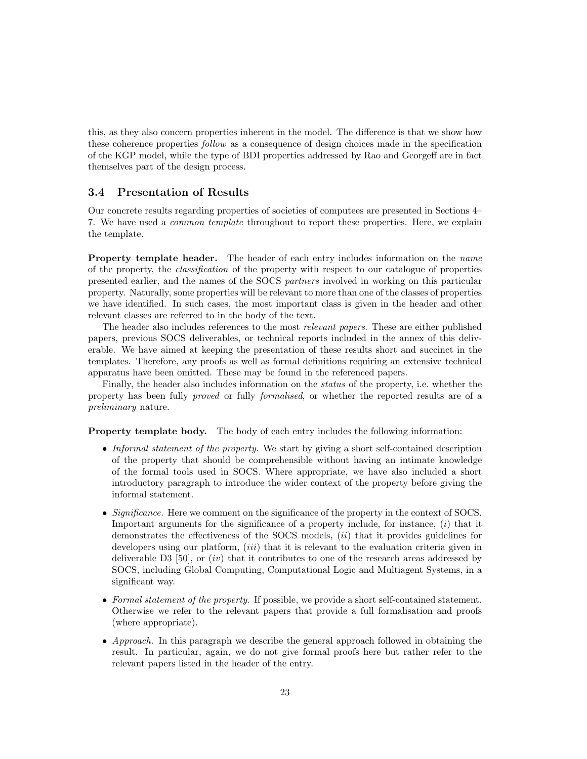this, as they also concern properties inherent in the model. The difference is that we show how these coherence properties *follow* as a consequence of design choices made in the specification of the KGP model, while the type of BDI properties addressed by Rao and Georgeff are in fact themselves part of the design process.

## 3.4 Presentation of Results

Our concrete results regarding properties of societies of computees are presented in Sections 4– 7. We have used a common template throughout to report these properties. Here, we explain the template.

Property template header. The header of each entry includes information on the *name* of the property, the classification of the property with respect to our catalogue of properties presented earlier, and the names of the SOCS partners involved in working on this particular property. Naturally, some properties will be relevant to more than one of the classes of properties we have identified. In such cases, the most important class is given in the header and other relevant classes are referred to in the body of the text.

The header also includes references to the most relevant papers. These are either published papers, previous SOCS deliverables, or technical reports included in the annex of this deliverable. We have aimed at keeping the presentation of these results short and succinct in the templates. Therefore, any proofs as well as formal definitions requiring an extensive technical apparatus have been omitted. These may be found in the referenced papers.

Finally, the header also includes information on the status of the property, i.e. whether the property has been fully proved or fully formalised, or whether the reported results are of a preliminary nature.

Property template body. The body of each entry includes the following information:

- Informal statement of the property. We start by giving a short self-contained description of the property that should be comprehensible without having an intimate knowledge of the formal tools used in SOCS. Where appropriate, we have also included a short introductory paragraph to introduce the wider context of the property before giving the informal statement.
- Significance. Here we comment on the significance of the property in the context of SOCS. Important arguments for the significance of a property include, for instance,  $(i)$  that it demonstrates the effectiveness of the SOCS models, *(ii)* that it provides guidelines for developers using our platform,  $(iii)$  that it is relevant to the evaluation criteria given in deliverable D3  $[50]$ , or  $(iv)$  that it contributes to one of the research areas addressed by SOCS, including Global Computing, Computational Logic and Multiagent Systems, in a significant way.
- Formal statement of the property. If possible, we provide a short self-contained statement. Otherwise we refer to the relevant papers that provide a full formalisation and proofs (where appropriate).
- Approach. In this paragraph we describe the general approach followed in obtaining the result. In particular, again, we do not give formal proofs here but rather refer to the relevant papers listed in the header of the entry.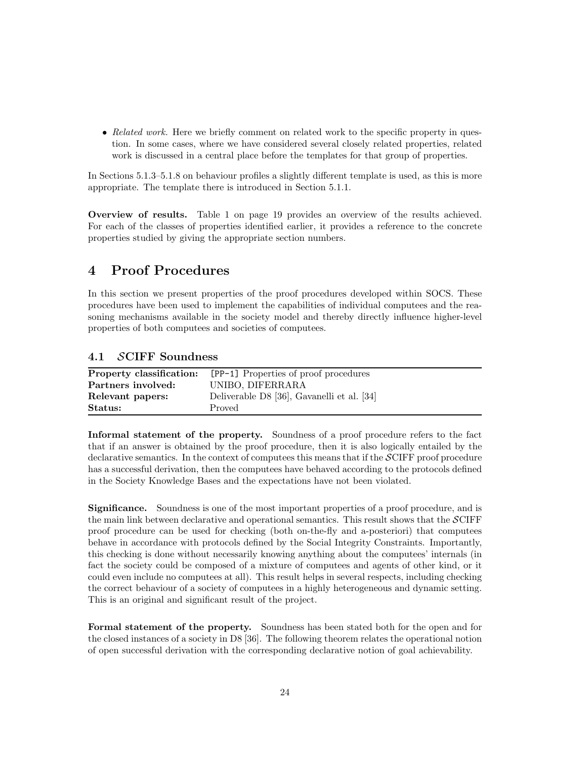• Related work. Here we briefly comment on related work to the specific property in question. In some cases, where we have considered several closely related properties, related work is discussed in a central place before the templates for that group of properties.

In Sections 5.1.3–5.1.8 on behaviour profiles a slightly different template is used, as this is more appropriate. The template there is introduced in Section 5.1.1.

Overview of results. Table 1 on page 19 provides an overview of the results achieved. For each of the classes of properties identified earlier, it provides a reference to the concrete properties studied by giving the appropriate section numbers.

# 4 Proof Procedures

In this section we present properties of the proof procedures developed within SOCS. These procedures have been used to implement the capabilities of individual computees and the reasoning mechanisms available in the society model and thereby directly influence higher-level properties of both computees and societies of computees.

# 4.1 SCIFF Soundness

| Property classification: | [PP-1] Properties of proof procedures      |
|--------------------------|--------------------------------------------|
| Partners involved:       | UNIBO. DIFERRARA                           |
| Relevant papers:         | Deliverable D8 [36], Gavanelli et al. [34] |
| Status:                  | Proved                                     |

Informal statement of the property. Soundness of a proof procedure refers to the fact that if an answer is obtained by the proof procedure, then it is also logically entailed by the declarative semantics. In the context of computees this means that if the  $\mathcal{SCIFF}$  proof procedure has a successful derivation, then the computees have behaved according to the protocols defined in the Society Knowledge Bases and the expectations have not been violated.

Significance. Soundness is one of the most important properties of a proof procedure, and is the main link between declarative and operational semantics. This result shows that the  $\mathcal{SCIFF}$ proof procedure can be used for checking (both on-the-fly and a-posteriori) that computees behave in accordance with protocols defined by the Social Integrity Constraints. Importantly, this checking is done without necessarily knowing anything about the computees' internals (in fact the society could be composed of a mixture of computees and agents of other kind, or it could even include no computees at all). This result helps in several respects, including checking the correct behaviour of a society of computees in a highly heterogeneous and dynamic setting. This is an original and significant result of the project.

Formal statement of the property. Soundness has been stated both for the open and for the closed instances of a society in D8 [36]. The following theorem relates the operational notion of open successful derivation with the corresponding declarative notion of goal achievability.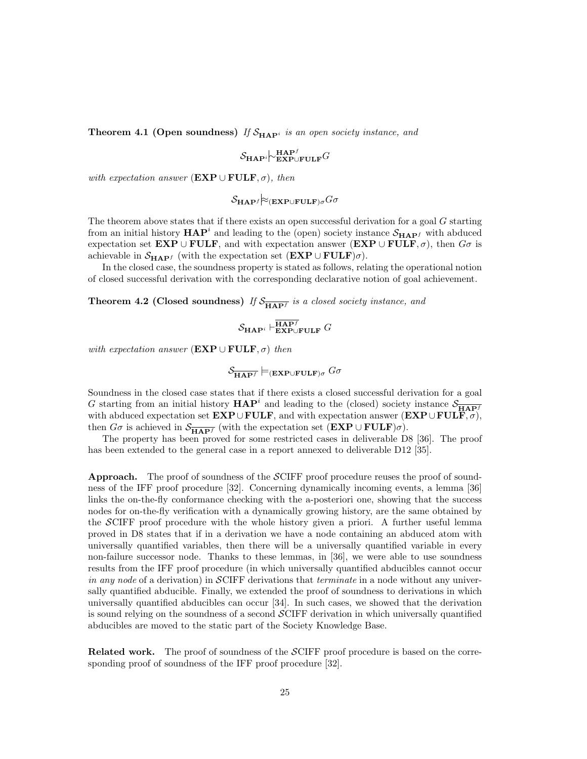**Theorem 4.1 (Open soundness)** If  $S_{\text{HAP}}$  is an open society instance, and

SHAP<sup>i</sup>∼ HAP<sup>f</sup> EXP∪FULFG

with expectation answer ( $\mathbf{EXP} \cup \mathbf{FULF}, \sigma$ ), then

SHAP<sup>f</sup> ≈(EXP∪FULF)σGσ

The theorem above states that if there exists an open successful derivation for a goal G starting from an initial history  $HAP<sup>i</sup>$  and leading to the (open) society instance  $S_{HAP<sup>f</sup>}$  with abduced expectation set EXP ∪ FULF, and with expectation answer (EXP ∪ FULF,  $\sigma$ ), then  $G\sigma$  is achievable in  $\mathcal{S}_{\mathbf{HAP}^f}$  (with the expectation set  $(\mathbf{EXP} \cup \mathbf{FULF})\sigma$ ).

In the closed case, the soundness property is stated as follows, relating the operational notion of closed successful derivation with the corresponding declarative notion of goal achievement.

**Theorem 4.2 (Closed soundness)** If  $S_{\overline{HAP^f}}$  is a closed society instance, and

$$
\mathcal{S}_{\textbf{HAP}^i} \vdash^{\overline{\textbf{HAP}^f}}_{\textbf{EXP}\cup\textbf{FULE}} G
$$

with expectation answer ( $\mathbf{EXP} \cup \mathbf{FULF}, \sigma$ ) then

$$
\mathcal{S}_{\overline{\mathbf{HAP}^f}} \models_{(\mathbf{EXP}\cup\mathbf{FULF})\sigma} G\sigma
$$

Soundness in the closed case states that if there exists a closed successful derivation for a goal G starting from an initial history  $\mathbf{HAP}^i$  and leading to the (closed) society instance  $\mathcal{S}_{\overline{\mathbf{HAP}^f}}$ with abduced expectation set  $\mathbf{EXP} \cup \mathbf{FULF}$ , and with expectation answer  $(\mathbf{EXP} \cup \mathbf{FULF}, \sigma)$ , then  $G\sigma$  is achieved in  $\mathcal{S}_{\overline{\mathbf{HAP}^f}}$  (with the expectation set  $(\mathbf{EXP} \cup \mathbf{FULE})\sigma)$ .

The property has been proved for some restricted cases in deliverable D8 [36]. The proof has been extended to the general case in a report annexed to deliverable D12 [35].

**Approach.** The proof of soundness of the  $\mathcal{SCIFF}$  proof procedure reuses the proof of soundness of the IFF proof procedure [32]. Concerning dynamically incoming events, a lemma [36] links the on-the-fly conformance checking with the a-posteriori one, showing that the success nodes for on-the-fly verification with a dynamically growing history, are the same obtained by the SCIFF proof procedure with the whole history given a priori. A further useful lemma proved in D8 states that if in a derivation we have a node containing an abduced atom with universally quantified variables, then there will be a universally quantified variable in every non-failure successor node. Thanks to these lemmas, in [36], we were able to use soundness results from the IFF proof procedure (in which universally quantified abducibles cannot occur in any node of a derivation) in SCIFF derivations that *terminate* in a node without any universally quantified abducible. Finally, we extended the proof of soundness to derivations in which universally quantified abducibles can occur [34]. In such cases, we showed that the derivation is sound relying on the soundness of a second SCIFF derivation in which universally quantified abducibles are moved to the static part of the Society Knowledge Base.

Related work. The proof of soundness of the SCIFF proof procedure is based on the corresponding proof of soundness of the IFF proof procedure [32].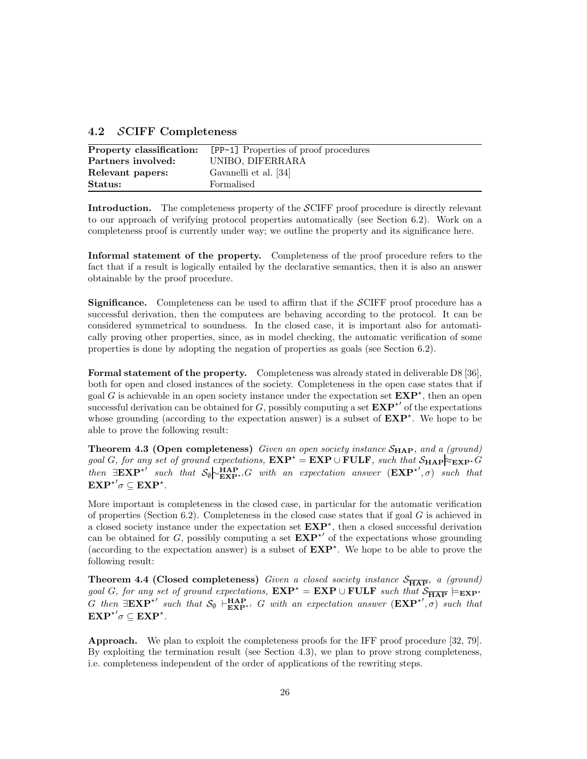|  |  | 4.2 SCIFF Completeness |
|--|--|------------------------|
|--|--|------------------------|

| Property classification: | [PP-1] Properties of proof procedures |
|--------------------------|---------------------------------------|
| Partners involved:       | UNIBO. DIFERRARA                      |
| Relevant papers:         | Gavanelli et al. [34]                 |
| Status:                  | Formalised                            |

Introduction. The completeness property of the SCIFF proof procedure is directly relevant to our approach of verifying protocol properties automatically (see Section 6.2). Work on a completeness proof is currently under way; we outline the property and its significance here.

Informal statement of the property. Completeness of the proof procedure refers to the fact that if a result is logically entailed by the declarative semantics, then it is also an answer obtainable by the proof procedure.

Significance. Completeness can be used to affirm that if the SCIFF proof procedure has a successful derivation, then the computees are behaving according to the protocol. It can be considered symmetrical to soundness. In the closed case, it is important also for automatically proving other properties, since, as in model checking, the automatic verification of some properties is done by adopting the negation of properties as goals (see Section 6.2).

Formal statement of the property. Completeness was already stated in deliverable D8 [36], both for open and closed instances of the society. Completeness in the open case states that if goal G is achievable in an open society instance under the expectation set  $\mathbf{EXP}^{\star}$ , then an open successful derivation can be obtained for G, possibly computing a set  $\mathbf{EXP}^{\star}{}'$  of the expectations whose grounding (according to the expectation answer) is a subset of  $\mathbf{EXP}^*$ . We hope to be able to prove the following result:

**Theorem 4.3 (Open completeness)** Given an open society instance  $S_{\text{HAP}}$ , and a (ground) goal G, for any set of ground expectations,  $\mathbf{EXP}^* = \mathbf{EXP} \cup \mathbf{FULF}$ , such that  $\mathcal{S}_{\mathbf{HAP}} \approx_{\mathbf{EXP}^*} G$ then  $\exists \mathbf{EXP}^{\star}{}'$  such that  $\mathcal{S}_{\emptyset}$   $\leftarrow^{\mathbf{HAP}}_{\mathbf{EXP}^{\star}{}'} G$  with an expectation answer  $(\mathbf{EXP}^{\star}{}', \sigma)$  such that  $\mathbf{EXP}^{\star}\sigma \subseteq \mathbf{EXP}^{\star}.$ 

More important is completeness in the closed case, in particular for the automatic verification of properties (Section 6.2). Completeness in the closed case states that if goal  $G$  is achieved in a closed society instance under the expectation set  $EXP^*$ , then a closed successful derivation can be obtained for G, possibly computing a set  $\mathbf{EXP}^{\star}{}'$  of the expectations whose grounding (according to the expectation answer) is a subset of  $\mathbf{EXP}^{\star}$ . We hope to be able to prove the following result:

**Theorem 4.4 (Closed completeness)** Given a closed society instance  $\mathcal{S}_{\overline{\text{HAP}}}$ , a (ground) goal G, for any set of ground expectations,  $\mathbf{EXP}^* = \mathbf{EXP} \cup \mathbf{FULF}$  such that  $\mathcal{S}_{\overline{\mathbf{HAP}}} \models_{\mathbf{EXP}^*}$ G then  $\exists \mathbf{EXP}^{\star}$  such that  $\mathcal{S}_{\emptyset}$   $\vdash_{\mathbf{EXP}^{\star}}^{\mathbf{HAP}}$  G with an expectation answer  $(\mathbf{EXP}^{\star}', \sigma)$  such that  $\mathbf{EXP}^{\star}\sigma \subseteq \mathbf{EXP}^{\star}.$ 

Approach. We plan to exploit the completeness proofs for the IFF proof procedure [32, 79]. By exploiting the termination result (see Section 4.3), we plan to prove strong completeness, i.e. completeness independent of the order of applications of the rewriting steps.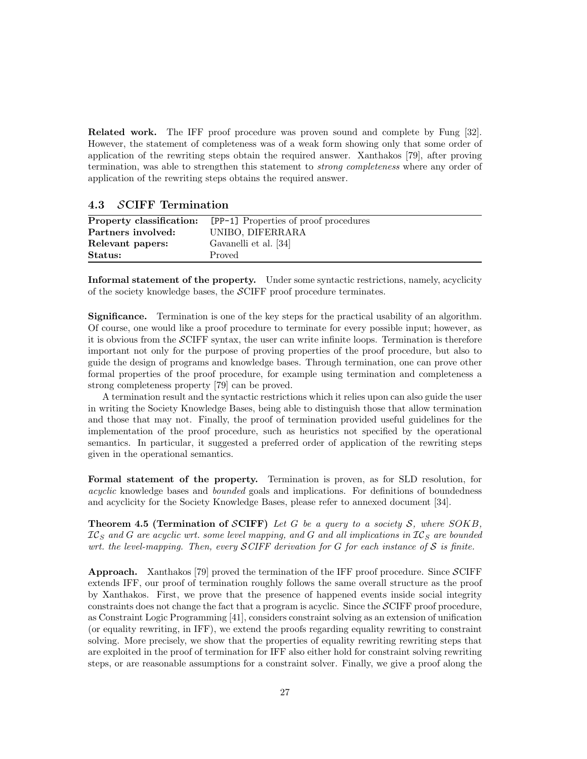Related work. The IFF proof procedure was proven sound and complete by Fung [32]. However, the statement of completeness was of a weak form showing only that some order of application of the rewriting steps obtain the required answer. Xanthakos [79], after proving termination, was able to strengthen this statement to strong completeness where any order of application of the rewriting steps obtains the required answer.

# 4.3 SCIFF Termination

| Property classification: | [PP-1] Properties of proof procedures |
|--------------------------|---------------------------------------|
| Partners involved:       | UNIBO, DIFERRARA                      |
| Relevant papers:         | Gavanelli et al. [34]                 |
| Status:                  | Proved                                |

Informal statement of the property. Under some syntactic restrictions, namely, acyclicity of the society knowledge bases, the SCIFF proof procedure terminates.

Significance. Termination is one of the key steps for the practical usability of an algorithm. Of course, one would like a proof procedure to terminate for every possible input; however, as it is obvious from the SCIFF syntax, the user can write infinite loops. Termination is therefore important not only for the purpose of proving properties of the proof procedure, but also to guide the design of programs and knowledge bases. Through termination, one can prove other formal properties of the proof procedure, for example using termination and completeness a strong completeness property [79] can be proved.

A termination result and the syntactic restrictions which it relies upon can also guide the user in writing the Society Knowledge Bases, being able to distinguish those that allow termination and those that may not. Finally, the proof of termination provided useful guidelines for the implementation of the proof procedure, such as heuristics not specified by the operational semantics. In particular, it suggested a preferred order of application of the rewriting steps given in the operational semantics.

Formal statement of the property. Termination is proven, as for SLD resolution, for acyclic knowledge bases and bounded goals and implications. For definitions of boundedness and acyclicity for the Society Knowledge Bases, please refer to annexed document [34].

**Theorem 4.5 (Termination of SCIFF)** Let G be a query to a society S, where  $SOKB$ ,  $IC_S$  and G are acyclic wrt. some level mapping, and G and all implications in  $IC_S$  are bounded wrt. the level-mapping. Then, every  $\mathcal{S}$  CIFF derivation for G for each instance of  $\mathcal{S}$  is finite.

**Approach.** Xanthakos [79] proved the termination of the IFF proof procedure. Since  $\mathcal{S}$ CIFF extends IFF, our proof of termination roughly follows the same overall structure as the proof by Xanthakos. First, we prove that the presence of happened events inside social integrity constraints does not change the fact that a program is acyclic. Since the SCIFF proof procedure, as Constraint Logic Programming [41], considers constraint solving as an extension of unification (or equality rewriting, in IFF), we extend the proofs regarding equality rewriting to constraint solving. More precisely, we show that the properties of equality rewriting rewriting steps that are exploited in the proof of termination for IFF also either hold for constraint solving rewriting steps, or are reasonable assumptions for a constraint solver. Finally, we give a proof along the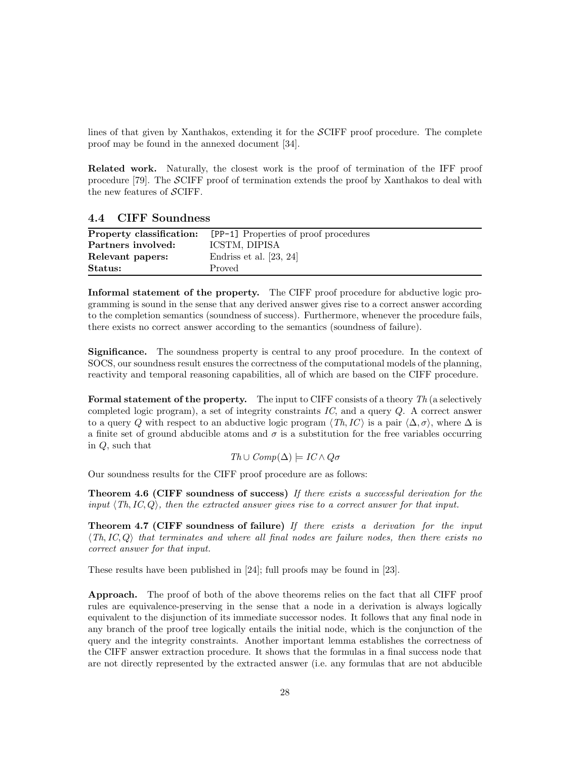lines of that given by Xanthakos, extending it for the SCIFF proof procedure. The complete proof may be found in the annexed document [34].

Related work. Naturally, the closest work is the proof of termination of the IFF proof procedure [79]. The SCIFF proof of termination extends the proof by Xanthakos to deal with the new features of  $\mathcal{S}\text{ClFF}.$ 

# 4.4 CIFF Soundness

| Property classification: | [PP-1] Properties of proof procedures |
|--------------------------|---------------------------------------|
| Partners involved:       | ICSTM, DIPISA                         |
| Relevant papers:         | Endriss et al. $[23, 24]$             |
| Status:                  | Proved                                |

Informal statement of the property. The CIFF proof procedure for abductive logic programming is sound in the sense that any derived answer gives rise to a correct answer according to the completion semantics (soundness of success). Furthermore, whenever the procedure fails, there exists no correct answer according to the semantics (soundness of failure).

Significance. The soundness property is central to any proof procedure. In the context of SOCS, our soundness result ensures the correctness of the computational models of the planning, reactivity and temporal reasoning capabilities, all of which are based on the CIFF procedure.

**Formal statement of the property.** The input to CIFF consists of a theory  $Th$  (a selectively completed logic program), a set of integrity constraints  $IC$ , and a query  $Q$ . A correct answer to a query Q with respect to an abductive logic program  $\langle Th,IC \rangle$  is a pair  $\langle \Delta, \sigma \rangle$ , where  $\Delta$  is a finite set of ground abducible atoms and  $\sigma$  is a substitution for the free variables occurring in Q, such that

$$
Th \cup Comp(\Delta) \models IC \land Q\sigma
$$

Our soundness results for the CIFF proof procedure are as follows:

Theorem 4.6 (CIFF soundness of success) If there exists a successful derivation for the input  $\langle Th, IC, Q \rangle$ , then the extracted answer gives rise to a correct answer for that input.

**Theorem 4.7 (CIFF soundness of failure)** If there exists a derivation for the input  $\langle Th, IC, Q \rangle$  that terminates and where all final nodes are failure nodes, then there exists no correct answer for that input.

These results have been published in [24]; full proofs may be found in [23].

Approach. The proof of both of the above theorems relies on the fact that all CIFF proof rules are equivalence-preserving in the sense that a node in a derivation is always logically equivalent to the disjunction of its immediate successor nodes. It follows that any final node in any branch of the proof tree logically entails the initial node, which is the conjunction of the query and the integrity constraints. Another important lemma establishes the correctness of the CIFF answer extraction procedure. It shows that the formulas in a final success node that are not directly represented by the extracted answer (i.e. any formulas that are not abducible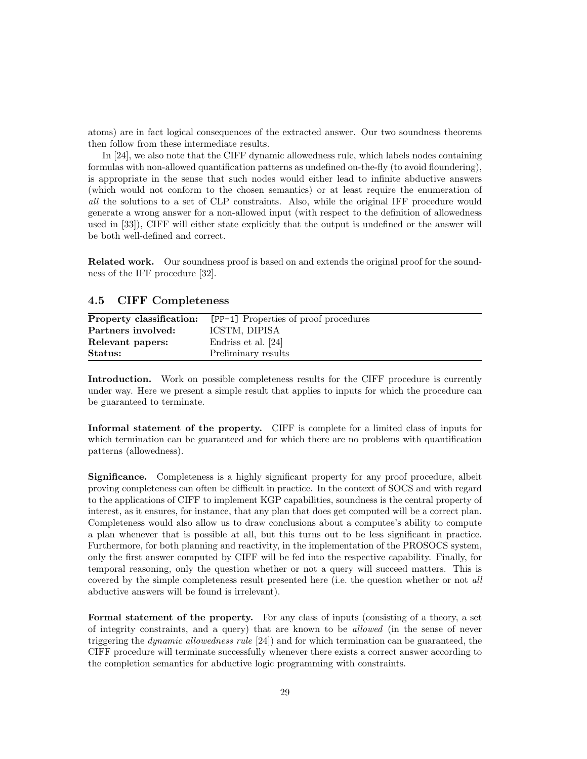atoms) are in fact logical consequences of the extracted answer. Our two soundness theorems then follow from these intermediate results.

In [24], we also note that the CIFF dynamic allowedness rule, which labels nodes containing formulas with non-allowed quantification patterns as undefined on-the-fly (to avoid floundering), is appropriate in the sense that such nodes would either lead to infinite abductive answers (which would not conform to the chosen semantics) or at least require the enumeration of all the solutions to a set of CLP constraints. Also, while the original IFF procedure would generate a wrong answer for a non-allowed input (with respect to the definition of allowedness used in [33]), CIFF will either state explicitly that the output is undefined or the answer will be both well-defined and correct.

Related work. Our soundness proof is based on and extends the original proof for the soundness of the IFF procedure [32].

### 4.5 CIFF Completeness

| Property classification: | [PP-1] Properties of proof procedures |
|--------------------------|---------------------------------------|
| Partners involved:       | ICSTM, DIPISA                         |
| Relevant papers:         | Endriss et al. [24]                   |
| Status:                  | Preliminary results                   |

Introduction. Work on possible completeness results for the CIFF procedure is currently under way. Here we present a simple result that applies to inputs for which the procedure can be guaranteed to terminate.

Informal statement of the property. CIFF is complete for a limited class of inputs for which termination can be guaranteed and for which there are no problems with quantification patterns (allowedness).

Significance. Completeness is a highly significant property for any proof procedure, albeit proving completeness can often be difficult in practice. In the context of SOCS and with regard to the applications of CIFF to implement KGP capabilities, soundness is the central property of interest, as it ensures, for instance, that any plan that does get computed will be a correct plan. Completeness would also allow us to draw conclusions about a computee's ability to compute a plan whenever that is possible at all, but this turns out to be less significant in practice. Furthermore, for both planning and reactivity, in the implementation of the PROSOCS system, only the first answer computed by CIFF will be fed into the respective capability. Finally, for temporal reasoning, only the question whether or not a query will succeed matters. This is covered by the simple completeness result presented here (i.e. the question whether or not all abductive answers will be found is irrelevant).

Formal statement of the property. For any class of inputs (consisting of a theory, a set of integrity constraints, and a query) that are known to be allowed (in the sense of never triggering the *dynamic allowedness rule*  $[24]$  and for which termination can be guaranteed, the CIFF procedure will terminate successfully whenever there exists a correct answer according to the completion semantics for abductive logic programming with constraints.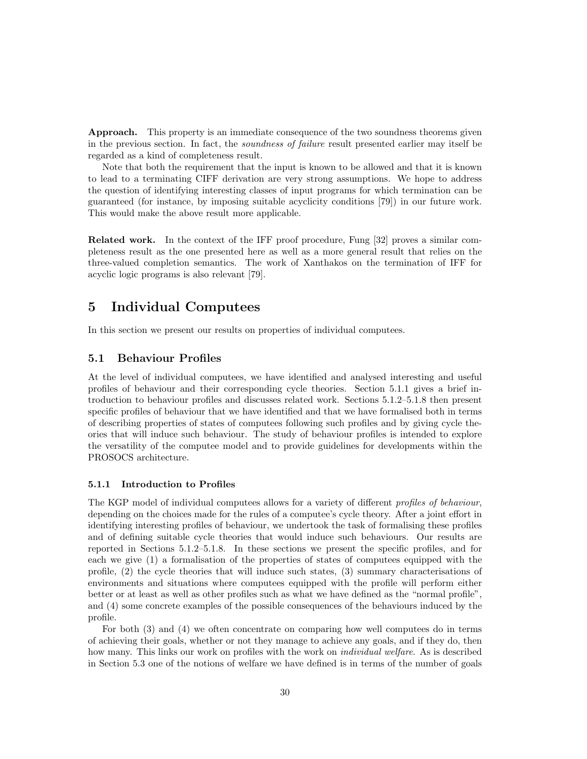**Approach.** This property is an immediate consequence of the two soundness theorems given in the previous section. In fact, the soundness of failure result presented earlier may itself be regarded as a kind of completeness result.

Note that both the requirement that the input is known to be allowed and that it is known to lead to a terminating CIFF derivation are very strong assumptions. We hope to address the question of identifying interesting classes of input programs for which termination can be guaranteed (for instance, by imposing suitable acyclicity conditions [79]) in our future work. This would make the above result more applicable.

Related work. In the context of the IFF proof procedure, Fung [32] proves a similar completeness result as the one presented here as well as a more general result that relies on the three-valued completion semantics. The work of Xanthakos on the termination of IFF for acyclic logic programs is also relevant [79].

# 5 Individual Computees

In this section we present our results on properties of individual computees.

# 5.1 Behaviour Profiles

At the level of individual computees, we have identified and analysed interesting and useful profiles of behaviour and their corresponding cycle theories. Section 5.1.1 gives a brief introduction to behaviour profiles and discusses related work. Sections 5.1.2–5.1.8 then present specific profiles of behaviour that we have identified and that we have formalised both in terms of describing properties of states of computees following such profiles and by giving cycle theories that will induce such behaviour. The study of behaviour profiles is intended to explore the versatility of the computee model and to provide guidelines for developments within the PROSOCS architecture.

#### 5.1.1 Introduction to Profiles

The KGP model of individual computees allows for a variety of different *profiles of behaviour*, depending on the choices made for the rules of a computee's cycle theory. After a joint effort in identifying interesting profiles of behaviour, we undertook the task of formalising these profiles and of defining suitable cycle theories that would induce such behaviours. Our results are reported in Sections 5.1.2–5.1.8. In these sections we present the specific profiles, and for each we give (1) a formalisation of the properties of states of computees equipped with the profile, (2) the cycle theories that will induce such states, (3) summary characterisations of environments and situations where computees equipped with the profile will perform either better or at least as well as other profiles such as what we have defined as the "normal profile", and (4) some concrete examples of the possible consequences of the behaviours induced by the profile.

For both (3) and (4) we often concentrate on comparing how well computees do in terms of achieving their goals, whether or not they manage to achieve any goals, and if they do, then how many. This links our work on profiles with the work on *individual welfare*. As is described in Section 5.3 one of the notions of welfare we have defined is in terms of the number of goals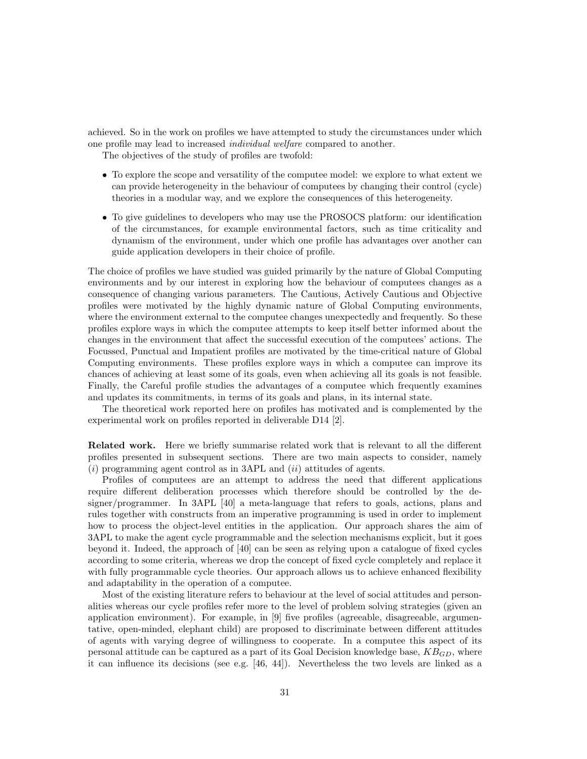achieved. So in the work on profiles we have attempted to study the circumstances under which one profile may lead to increased individual welfare compared to another.

The objectives of the study of profiles are twofold:

- To explore the scope and versatility of the computee model: we explore to what extent we can provide heterogeneity in the behaviour of computees by changing their control (cycle) theories in a modular way, and we explore the consequences of this heterogeneity.
- To give guidelines to developers who may use the PROSOCS platform: our identification of the circumstances, for example environmental factors, such as time criticality and dynamism of the environment, under which one profile has advantages over another can guide application developers in their choice of profile.

The choice of profiles we have studied was guided primarily by the nature of Global Computing environments and by our interest in exploring how the behaviour of computees changes as a consequence of changing various parameters. The Cautious, Actively Cautious and Objective profiles were motivated by the highly dynamic nature of Global Computing environments, where the environment external to the computee changes unexpectedly and frequently. So these profiles explore ways in which the computee attempts to keep itself better informed about the changes in the environment that affect the successful execution of the computees' actions. The Focussed, Punctual and Impatient profiles are motivated by the time-critical nature of Global Computing environments. These profiles explore ways in which a computee can improve its chances of achieving at least some of its goals, even when achieving all its goals is not feasible. Finally, the Careful profile studies the advantages of a computee which frequently examines and updates its commitments, in terms of its goals and plans, in its internal state.

The theoretical work reported here on profiles has motivated and is complemented by the experimental work on profiles reported in deliverable D14 [2].

Related work. Here we briefly summarise related work that is relevant to all the different profiles presented in subsequent sections. There are two main aspects to consider, namely  $(i)$  programming agent control as in 3APL and  $(ii)$  attitudes of agents.

Profiles of computees are an attempt to address the need that different applications require different deliberation processes which therefore should be controlled by the designer/programmer. In 3APL [40] a meta-language that refers to goals, actions, plans and rules together with constructs from an imperative programming is used in order to implement how to process the object-level entities in the application. Our approach shares the aim of 3APL to make the agent cycle programmable and the selection mechanisms explicit, but it goes beyond it. Indeed, the approach of [40] can be seen as relying upon a catalogue of fixed cycles according to some criteria, whereas we drop the concept of fixed cycle completely and replace it with fully programmable cycle theories. Our approach allows us to achieve enhanced flexibility and adaptability in the operation of a computee.

Most of the existing literature refers to behaviour at the level of social attitudes and personalities whereas our cycle profiles refer more to the level of problem solving strategies (given an application environment). For example, in [9] five profiles (agreeable, disagreeable, argumentative, open-minded, elephant child) are proposed to discriminate between different attitudes of agents with varying degree of willingness to cooperate. In a computee this aspect of its personal attitude can be captured as a part of its Goal Decision knowledge base,  $KB_{GD}$ , where it can influence its decisions (see e.g. [46, 44]). Nevertheless the two levels are linked as a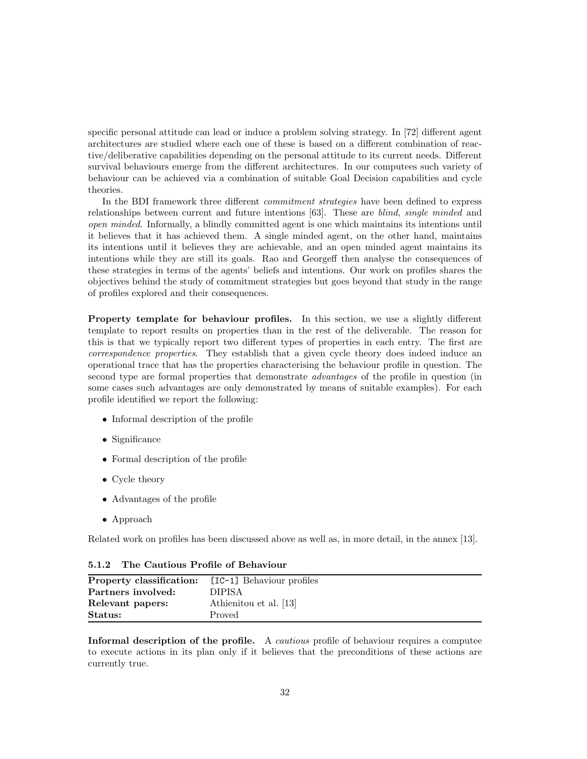specific personal attitude can lead or induce a problem solving strategy. In [72] different agent architectures are studied where each one of these is based on a different combination of reactive/deliberative capabilities depending on the personal attitude to its current needs. Different survival behaviours emerge from the different architectures. In our computees such variety of behaviour can be achieved via a combination of suitable Goal Decision capabilities and cycle theories.

In the BDI framework three different *commitment strategies* have been defined to express relationships between current and future intentions [63]. These are blind, single minded and open minded. Informally, a blindly committed agent is one which maintains its intentions until it believes that it has achieved them. A single minded agent, on the other hand, maintains its intentions until it believes they are achievable, and an open minded agent maintains its intentions while they are still its goals. Rao and Georgeff then analyse the consequences of these strategies in terms of the agents' beliefs and intentions. Our work on profiles shares the objectives behind the study of commitment strategies but goes beyond that study in the range of profiles explored and their consequences.

Property template for behaviour profiles. In this section, we use a slightly different template to report results on properties than in the rest of the deliverable. The reason for this is that we typically report two different types of properties in each entry. The first are correspondence properties. They establish that a given cycle theory does indeed induce an operational trace that has the properties characterising the behaviour profile in question. The second type are formal properties that demonstrate *advantages* of the profile in question (in some cases such advantages are only demonstrated by means of suitable examples). For each profile identified we report the following:

- Informal description of the profile
- Significance
- Formal description of the profile
- Cycle theory
- Advantages of the profile
- Approach

Related work on profiles has been discussed above as well as, in more detail, in the annex [13].

| <b>Property classification:</b> [IC-1] Behaviour profiles |                        |
|-----------------------------------------------------------|------------------------|
| Partners involved:                                        | DIPISA.                |
| Relevant papers:                                          | Athienitou et al. [13] |
| Status:                                                   | Proved                 |

5.1.2 The Cautious Profile of Behaviour

Informal description of the profile. A *cautious* profile of behaviour requires a computee to execute actions in its plan only if it believes that the preconditions of these actions are currently true.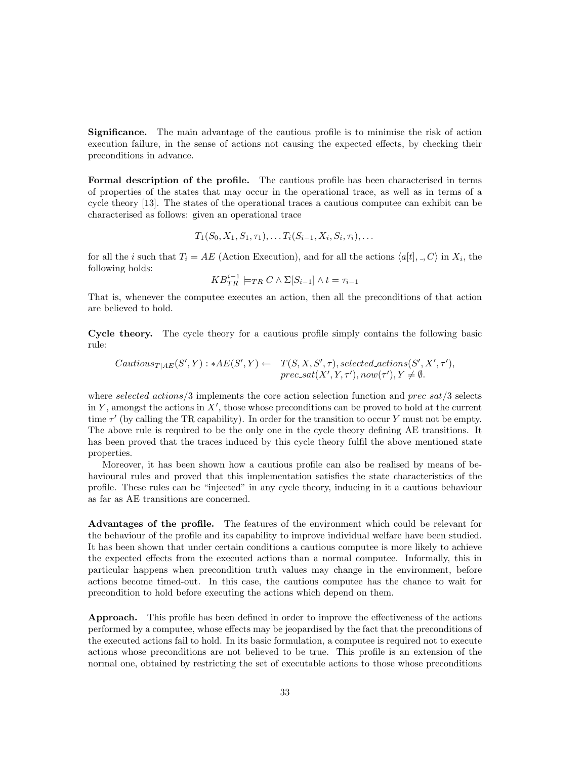Significance. The main advantage of the cautious profile is to minimise the risk of action execution failure, in the sense of actions not causing the expected effects, by checking their preconditions in advance.

Formal description of the profile. The cautious profile has been characterised in terms of properties of the states that may occur in the operational trace, as well as in terms of a cycle theory [13]. The states of the operational traces a cautious computee can exhibit can be characterised as follows: given an operational trace

$$
T_1(S_0, X_1, S_1, \tau_1), \ldots T_i(S_{i-1}, X_i, S_i, \tau_i), \ldots
$$

for all the *i* such that  $T_i = AE$  (Action Execution), and for all the actions  $\langle a[t], \_, C \rangle$  in  $X_i$ , the following holds:

$$
KB^{i-1}_{TR} \models_{TR} C \land \Sigma[S_{i-1}] \land t = \tau_{i-1}
$$

That is, whenever the computee executes an action, then all the preconditions of that action are believed to hold.

Cycle theory. The cycle theory for a cautious profile simply contains the following basic rule:

Cautious<sub>T|AE</sub>
$$
(S', Y) : *AE(S', Y) \leftarrow T(S, X, S', \tau)
$$
, selected actions $(S', X', \tau')$ ,  
prec-sat $(X', Y, \tau')$ , now $(\tau')$ ,  $Y \neq \emptyset$ .

where selected  $\alpha$ ctions/3 implements the core action selection function and  $prec\_sat/3$  selects in Y, amongst the actions in  $X'$ , those whose preconditions can be proved to hold at the current time  $\tau'$  (by calling the TR capability). In order for the transition to occur Y must not be empty. The above rule is required to be the only one in the cycle theory defining AE transitions. It has been proved that the traces induced by this cycle theory fulfil the above mentioned state properties.

Moreover, it has been shown how a cautious profile can also be realised by means of behavioural rules and proved that this implementation satisfies the state characteristics of the profile. These rules can be "injected" in any cycle theory, inducing in it a cautious behaviour as far as AE transitions are concerned.

Advantages of the profile. The features of the environment which could be relevant for the behaviour of the profile and its capability to improve individual welfare have been studied. It has been shown that under certain conditions a cautious computee is more likely to achieve the expected effects from the executed actions than a normal computee. Informally, this in particular happens when precondition truth values may change in the environment, before actions become timed-out. In this case, the cautious computee has the chance to wait for precondition to hold before executing the actions which depend on them.

Approach. This profile has been defined in order to improve the effectiveness of the actions performed by a computee, whose effects may be jeopardised by the fact that the preconditions of the executed actions fail to hold. In its basic formulation, a computee is required not to execute actions whose preconditions are not believed to be true. This profile is an extension of the normal one, obtained by restricting the set of executable actions to those whose preconditions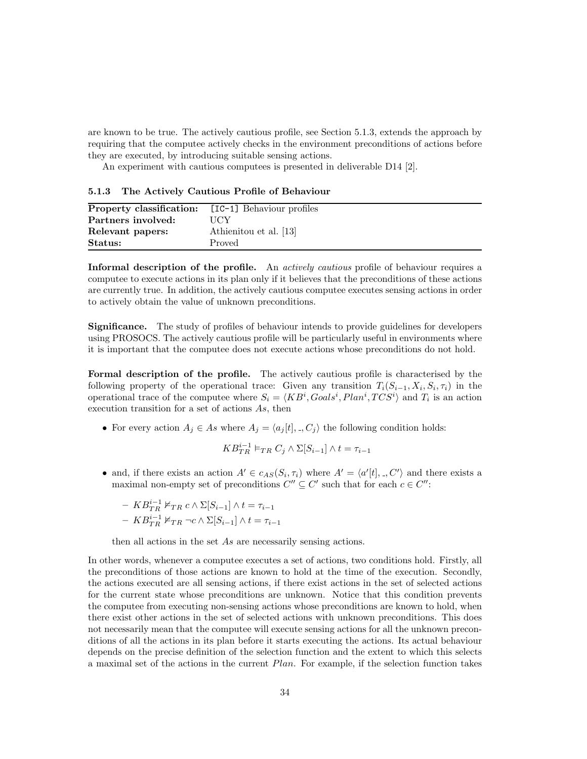are known to be true. The actively cautious profile, see Section 5.1.3, extends the approach by requiring that the computee actively checks in the environment preconditions of actions before they are executed, by introducing suitable sensing actions.

An experiment with cautious computees is presented in deliverable D14 [2].

5.1.3 The Actively Cautious Profile of Behaviour

| <b>Property classification:</b> [IC-1] Behaviour profiles |                        |
|-----------------------------------------------------------|------------------------|
| Partners involved:                                        | HCY                    |
| Relevant papers:                                          | Athienitou et al. [13] |
| Status:                                                   | Proved                 |

Informal description of the profile. An *actively cautious* profile of behaviour requires a computee to execute actions in its plan only if it believes that the preconditions of these actions are currently true. In addition, the actively cautious computee executes sensing actions in order to actively obtain the value of unknown preconditions.

Significance. The study of profiles of behaviour intends to provide guidelines for developers using PROSOCS. The actively cautious profile will be particularly useful in environments where it is important that the computee does not execute actions whose preconditions do not hold.

Formal description of the profile. The actively cautious profile is characterised by the following property of the operational trace: Given any transition  $T_i(S_{i-1}, X_i, S_i, \tau_i)$  in the operational trace of the computee where  $S_i = \langle KB^i, Goals^i, Plan^i, TCS^i \rangle$  and  $T_i$  is an action execution transition for a set of actions As, then

• For every action  $A_j \in As$  where  $A_j = \langle a_j[t], \dots, C_j \rangle$  the following condition holds:

$$
KB^{i-1}_{TR} \vDash_{TR} C_j \wedge \Sigma[S_{i-1}] \wedge t = \tau_{i-1}
$$

• and, if there exists an action  $A' \in c_{AS}(S_i, \tau_i)$  where  $A' = \langle a'[t], \cdot, C' \rangle$  and there exists a maximal non-empty set of preconditions  $C'' \subseteq C'$  such that for each  $c \in C''$ :

$$
- KB_{TR}^{i-1} \nvDash_{TR} c \land \Sigma[S_{i-1}] \land t = \tau_{i-1}
$$

$$
- KB_{TR}^{i-1} \nvDash_{TR} \neg c \land \Sigma[S_{i-1}] \land t = \tau_{i-1}
$$

then all actions in the set As are necessarily sensing actions.

In other words, whenever a computee executes a set of actions, two conditions hold. Firstly, all the preconditions of those actions are known to hold at the time of the execution. Secondly, the actions executed are all sensing actions, if there exist actions in the set of selected actions for the current state whose preconditions are unknown. Notice that this condition prevents the computee from executing non-sensing actions whose preconditions are known to hold, when there exist other actions in the set of selected actions with unknown preconditions. This does not necessarily mean that the computee will execute sensing actions for all the unknown preconditions of all the actions in its plan before it starts executing the actions. Its actual behaviour depends on the precise definition of the selection function and the extent to which this selects a maximal set of the actions in the current Plan. For example, if the selection function takes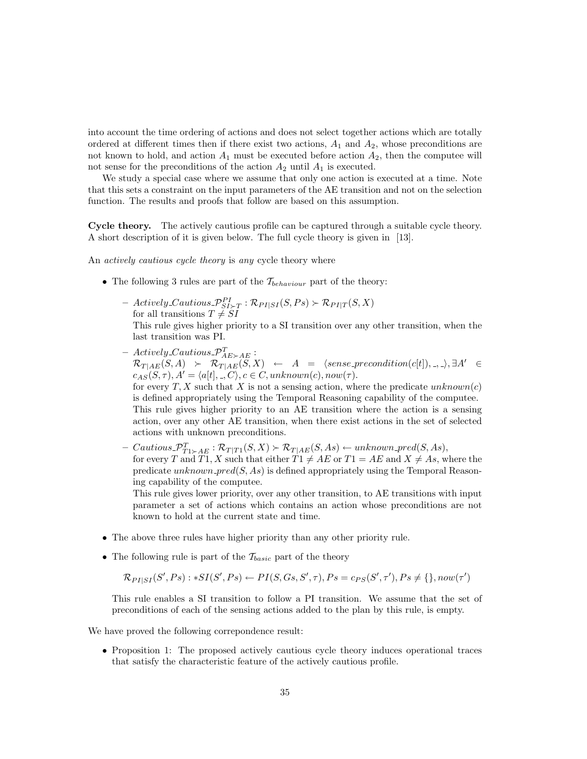into account the time ordering of actions and does not select together actions which are totally ordered at different times then if there exist two actions,  $A_1$  and  $A_2$ , whose preconditions are not known to hold, and action  $A_1$  must be executed before action  $A_2$ , then the computee will not sense for the preconditions of the action  $A_2$  until  $A_1$  is executed.

We study a special case where we assume that only one action is executed at a time. Note that this sets a constraint on the input parameters of the AE transition and not on the selection function. The results and proofs that follow are based on this assumption.

Cycle theory. The actively cautious profile can be captured through a suitable cycle theory. A short description of it is given below. The full cycle theory is given in [13].

An *actively cautious cycle theory* is any cycle theory where

actions with unknown preconditions.

- The following 3 rules are part of the  $\mathcal{T}_{behavior}$  part of the theory:
	- $-$  Actively Cautious  $\mathcal{P}_{SI\succ T}^{PI}: \mathcal{R}_{PI|SI}(S,Ps) \succ \mathcal{R}_{PI|T}(S,X)$ for all transitions  $T \neq SI$

This rule gives higher priority to a SI transition over any other transition, when the last transition was PI.

- $-$  Actively\_Cautious\_ $\mathcal{P}^T_{AE \succ AE}$ :  $\mathcal{R}_{T|AE}(S, A) \rightarrow \mathcal{R}_{T|AE}(S, X) \leftarrow A = \langle sense\_precondition(c[t]), \dots \rangle, \exists A' \in$  $c_{AS}(S, \tau), A' = \langle a[t], \cdot, C \rangle, c \in C, unknown(c), now(\tau).$ for every T, X such that X is not a sensing action, where the predicate  $unknown(c)$ is defined appropriately using the Temporal Reasoning capability of the computee. This rule gives higher priority to an AE transition where the action is a sensing action, over any other AE transition, when there exist actions in the set of selected
- $-$  Cautious  $\mathcal{P}_{T1 \succ AE}^{T}: \mathcal{R}_{T|T1}(S,X) \succ \mathcal{R}_{T|AE}(S,As) \leftarrow unknown\_pred(S,As),$ for every T and T1, X such that either  $T1 \neq AE$  or  $T1 = AE$  and  $X \neq As$ , where the predicate unknown pred $(S, As)$  is defined appropriately using the Temporal Reasoning capability of the computee.

This rule gives lower priority, over any other transition, to AE transitions with input parameter a set of actions which contains an action whose preconditions are not known to hold at the current state and time.

- The above three rules have higher priority than any other priority rule.
- The following rule is part of the  $\mathcal{T}_{basic}$  part of the theory

$$
\mathcal{R}_{PI|SI}(S',Ps): *SI(S',Ps) \leftarrow PI(S, Gs, S', \tau), Ps = c_{PS}(S', \tau'), Ps \neq \{\}, now(\tau')
$$

This rule enables a SI transition to follow a PI transition. We assume that the set of preconditions of each of the sensing actions added to the plan by this rule, is empty.

We have proved the following correpondence result:

• Proposition 1: The proposed actively cautious cycle theory induces operational traces that satisfy the characteristic feature of the actively cautious profile.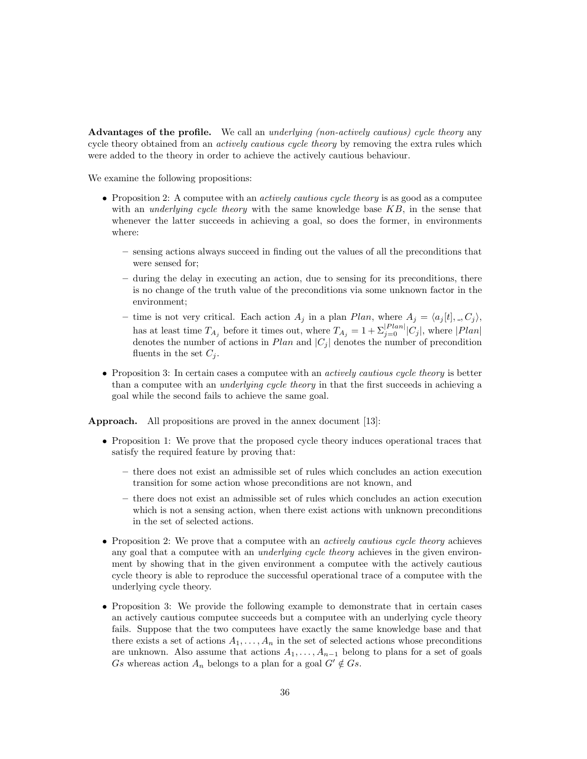Advantages of the profile. We call an *underlying (non-actively cautious) cycle theory* any cycle theory obtained from an *actively cautious cycle theory* by removing the extra rules which were added to the theory in order to achieve the actively cautious behaviour.

We examine the following propositions:

- Proposition 2: A computee with an *actively cautious cycle theory* is as good as a computee with an *underlying cycle theory* with the same knowledge base  $KB$ , in the sense that whenever the latter succeeds in achieving a goal, so does the former, in environments where:
	- sensing actions always succeed in finding out the values of all the preconditions that were sensed for;
	- during the delay in executing an action, due to sensing for its preconditions, there is no change of the truth value of the preconditions via some unknown factor in the environment;
	- time is not very critical. Each action  $A_i$  in a plan Plan, where  $A_i = \langle a_i[t], \cdot, C_i \rangle$ , has at least time  $T_{A_j}$  before it times out, where  $T_{A_j} = 1 + \sum_{j=0}^{|Plan|} |C_j|$ , where  $|Plan|$ denotes the number of actions in  $Plan$  and  $|C_j|$  denotes the number of precondition fluents in the set  $C_i$ .
- Proposition 3: In certain cases a computee with an *actively cautious cycle theory* is better than a computee with an *underlying cycle theory* in that the first succeeds in achieving a goal while the second fails to achieve the same goal.

Approach. All propositions are proved in the annex document [13]:

- Proposition 1: We prove that the proposed cycle theory induces operational traces that satisfy the required feature by proving that:
	- there does not exist an admissible set of rules which concludes an action execution transition for some action whose preconditions are not known, and
	- there does not exist an admissible set of rules which concludes an action execution which is not a sensing action, when there exist actions with unknown preconditions in the set of selected actions.
- Proposition 2: We prove that a computee with an *actively cautious cycle theory* achieves any goal that a computee with an *underlying cycle theory* achieves in the given environment by showing that in the given environment a computee with the actively cautious cycle theory is able to reproduce the successful operational trace of a computee with the underlying cycle theory.
- Proposition 3: We provide the following example to demonstrate that in certain cases an actively cautious computee succeeds but a computee with an underlying cycle theory fails. Suppose that the two computees have exactly the same knowledge base and that there exists a set of actions  $A_1, \ldots, A_n$  in the set of selected actions whose preconditions are unknown. Also assume that actions  $A_1, \ldots, A_{n-1}$  belong to plans for a set of goals Gs whereas action  $A_n$  belongs to a plan for a goal  $G' \notin G_s$ .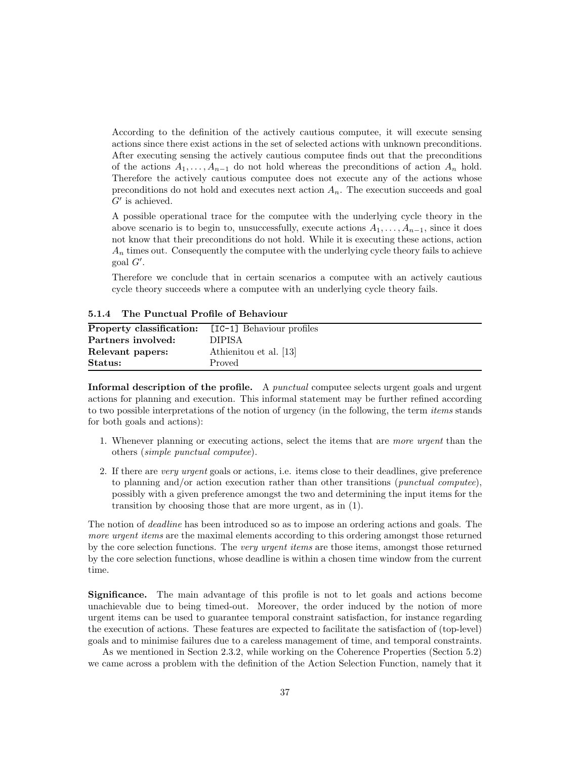According to the definition of the actively cautious computee, it will execute sensing actions since there exist actions in the set of selected actions with unknown preconditions. After executing sensing the actively cautious computee finds out that the preconditions of the actions  $A_1, \ldots, A_{n-1}$  do not hold whereas the preconditions of action  $A_n$  hold. Therefore the actively cautious computee does not execute any of the actions whose preconditions do not hold and executes next action  $A_n$ . The execution succeeds and goal  $G'$  is achieved.

A possible operational trace for the computee with the underlying cycle theory in the above scenario is to begin to, unsuccessfully, execute actions  $A_1, \ldots, A_{n-1}$ , since it does not know that their preconditions do not hold. While it is executing these actions, action  $A_n$  times out. Consequently the computee with the underlying cycle theory fails to achieve  $\gcd G'.$ 

Therefore we conclude that in certain scenarios a computee with an actively cautious cycle theory succeeds where a computee with an underlying cycle theory fails.

5.1.4 The Punctual Profile of Behaviour

| Property classification:            | [IC-1] Behaviour profiles |
|-------------------------------------|---------------------------|
| Partners involved:<br><b>DIPISA</b> |                           |
| Relevant papers:                    | Athienitou et al. [13]    |
| Status:<br>Proved                   |                           |

Informal description of the profile. A *punctual* computee selects urgent goals and urgent actions for planning and execution. This informal statement may be further refined according to two possible interpretations of the notion of urgency (in the following, the term items stands for both goals and actions):

- 1. Whenever planning or executing actions, select the items that are more urgent than the others (simple punctual computee).
- 2. If there are very urgent goals or actions, i.e. items close to their deadlines, give preference to planning and/or action execution rather than other transitions (punctual computee), possibly with a given preference amongst the two and determining the input items for the transition by choosing those that are more urgent, as in (1).

The notion of *deadline* has been introduced so as to impose an ordering actions and goals. The more urgent items are the maximal elements according to this ordering amongst those returned by the core selection functions. The very urgent items are those items, amongst those returned by the core selection functions, whose deadline is within a chosen time window from the current time.

Significance. The main advantage of this profile is not to let goals and actions become unachievable due to being timed-out. Moreover, the order induced by the notion of more urgent items can be used to guarantee temporal constraint satisfaction, for instance regarding the execution of actions. These features are expected to facilitate the satisfaction of (top-level) goals and to minimise failures due to a careless management of time, and temporal constraints.

As we mentioned in Section 2.3.2, while working on the Coherence Properties (Section 5.2) we came across a problem with the definition of the Action Selection Function, namely that it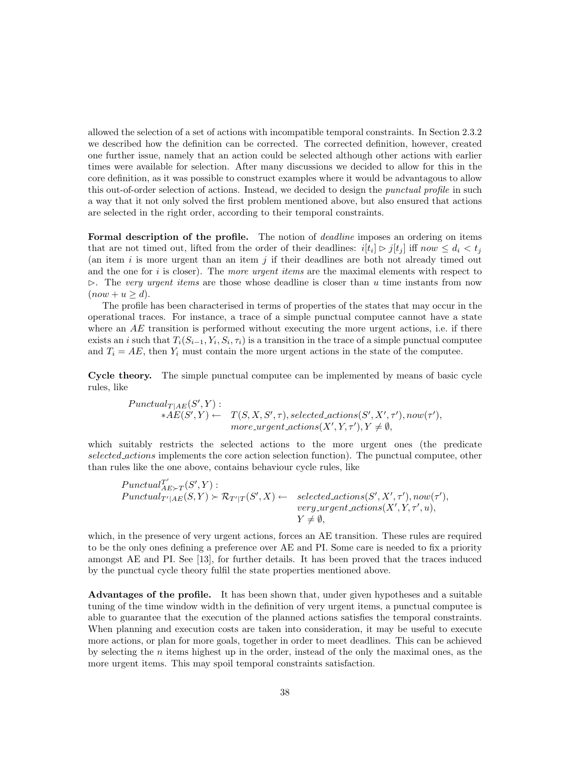allowed the selection of a set of actions with incompatible temporal constraints. In Section 2.3.2 we described how the definition can be corrected. The corrected definition, however, created one further issue, namely that an action could be selected although other actions with earlier times were available for selection. After many discussions we decided to allow for this in the core definition, as it was possible to construct examples where it would be advantagous to allow this out-of-order selection of actions. Instead, we decided to design the *punctual profile* in such a way that it not only solved the first problem mentioned above, but also ensured that actions are selected in the right order, according to their temporal constraints.

Formal description of the profile. The notion of *deadline* imposes an ordering on items that are not timed out, lifted from the order of their deadlines:  $i[t_i] \triangleright j[t_j]$  iff now  $\leq d_i < t_j$ (an item  $i$  is more urgent than an item  $j$  if their deadlines are both not already timed out and the one for  $i$  is closer). The *more urgent items* are the maximal elements with respect to  $\triangleright$ . The very urgent items are those whose deadline is closer than u time instants from now  $(now + u \geq d).$ 

The profile has been characterised in terms of properties of the states that may occur in the operational traces. For instance, a trace of a simple punctual computee cannot have a state where an  $AE$  transition is performed without executing the more urgent actions, i.e. if there exists an i such that  $T_i(S_{i-1}, Y_i, S_i, \tau_i)$  is a transition in the trace of a simple punctual computee and  $T_i = AE$ , then  $Y_i$  must contain the more urgent actions in the state of the computee.

Cycle theory. The simple punctual computee can be implemented by means of basic cycle rules, like

$$
Punctual_{T|AE}(S', Y):*AE(S', Y) \leftarrow T(S, X, S', \tau), selected\_actions(S', X', \tau'), now(\tau'),more\_urgent\_actions(X', Y, \tau'), Y \neq \emptyset,
$$

which suitably restricts the selected actions to the more urgent ones (the predicate selected actions implements the core action selection function). The punctual computee, other than rules like the one above, contains behaviour cycle rules, like

$$
Punctual_{AE \succ T}^{T'}(S', Y) :
$$
  
\n
$$
Punctual_{T'|AE}(S, Y) \succ R_{T'|T}(S', X) \leftarrow \text{ selected} \text{.actions}(S', X', \tau'), now(\tau'),
$$
  
\n
$$
very\text{.actions}(X', Y, \tau', u),
$$
  
\n
$$
Y \neq \emptyset,
$$

which, in the presence of very urgent actions, forces an AE transition. These rules are required to be the only ones defining a preference over AE and PI. Some care is needed to fix a priority amongst AE and PI. See [13], for further details. It has been proved that the traces induced by the punctual cycle theory fulfil the state properties mentioned above.

Advantages of the profile. It has been shown that, under given hypotheses and a suitable tuning of the time window width in the definition of very urgent items, a punctual computee is able to guarantee that the execution of the planned actions satisfies the temporal constraints. When planning and execution costs are taken into consideration, it may be useful to execute more actions, or plan for more goals, together in order to meet deadlines. This can be achieved by selecting the  $n$  items highest up in the order, instead of the only the maximal ones, as the more urgent items. This may spoil temporal constraints satisfaction.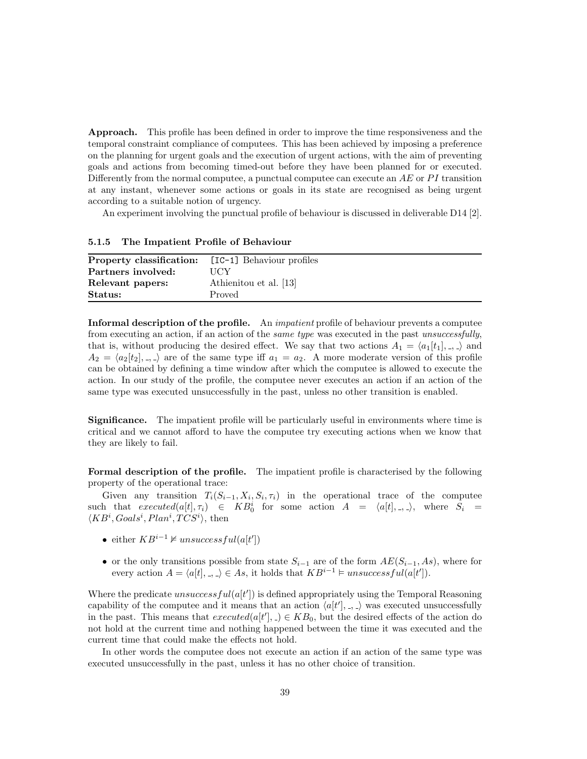Approach. This profile has been defined in order to improve the time responsiveness and the temporal constraint compliance of computees. This has been achieved by imposing a preference on the planning for urgent goals and the execution of urgent actions, with the aim of preventing goals and actions from becoming timed-out before they have been planned for or executed. Differently from the normal computee, a punctual computee can execute an  $AE$  or  $PI$  transition at any instant, whenever some actions or goals in its state are recognised as being urgent according to a suitable notion of urgency.

An experiment involving the punctual profile of behaviour is discussed in deliverable D14 [2].

### 5.1.5 The Impatient Profile of Behaviour

| <b>Property classification:</b> [IC-1] Behaviour profiles |                        |
|-----------------------------------------------------------|------------------------|
| Partners involved:                                        | <b>UCY</b>             |
| Relevant papers:                                          | Athienitou et al. [13] |
| Status:                                                   | Proved                 |

Informal description of the profile. An *impatient* profile of behaviour prevents a computee from executing an action, if an action of the *same type* was executed in the past unsuccessfully, that is, without producing the desired effect. We say that two actions  $A_1 = \langle a_1[t_1], \dots \rangle$  and  $A_2 = \langle a_2[t_2], \ldots \rangle$  are of the same type iff  $a_1 = a_2$ . A more moderate version of this profile can be obtained by defining a time window after which the computee is allowed to execute the action. In our study of the profile, the computee never executes an action if an action of the same type was executed unsuccessfully in the past, unless no other transition is enabled.

Significance. The impatient profile will be particularly useful in environments where time is critical and we cannot afford to have the computee try executing actions when we know that they are likely to fail.

Formal description of the profile. The impatient profile is characterised by the following property of the operational trace:

Given any transition  $T_i(S_{i-1}, X_i, S_i, \tau_i)$  in the operational trace of the computee such that  $executed(a[t], \tau_i) \in KB_0^i$  for some action  $A = \langle a[t], , , \rangle$ , where  $S_i =$  $\langle KB^i, Goals^i, Plan^i, TCS^i \rangle$ , then

- either  $KB^{i-1} \not\vDash$  unsuccess  $ful(a[t'])$
- or the only transitions possible from state  $S_{i-1}$  are of the form  $AE(S_{i-1}, As)$ , where for every action  $A = \langle a[t], \cdot, \cdot \rangle \in As$ , it holds that  $KB^{i-1} \models unsuccessful(a[t'])$ .

Where the predicate  $unsuccessful(a[t'])$  is defined appropriately using the Temporal Reasoning capability of the computee and it means that an action  $\langle a[t'], \ldots \rangle$  was executed unsuccessfully in the past. This means that  $executed(a[t'],.) \in KB_0$ , but the desired effects of the action do not hold at the current time and nothing happened between the time it was executed and the current time that could make the effects not hold.

In other words the computee does not execute an action if an action of the same type was executed unsuccessfully in the past, unless it has no other choice of transition.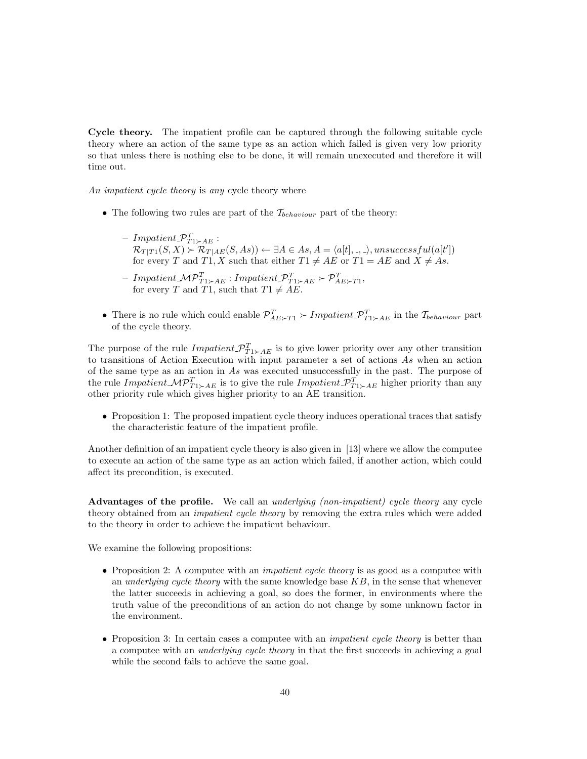Cycle theory. The impatient profile can be captured through the following suitable cycle theory where an action of the same type as an action which failed is given very low priority so that unless there is nothing else to be done, it will remain unexecuted and therefore it will time out.

An *impatient cycle theory* is any cycle theory where

- The following two rules are part of the  $\mathcal{T}_{behavior}$  part of the theory:
	- $-$  Impatient  $\mathcal{P}_{T1\succ A E}^T$ :  $\mathcal{R}_{T|T1}(S, X) \succ \mathcal{R}_{T|AE}(S, As)) \leftarrow \exists A \in As, A = \langle a[t], \_, \_ \rangle, unsuccessful(a[t'])$ for every T and T1, X such that either  $T1 \neq AE$  or  $T1 = AE$  and  $X \neq As$ .
	- $-$  Impatient  $\mathcal{MP}_{T1\succ AE}^T: Impactient \mathcal{P}_{T1\succ AE}^T \succ \mathcal{P}_{AE\succ T1}^T,$ for every T and T1, such that  $T1 \neq AE$ .
- There is no rule which could enable  $\mathcal{P}_{AE \succ T1}^T \succ Implement \mathcal{P}_{T1 \succ AE}^T$  in the  $\mathcal{T}_{behavior}$  part of the cycle theory.

The purpose of the rule  $Impatient \mathcal{P}_{T1 \succ AE}^{T}$  is to give lower priority over any other transition to transitions of Action Execution with input parameter a set of actions As when an action of the same type as an action in As was executed unsuccessfully in the past. The purpose of the rule Impatient  $\mathcal{MP}_{T1 \succ AE}^T$  is to give the rule Impatient  $\mathcal{P}_{T1 \succ AE}^T$  higher priority than any other priority rule which gives higher priority to an AE transition.

• Proposition 1: The proposed impatient cycle theory induces operational traces that satisfy the characteristic feature of the impatient profile.

Another definition of an impatient cycle theory is also given in [13] where we allow the computee to execute an action of the same type as an action which failed, if another action, which could affect its precondition, is executed.

Advantages of the profile. We call an *underlying (non-impatient) cycle theory* any cycle theory obtained from an *impatient cycle theory* by removing the extra rules which were added to the theory in order to achieve the impatient behaviour.

We examine the following propositions:

- Proposition 2: A computee with an *impatient cycle theory* is as good as a computee with an underlying cycle theory with the same knowledge base  $KB$ , in the sense that whenever the latter succeeds in achieving a goal, so does the former, in environments where the truth value of the preconditions of an action do not change by some unknown factor in the environment.
- Proposition 3: In certain cases a computee with an *impatient cycle theory* is better than a computee with an underlying cycle theory in that the first succeeds in achieving a goal while the second fails to achieve the same goal.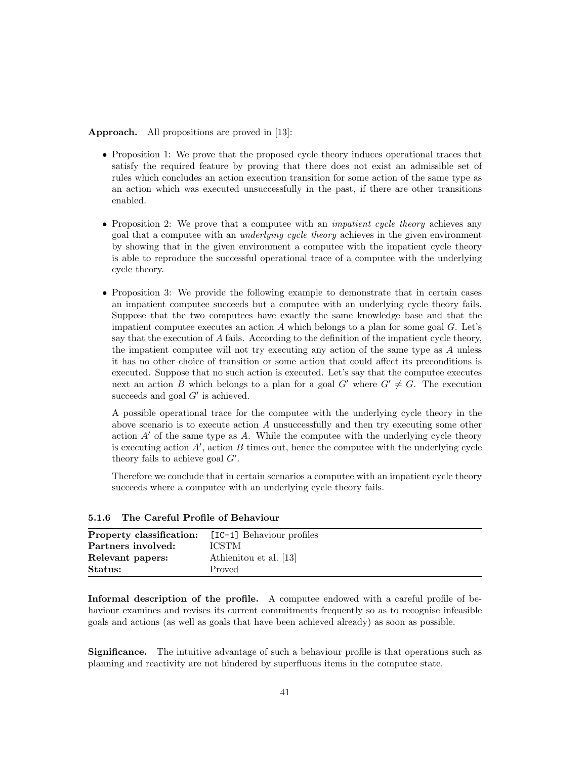Approach. All propositions are proved in [13]:

- Proposition 1: We prove that the proposed cycle theory induces operational traces that satisfy the required feature by proving that there does not exist an admissible set of rules which concludes an action execution transition for some action of the same type as an action which was executed unsuccessfully in the past, if there are other transitions enabled.
- Proposition 2: We prove that a computee with an *impatient cycle theory* achieves any goal that a computee with an underlying cycle theory achieves in the given environment by showing that in the given environment a computee with the impatient cycle theory is able to reproduce the successful operational trace of a computee with the underlying cycle theory.
- Proposition 3: We provide the following example to demonstrate that in certain cases an impatient computee succeeds but a computee with an underlying cycle theory fails. Suppose that the two computees have exactly the same knowledge base and that the impatient computee executes an action  $A$  which belongs to a plan for some goal  $G$ . Let's say that the execution of A fails. According to the definition of the impatient cycle theory, the impatient computee will not try executing any action of the same type as A unless it has no other choice of transition or some action that could affect its preconditions is executed. Suppose that no such action is executed. Let's say that the computee executes next an action B which belongs to a plan for a goal G' where  $G' \neq G$ . The execution succeeds and goal  $G'$  is achieved.

A possible operational trace for the computee with the underlying cycle theory in the above scenario is to execute action A unsuccessfully and then try executing some other action  $A'$  of the same type as A. While the computee with the underlying cycle theory is executing action  $A'$ , action  $B$  times out, hence the computee with the underlying cycle theory fails to achieve goal  $G'$ .

Therefore we conclude that in certain scenarios a computee with an impatient cycle theory succeeds where a computee with an underlying cycle theory fails.

| <b>Property classification:</b> [IC-1] Behaviour profiles |                        |
|-----------------------------------------------------------|------------------------|
| Partners involved:                                        | <b>ICSTM</b>           |
| Relevant papers:                                          | Athienitou et al. [13] |
| Status:                                                   | Proved                 |

5.1.6 The Careful Profile of Behaviour

Informal description of the profile. A computee endowed with a careful profile of behaviour examines and revises its current commitments frequently so as to recognise infeasible goals and actions (as well as goals that have been achieved already) as soon as possible.

Significance. The intuitive advantage of such a behaviour profile is that operations such as planning and reactivity are not hindered by superfluous items in the computee state.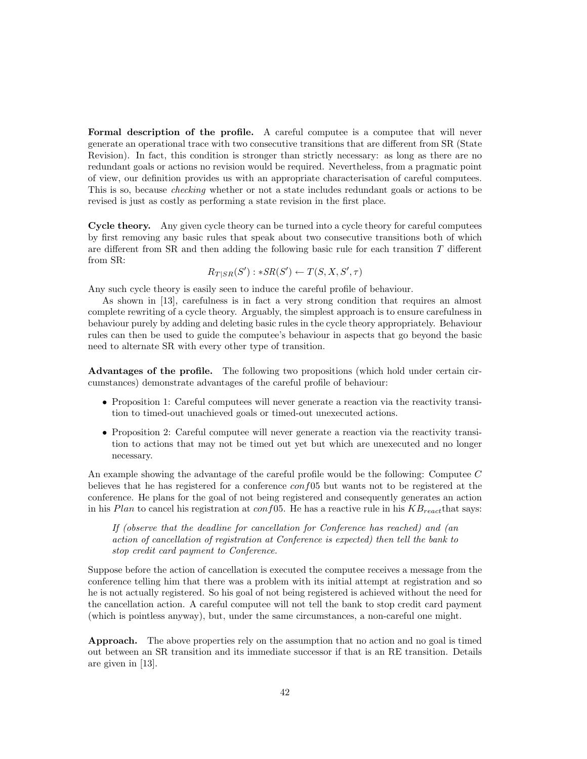Formal description of the profile. A careful computee is a computee that will never generate an operational trace with two consecutive transitions that are different from SR (State Revision). In fact, this condition is stronger than strictly necessary: as long as there are no redundant goals or actions no revision would be required. Nevertheless, from a pragmatic point of view, our definition provides us with an appropriate characterisation of careful computees. This is so, because checking whether or not a state includes redundant goals or actions to be revised is just as costly as performing a state revision in the first place.

Cycle theory. Any given cycle theory can be turned into a cycle theory for careful computees by first removing any basic rules that speak about two consecutive transitions both of which are different from SR and then adding the following basic rule for each transition T different from SR:

$$
R_{T|SR}(S') : *SR(S') \leftarrow T(S, X, S', \tau)
$$

Any such cycle theory is easily seen to induce the careful profile of behaviour.

As shown in [13], carefulness is in fact a very strong condition that requires an almost complete rewriting of a cycle theory. Arguably, the simplest approach is to ensure carefulness in behaviour purely by adding and deleting basic rules in the cycle theory appropriately. Behaviour rules can then be used to guide the computee's behaviour in aspects that go beyond the basic need to alternate SR with every other type of transition.

Advantages of the profile. The following two propositions (which hold under certain circumstances) demonstrate advantages of the careful profile of behaviour:

- Proposition 1: Careful computees will never generate a reaction via the reactivity transition to timed-out unachieved goals or timed-out unexecuted actions.
- Proposition 2: Careful computee will never generate a reaction via the reactivity transition to actions that may not be timed out yet but which are unexecuted and no longer necessary.

An example showing the advantage of the careful profile would be the following: Computee C believes that he has registered for a conference  $conf05$  but wants not to be registered at the conference. He plans for the goal of not being registered and consequently generates an action in his Plan to cancel his registration at  $conf(05)$ . He has a reactive rule in his  $KB_{react}$  that says:

If (observe that the deadline for cancellation for Conference has reached) and (an action of cancellation of registration at Conference is expected) then tell the bank to stop credit card payment to Conference.

Suppose before the action of cancellation is executed the computee receives a message from the conference telling him that there was a problem with its initial attempt at registration and so he is not actually registered. So his goal of not being registered is achieved without the need for the cancellation action. A careful computee will not tell the bank to stop credit card payment (which is pointless anyway), but, under the same circumstances, a non-careful one might.

Approach. The above properties rely on the assumption that no action and no goal is timed out between an SR transition and its immediate successor if that is an RE transition. Details are given in [13].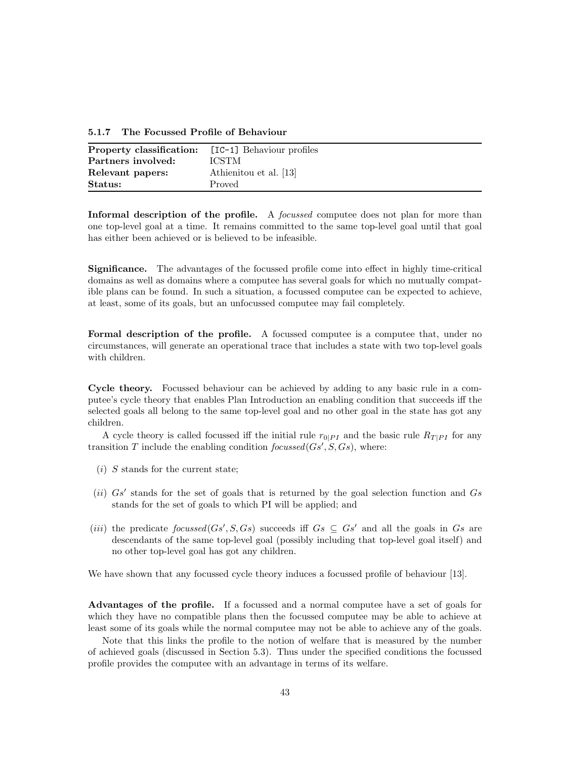5.1.7 The Focussed Profile of Behaviour

| <b>Property classification:</b> [IC-1] Behaviour profiles |                        |
|-----------------------------------------------------------|------------------------|
| Partners involved:                                        | <b>ICSTM</b>           |
| Relevant papers:                                          | Athienitou et al. [13] |
| Status:                                                   | Proved                 |

Informal description of the profile. A *focussed* computee does not plan for more than one top-level goal at a time. It remains committed to the same top-level goal until that goal has either been achieved or is believed to be infeasible.

Significance. The advantages of the focussed profile come into effect in highly time-critical domains as well as domains where a computee has several goals for which no mutually compatible plans can be found. In such a situation, a focussed computee can be expected to achieve, at least, some of its goals, but an unfocussed computee may fail completely.

Formal description of the profile. A focussed computee is a computee that, under no circumstances, will generate an operational trace that includes a state with two top-level goals with children.

Cycle theory. Focussed behaviour can be achieved by adding to any basic rule in a computee's cycle theory that enables Plan Introduction an enabling condition that succeeds iff the selected goals all belong to the same top-level goal and no other goal in the state has got any children.

A cycle theory is called focussed iff the initial rule  $r_{0|PI}$  and the basic rule  $R_{T|PI}$  for any transition T include the enabling condition  $focussed(Gs', S, Gs)$ , where:

- $(i)$  S stands for the current state;
- (ii)  $Gs'$  stands for the set of goals that is returned by the goal selection function and  $Gs$ stands for the set of goals to which PI will be applied; and
- (*iii*) the predicate  $focussed(Gs', S, Gs)$  succeeds iff  $Gs \subseteq Gs'$  and all the goals in Gs are descendants of the same top-level goal (possibly including that top-level goal itself) and no other top-level goal has got any children.

We have shown that any focussed cycle theory induces a focussed profile of behaviour [13].

Advantages of the profile. If a focussed and a normal computee have a set of goals for which they have no compatible plans then the focussed computee may be able to achieve at least some of its goals while the normal computee may not be able to achieve any of the goals.

Note that this links the profile to the notion of welfare that is measured by the number of achieved goals (discussed in Section 5.3). Thus under the specified conditions the focussed profile provides the computee with an advantage in terms of its welfare.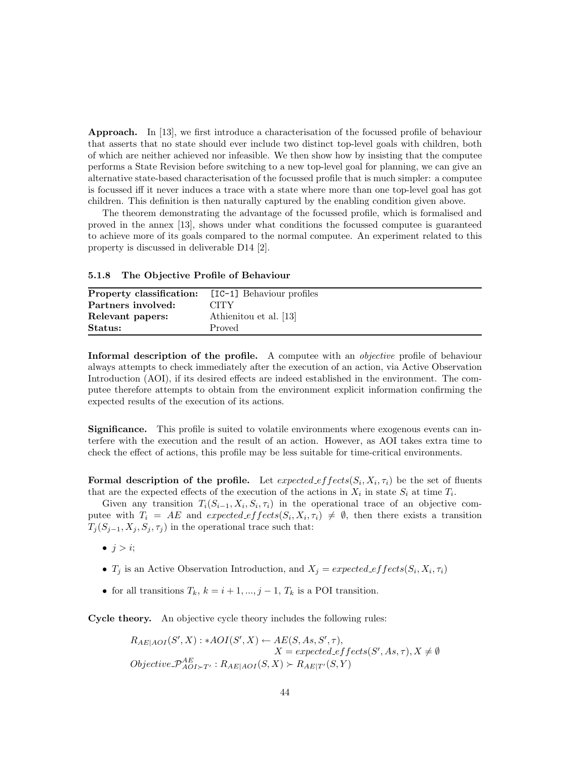Approach. In [13], we first introduce a characterisation of the focussed profile of behaviour that asserts that no state should ever include two distinct top-level goals with children, both of which are neither achieved nor infeasible. We then show how by insisting that the computee performs a State Revision before switching to a new top-level goal for planning, we can give an alternative state-based characterisation of the focussed profile that is much simpler: a computee is focussed iff it never induces a trace with a state where more than one top-level goal has got children. This definition is then naturally captured by the enabling condition given above.

The theorem demonstrating the advantage of the focussed profile, which is formalised and proved in the annex [13], shows under what conditions the focussed computee is guaranteed to achieve more of its goals compared to the normal computee. An experiment related to this property is discussed in deliverable D14 [2].

5.1.8 The Objective Profile of Behaviour

| <b>Property classification:</b> [IC-1] Behaviour profiles<br>Partners involved: | CITY                   |
|---------------------------------------------------------------------------------|------------------------|
| Relevant papers:                                                                | Athienitou et al. [13] |
| Status:                                                                         | Proved                 |

Informal description of the profile. A computee with an *objective* profile of behaviour always attempts to check immediately after the execution of an action, via Active Observation Introduction (AOI), if its desired effects are indeed established in the environment. The computee therefore attempts to obtain from the environment explicit information confirming the expected results of the execution of its actions.

Significance. This profile is suited to volatile environments where exogenous events can interfere with the execution and the result of an action. However, as AOI takes extra time to check the effect of actions, this profile may be less suitable for time-critical environments.

Formal description of the profile. Let  $expected\_effects(S_i, X_i, \tau_i)$  be the set of fluents that are the expected effects of the execution of the actions in  $X_i$  in state  $S_i$  at time  $T_i$ .

Given any transition  $T_i(S_{i-1}, X_i, S_i, \tau_i)$  in the operational trace of an objective computee with  $T_i = AE$  and  $expected\_effects(S_i, X_i, \tau_i) \neq \emptyset$ , then there exists a transition  $T_i(S_{j-1}, X_j, S_j, \tau_j)$  in the operational trace such that:

 $\bullet$  j > i;

- $T_j$  is an Active Observation Introduction, and  $X_j = expected\_effects(S_i, X_i, \tau_i)$
- for all transitions  $T_k$ ,  $k = i + 1, ..., j 1, T_k$  is a POI transition.

Cycle theory. An objective cycle theory includes the following rules:

$$
R_{AE|AOI}(S', X) : *AOI(S', X) \leftarrow AE(S, As, S', \tau),
$$
  
\n
$$
X = expected\_effects(S', As, \tau), X \neq \emptyset
$$
  
\n
$$
Objective\_P_{AOI \succ T'}^{AE} : R_{AE|AOI}(S, X) \leftarrow R_{AE|T'}(S, Y)
$$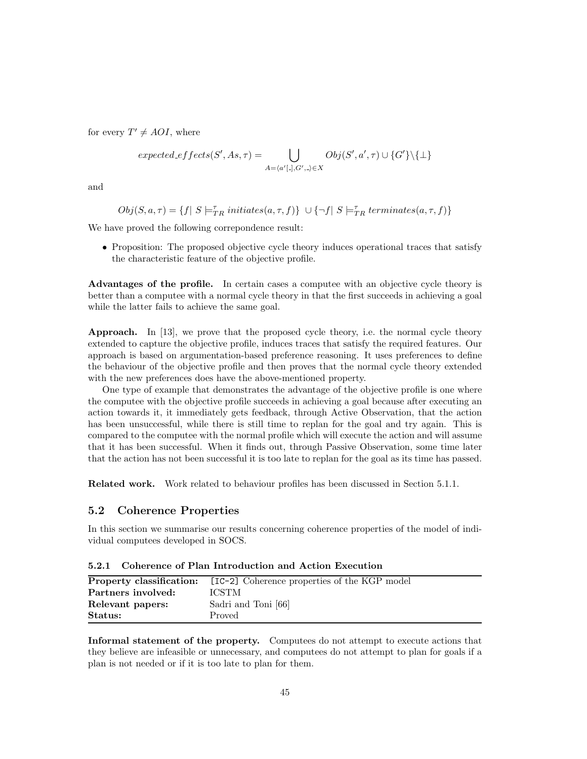for every  $T' \neq AOI$ , where

$$
expected\_effects(S', As, \tau) = \bigcup_{A = \langle a' \lfloor . \rfloor, G', . \rangle \in X} Obj(S', a', \tau) \cup \{G'\} \setminus \{\bot\}
$$

and

$$
Obj(S, a, \tau) = \{f \mid S \models_{TR}^{\tau}initiates(a, \tau, f)\} \cup \{\neg f \mid S \models_{TR}^{\tau} terminates(a, \tau, f)\}
$$

We have proved the following correpondence result:

• Proposition: The proposed objective cycle theory induces operational traces that satisfy the characteristic feature of the objective profile.

Advantages of the profile. In certain cases a computee with an objective cycle theory is better than a computee with a normal cycle theory in that the first succeeds in achieving a goal while the latter fails to achieve the same goal.

Approach. In [13], we prove that the proposed cycle theory, i.e. the normal cycle theory extended to capture the objective profile, induces traces that satisfy the required features. Our approach is based on argumentation-based preference reasoning. It uses preferences to define the behaviour of the objective profile and then proves that the normal cycle theory extended with the new preferences does have the above-mentioned property.

One type of example that demonstrates the advantage of the objective profile is one where the computee with the objective profile succeeds in achieving a goal because after executing an action towards it, it immediately gets feedback, through Active Observation, that the action has been unsuccessful, while there is still time to replan for the goal and try again. This is compared to the computee with the normal profile which will execute the action and will assume that it has been successful. When it finds out, through Passive Observation, some time later that the action has not been successful it is too late to replan for the goal as its time has passed.

Related work. Work related to behaviour profiles has been discussed in Section 5.1.1.

## 5.2 Coherence Properties

In this section we summarise our results concerning coherence properties of the model of individual computees developed in SOCS.

|                    | <b>Property classification:</b> [IC-2] Coherence properties of the KGP model |
|--------------------|------------------------------------------------------------------------------|
| Partners involved: | <b>ICSTM</b>                                                                 |
| Relevant papers:   | Sadri and Toni [66]                                                          |
| Status:            | Proved                                                                       |

5.2.1 Coherence of Plan Introduction and Action Execution

Informal statement of the property. Computees do not attempt to execute actions that they believe are infeasible or unnecessary, and computees do not attempt to plan for goals if a plan is not needed or if it is too late to plan for them.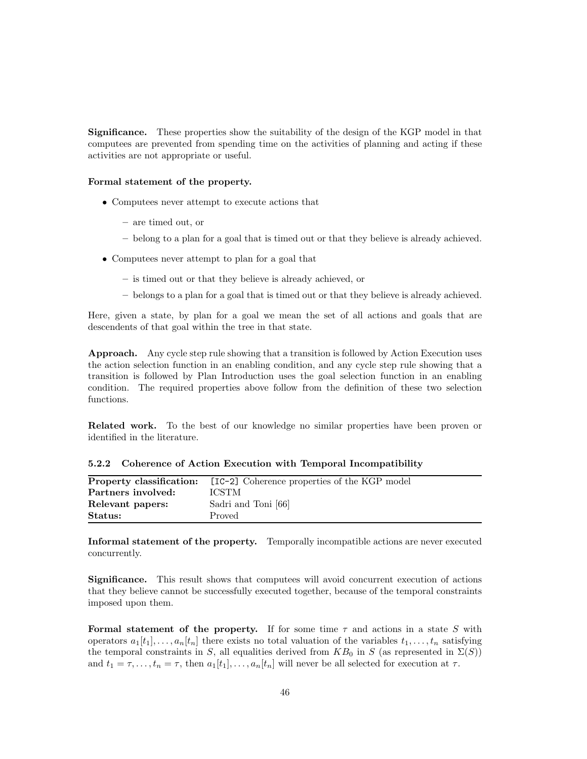Significance. These properties show the suitability of the design of the KGP model in that computees are prevented from spending time on the activities of planning and acting if these activities are not appropriate or useful.

#### Formal statement of the property.

- Computees never attempt to execute actions that
	- are timed out, or
	- belong to a plan for a goal that is timed out or that they believe is already achieved.
- Computees never attempt to plan for a goal that
	- is timed out or that they believe is already achieved, or
	- belongs to a plan for a goal that is timed out or that they believe is already achieved.

Here, given a state, by plan for a goal we mean the set of all actions and goals that are descendents of that goal within the tree in that state.

Approach. Any cycle step rule showing that a transition is followed by Action Execution uses the action selection function in an enabling condition, and any cycle step rule showing that a transition is followed by Plan Introduction uses the goal selection function in an enabling condition. The required properties above follow from the definition of these two selection functions.

Related work. To the best of our knowledge no similar properties have been proven or identified in the literature.

|  |  |  | 5.2.2 Coherence of Action Execution with Temporal Incompatibility |  |
|--|--|--|-------------------------------------------------------------------|--|
|  |  |  |                                                                   |  |

|                    | <b>Property classification:</b> [IC-2] Coherence properties of the KGP model |
|--------------------|------------------------------------------------------------------------------|
| Partners involved: | <b>ICSTM</b>                                                                 |
| Relevant papers:   | Sadri and Toni [66]                                                          |
| Status:            | Proved                                                                       |

Informal statement of the property. Temporally incompatible actions are never executed concurrently.

Significance. This result shows that computees will avoid concurrent execution of actions that they believe cannot be successfully executed together, because of the temporal constraints imposed upon them.

Formal statement of the property. If for some time  $\tau$  and actions in a state S with operators  $a_1[t_1], \ldots, a_n[t_n]$  there exists no total valuation of the variables  $t_1, \ldots, t_n$  satisfying the temporal constraints in S, all equalities derived from  $KB_0$  in S (as represented in  $\Sigma(S)$ ) and  $t_1 = \tau, \ldots, t_n = \tau$ , then  $a_1[t_1], \ldots, a_n[t_n]$  will never be all selected for execution at  $\tau$ .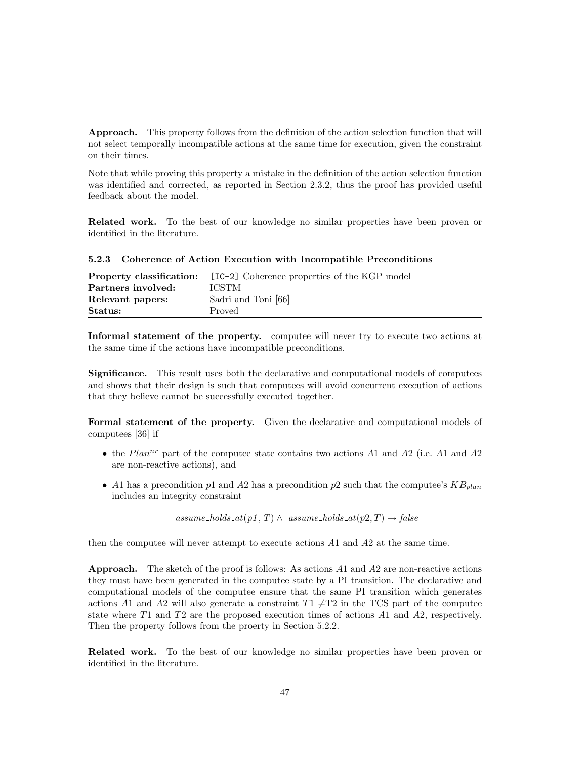Approach. This property follows from the definition of the action selection function that will not select temporally incompatible actions at the same time for execution, given the constraint on their times.

Note that while proving this property a mistake in the definition of the action selection function was identified and corrected, as reported in Section 2.3.2, thus the proof has provided useful feedback about the model.

Related work. To the best of our knowledge no similar properties have been proven or identified in the literature.

| Property classification: | [IC-2] Coherence properties of the KGP model |
|--------------------------|----------------------------------------------|
| Partners involved:       | <b>ICSTM</b>                                 |
| Relevant papers:         | Sadri and Toni [66]                          |
| Status:                  | Proved                                       |

5.2.3 Coherence of Action Execution with Incompatible Preconditions

Informal statement of the property. computee will never try to execute two actions at the same time if the actions have incompatible preconditions.

Significance. This result uses both the declarative and computational models of computees and shows that their design is such that computees will avoid concurrent execution of actions that they believe cannot be successfully executed together.

Formal statement of the property. Given the declarative and computational models of computees [36] if

- the  $Plan^{nr}$  part of the computee state contains two actions A1 and A2 (i.e. A1 and A2 are non-reactive actions), and
- A1 has a precondition p1 and A2 has a precondition p2 such that the computee's  $KB_{plan}$ includes an integrity constraint

assume\_holds\_at(p1, T)  $\land$  assume\_holds\_at(p2, T)  $\rightarrow$  false

then the computee will never attempt to execute actions A1 and A2 at the same time.

**Approach.** The sketch of the proof is follows: As actions  $A1$  and  $A2$  are non-reactive actions they must have been generated in the computee state by a PI transition. The declarative and computational models of the computee ensure that the same PI transition which generates actions A1 and A2 will also generate a constraint  $T1 \neq T2$  in the TCS part of the computee state where T1 and T2 are the proposed execution times of actions A1 and A2, respectively. Then the property follows from the proerty in Section 5.2.2.

Related work. To the best of our knowledge no similar properties have been proven or identified in the literature.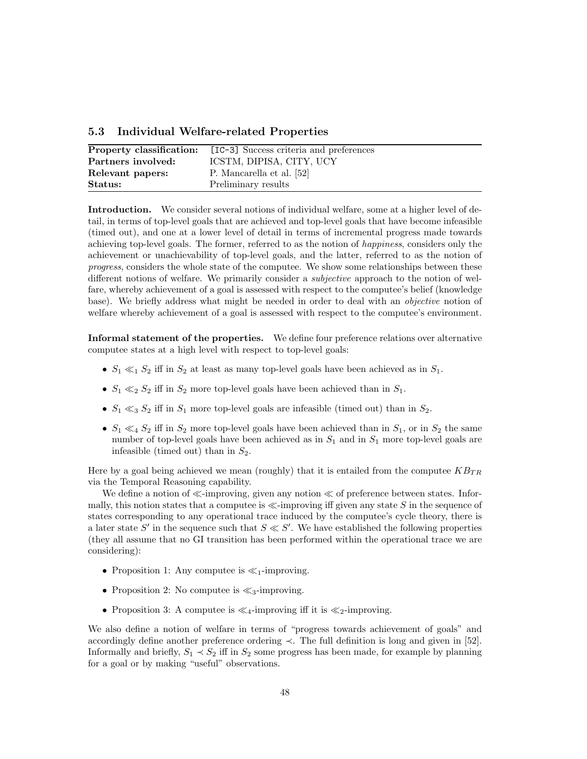|  |  | 5.3 Individual Welfare-related Properties |  |
|--|--|-------------------------------------------|--|
|--|--|-------------------------------------------|--|

| Property classification: | [IC-3] Success criteria and preferences |
|--------------------------|-----------------------------------------|
| Partners involved:       | ICSTM, DIPISA, CITY, UCY                |
| Relevant papers:         | P. Mancarella et al. [52]               |
| Status:                  | Preliminary results                     |

Introduction. We consider several notions of individual welfare, some at a higher level of detail, in terms of top-level goals that are achieved and top-level goals that have become infeasible (timed out), and one at a lower level of detail in terms of incremental progress made towards achieving top-level goals. The former, referred to as the notion of happiness, considers only the achievement or unachievability of top-level goals, and the latter, referred to as the notion of progress, considers the whole state of the computee. We show some relationships between these different notions of welfare. We primarily consider a *subjective* approach to the notion of welfare, whereby achievement of a goal is assessed with respect to the computee's belief (knowledge base). We briefly address what might be needed in order to deal with an *objective* notion of welfare whereby achievement of a goal is assessed with respect to the computee's environment.

Informal statement of the properties. We define four preference relations over alternative computee states at a high level with respect to top-level goals:

- $S_1 \ll_1 S_2$  iff in  $S_2$  at least as many top-level goals have been achieved as in  $S_1$ .
- $S_1 \ll_2 S_2$  iff in  $S_2$  more top-level goals have been achieved than in  $S_1$ .
- $S_1 \ll_3 S_2$  iff in  $S_1$  more top-level goals are infeasible (timed out) than in  $S_2$ .
- $S_1 \ll_4 S_2$  iff in  $S_2$  more top-level goals have been achieved than in  $S_1$ , or in  $S_2$  the same number of top-level goals have been achieved as in  $S_1$  and in  $S_1$  more top-level goals are infeasible (timed out) than in  $S_2$ .

Here by a goal being achieved we mean (roughly) that it is entailed from the computee  $KB_{TR}$ via the Temporal Reasoning capability.

We define a notion of  $\ll$ -improving, given any notion  $\ll$  of preference between states. Informally, this notion states that a computee is  $\ll$ -improving iff given any state S in the sequence of states corresponding to any operational trace induced by the computee's cycle theory, there is a later state S' in the sequence such that  $S \ll S'$ . We have established the following properties (they all assume that no GI transition has been performed within the operational trace we are considering):

- Proposition 1: Any computee is  $\ll_1$ -improving.
- Proposition 2: No computee is  $\ll_3$ -improving.
- Proposition 3: A computee is  $\ll_4$ -improving iff it is  $\ll_2$ -improving.

We also define a notion of welfare in terms of "progress towards achievement of goals" and accordingly define another preference ordering ≺. The full definition is long and given in [52]. Informally and briefly,  $S_1 \prec S_2$  iff in  $S_2$  some progress has been made, for example by planning for a goal or by making "useful" observations.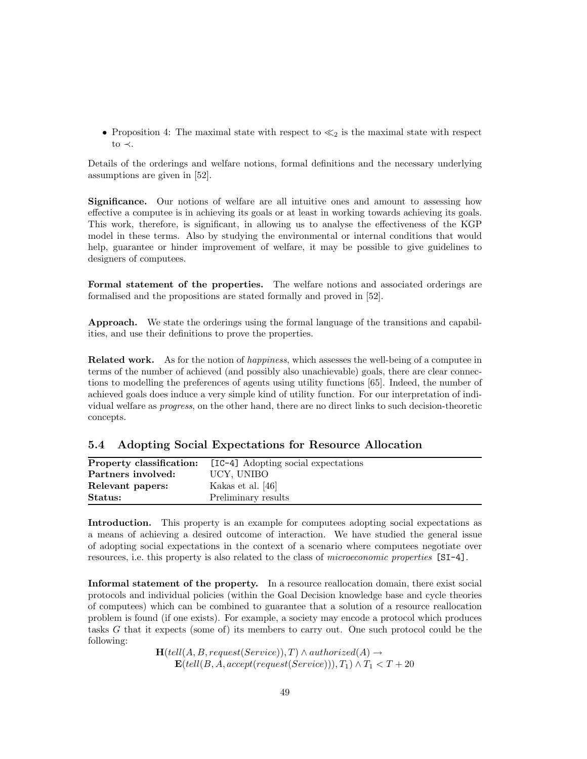• Proposition 4: The maximal state with respect to  $\ll_2$  is the maximal state with respect to  $\prec$ .

Details of the orderings and welfare notions, formal definitions and the necessary underlying assumptions are given in [52].

Significance. Our notions of welfare are all intuitive ones and amount to assessing how effective a computee is in achieving its goals or at least in working towards achieving its goals. This work, therefore, is significant, in allowing us to analyse the effectiveness of the KGP model in these terms. Also by studying the environmental or internal conditions that would help, guarantee or hinder improvement of welfare, it may be possible to give guidelines to designers of computees.

Formal statement of the properties. The welfare notions and associated orderings are formalised and the propositions are stated formally and proved in [52].

Approach. We state the orderings using the formal language of the transitions and capabilities, and use their definitions to prove the properties.

Related work. As for the notion of happiness, which assesses the well-being of a computee in terms of the number of achieved (and possibly also unachievable) goals, there are clear connections to modelling the preferences of agents using utility functions [65]. Indeed, the number of achieved goals does induce a very simple kind of utility function. For our interpretation of individual welfare as progress, on the other hand, there are no direct links to such decision-theoretic concepts.

|  | 5.4 Adopting Social Expectations for Resource Allocation |  |  |
|--|----------------------------------------------------------|--|--|
|  |                                                          |  |  |

| Property classification: | [IC-4] Adopting social expectations |
|--------------------------|-------------------------------------|
| Partners involved:       | UCY, UNIBO                          |
| Relevant papers:         | Kakas et al. [46]                   |
| Status:                  | Preliminary results                 |

Introduction. This property is an example for computees adopting social expectations as a means of achieving a desired outcome of interaction. We have studied the general issue of adopting social expectations in the context of a scenario where computees negotiate over resources, i.e. this property is also related to the class of microeconomic properties [SI-4].

Informal statement of the property. In a resource reallocation domain, there exist social protocols and individual policies (within the Goal Decision knowledge base and cycle theories of computees) which can be combined to guarantee that a solution of a resource reallocation problem is found (if one exists). For example, a society may encode a protocol which produces tasks G that it expects (some of) its members to carry out. One such protocol could be the following:

> $H(tell(A, B, request(Service)), T) \wedge authorized(A) \rightarrow$  $\mathbf{E}(tell(B, A, accept(request(Service))), T_1) \wedge T_1 < T + 20$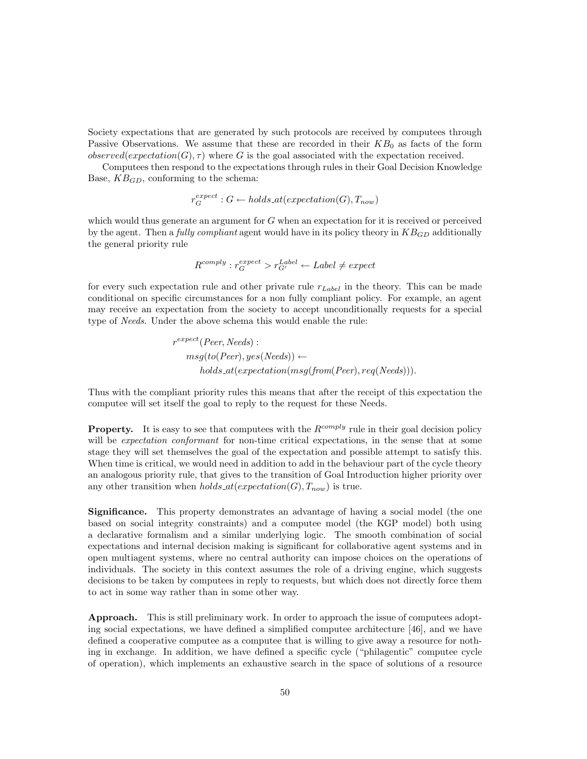Society expectations that are generated by such protocols are received by computees through Passive Observations. We assume that these are recorded in their  $KB<sub>0</sub>$  as facts of the form  $observed(expectation(G), \tau)$  where G is the goal associated with the expectation received.

Computees then respond to the expectations through rules in their Goal Decision Knowledge Base,  $KB_{GD}$ , conforming to the schema:

$$
r_G^{expect}: G \leftarrow holds\_at(expectation(G), T_{now})
$$

which would thus generate an argument for  $G$  when an expectation for it is received or perceived by the agent. Then a fully compliant agent would have in its policy theory in  $KB_{GD}$  additionally the general priority rule

$$
R^{comply}: r_G^{expect} > r_{G'}^{Label} \leftarrow Label \neq expect
$$

for every such expectation rule and other private rule  $r_{Label}$  in the theory. This can be made conditional on specific circumstances for a non fully compliant policy. For example, an agent may receive an expectation from the society to accept unconditionally requests for a special type of Needs. Under the above schema this would enable the rule:

$$
r^{expect}(Peer, Needs):
$$
  
\n
$$
msg(to(Peer), yes(Needs)) \leftarrow
$$
  
\n
$$
holds\_at(expectation(msg(from(Peer), req(Needs))).
$$

Thus with the compliant priority rules this means that after the receipt of this expectation the computee will set itself the goal to reply to the request for these Needs.

**Property.** It is easy to see that computees with the  $R^{comply}$  rule in their goal decision policy will be *expectation conformant* for non-time critical expectations, in the sense that at some stage they will set themselves the goal of the expectation and possible attempt to satisfy this. When time is critical, we would need in addition to add in the behaviour part of the cycle theory an analogous priority rule, that gives to the transition of Goal Introduction higher priority over any other transition when  $holds\_at(expectation(G), T_{now})$  is true.

Significance. This property demonstrates an advantage of having a social model (the one based on social integrity constraints) and a computee model (the KGP model) both using a declarative formalism and a similar underlying logic. The smooth combination of social expectations and internal decision making is significant for collaborative agent systems and in open multiagent systems, where no central authority can impose choices on the operations of individuals. The society in this context assumes the role of a driving engine, which suggests decisions to be taken by computees in reply to requests, but which does not directly force them to act in some way rather than in some other way.

Approach. This is still preliminary work. In order to approach the issue of computees adopting social expectations, we have defined a simplified computee architecture [46], and we have defined a cooperative computee as a computee that is willing to give away a resource for nothing in exchange. In addition, we have defined a specific cycle ("philagentic" computee cycle of operation), which implements an exhaustive search in the space of solutions of a resource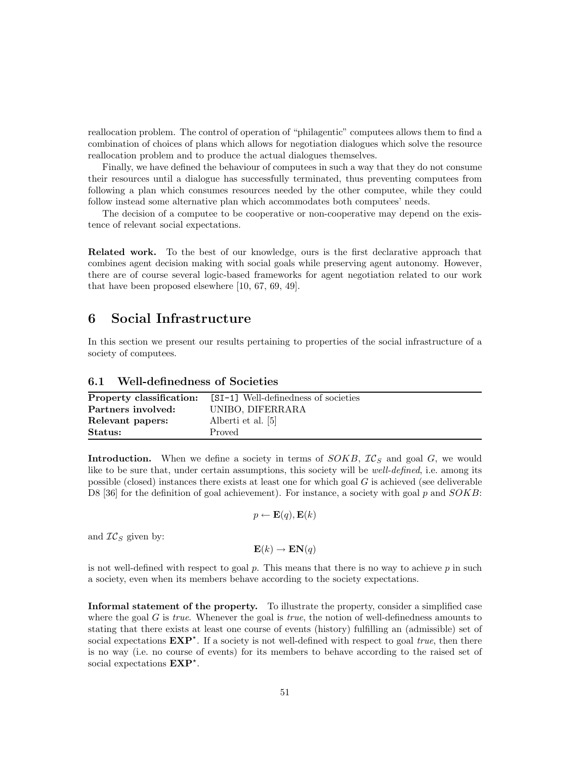reallocation problem. The control of operation of "philagentic" computees allows them to find a combination of choices of plans which allows for negotiation dialogues which solve the resource reallocation problem and to produce the actual dialogues themselves.

Finally, we have defined the behaviour of computees in such a way that they do not consume their resources until a dialogue has successfully terminated, thus preventing computees from following a plan which consumes resources needed by the other computee, while they could follow instead some alternative plan which accommodates both computees' needs.

The decision of a computee to be cooperative or non-cooperative may depend on the existence of relevant social expectations.

Related work. To the best of our knowledge, ours is the first declarative approach that combines agent decision making with social goals while preserving agent autonomy. However, there are of course several logic-based frameworks for agent negotiation related to our work that have been proposed elsewhere [10, 67, 69, 49].

## 6 Social Infrastructure

In this section we present our results pertaining to properties of the social infrastructure of a society of computees.

## 6.1 Well-definedness of Societies

| Property classification: | [SI-1] Well-definedness of societies |
|--------------------------|--------------------------------------|
| Partners involved:       | UNIBO, DIFERRARA                     |
| Relevant papers:         | Alberti et al. [5]                   |
| Status:                  | Proved                               |

**Introduction.** When we define a society in terms of  $SOKB$ ,  $IC_S$  and goal G, we would like to be sure that, under certain assumptions, this society will be *well-defined*, i.e. among its possible (closed) instances there exists at least one for which goal  $G$  is achieved (see deliverable D8 [36] for the definition of goal achievement). For instance, a society with goal p and  $SOKB$ :

$$
p \leftarrow \mathbf{E}(q), \mathbf{E}(k)
$$

and  $TC_S$  given by:

 $\mathbf{E}(k) \rightarrow \mathbf{EN}(q)$ 

is not well-defined with respect to goal  $p$ . This means that there is no way to achieve  $p$  in such a society, even when its members behave according to the society expectations.

Informal statement of the property. To illustrate the property, consider a simplified case where the goal G is true. Whenever the goal is true, the notion of well-definedness amounts to stating that there exists at least one course of events (history) fulfilling an (admissible) set of social expectations  $EXP^*$ . If a society is not well-defined with respect to goal *true*, then there is no way (i.e. no course of events) for its members to behave according to the raised set of social expectations  $EXP^*$ .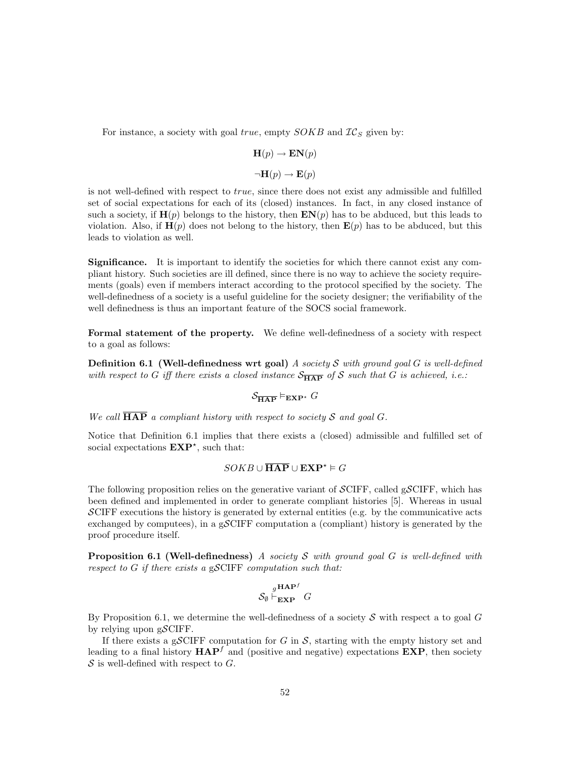For instance, a society with goal  $true$ , empty  $SOKB$  and  $IC_S$  given by:

$$
\mathbf{H}(p) \to \mathbf{EN}(p)
$$

$$
\neg \mathbf{H}(p) \to \mathbf{E}(p)
$$

is not well-defined with respect to true, since there does not exist any admissible and fulfilled set of social expectations for each of its (closed) instances. In fact, in any closed instance of such a society, if  $\mathbf{H}(p)$  belongs to the history, then  $\mathbf{EN}(p)$  has to be abduced, but this leads to violation. Also, if  $\mathbf{H}(p)$  does not belong to the history, then  $\mathbf{E}(p)$  has to be abduced, but this leads to violation as well.

Significance. It is important to identify the societies for which there cannot exist any compliant history. Such societies are ill defined, since there is no way to achieve the society requirements (goals) even if members interact according to the protocol specified by the society. The well-definedness of a society is a useful guideline for the society designer; the verifiability of the well definedness is thus an important feature of the SOCS social framework.

Formal statement of the property. We define well-definedness of a society with respect to a goal as follows:

**Definition 6.1 (Well-definedness wrt goal)** A society S with ground goal G is well-defined with respect to G iff there exists a closed instance  $S_{\overline{HAP}}$  of S such that G is achieved, i.e.:

# $\mathcal{S}_{\overline{\mathbf{HAP}}} \vDash_{\mathbf{EXP}^*} G$

We call  $\overline{\text{HAP}}$  a compliant history with respect to society S and goal G.

Notice that Definition 6.1 implies that there exists a (closed) admissible and fulfilled set of social expectations  $EXP^*$ , such that:

### $SOKB \cup \overline{\textbf{HAP}} \cup \textbf{EXP}^* \models G$

The following proposition relies on the generative variant of  $\mathcal{SCIFF}$ , called  $\mathcal{SCIFF}$ , which has been defined and implemented in order to generate compliant histories [5]. Whereas in usual  $\mathcal{S}$ CIFF executions the history is generated by external entities (e.g. by the communicative acts exchanged by computees), in a gSCIFF computation a (compliant) history is generated by the proof procedure itself.

**Proposition 6.1 (Well-definedness)** A society S with ground goal G is well-defined with respect to  $G$  if there exists a gSCIFF computation such that:

$$
\mathcal{S}_{\emptyset} \stackrel{g \textbf{HAP}^f}{\vdash_{\textbf{EXP}}} G
$$

By Proposition 6.1, we determine the well-definedness of a society  $\mathcal S$  with respect a to goal  $G$ by relying upon  $g\mathcal{S}ClFF$ .

If there exists a gSCIFF computation for G in  $S$ , starting with the empty history set and leading to a final history  $HAP<sup>f</sup>$  and (positive and negative) expectations  $EXP$ , then society  $S$  is well-defined with respect to  $G$ .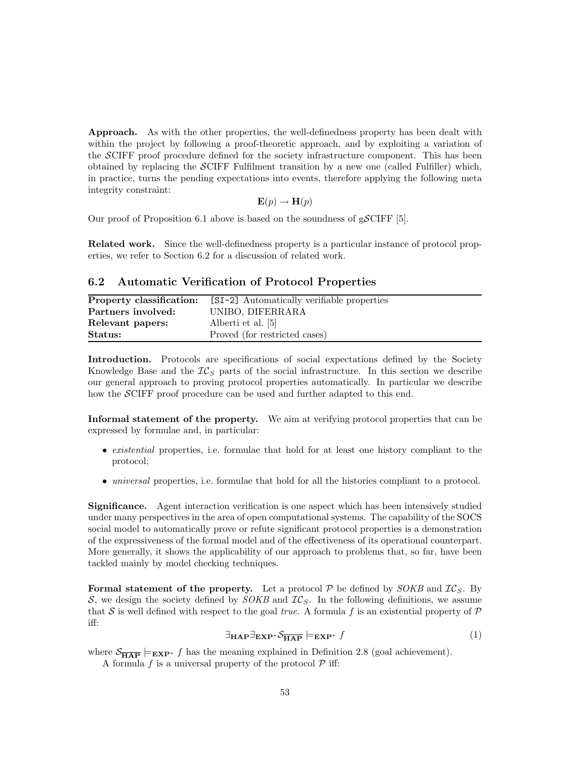Approach. As with the other properties, the well-definedness property has been dealt with within the project by following a proof-theoretic approach, and by exploiting a variation of the SCIFF proof procedure defined for the society infrastructure component. This has been obtained by replacing the  $\mathcal{S}$ CIFF Fulfilment transition by a new one (called Fulfiller) which, in practice, turns the pending expectations into events, therefore applying the following meta integrity constraint:

$$
\mathbf{E}(p) \to \mathbf{H}(p)
$$

Our proof of Proposition 6.1 above is based on the soundness of gSCIFF [5].

Related work. Since the well-definedness property is a particular instance of protocol properties, we refer to Section 6.2 for a discussion of related work.

### 6.2 Automatic Verification of Protocol Properties

| Property classification: | [SI-2] Automatically verifiable properties |
|--------------------------|--------------------------------------------|
| Partners involved:       | UNIBO, DIFERRARA                           |
| Relevant papers:         | Alberti et al. [5]                         |
| Status:                  | Proved (for restricted cases)              |

Introduction. Protocols are specifications of social expectations defined by the Society Knowledge Base and the  $IC_S$  parts of the social infrastructure. In this section we describe our general approach to proving protocol properties automatically. In particular we describe how the SCIFF proof procedure can be used and further adapted to this end.

Informal statement of the property. We aim at verifying protocol properties that can be expressed by formulae and, in particular:

- existential properties, i.e. formulae that hold for at least one history compliant to the protocol;
- universal properties, i.e. formulae that hold for all the histories compliant to a protocol.

Significance. Agent interaction verification is one aspect which has been intensively studied under many perspectives in the area of open computational systems. The capability of the SOCS social model to automatically prove or refute significant protocol properties is a demonstration of the expressiveness of the formal model and of the effectiveness of its operational counterpart. More generally, it shows the applicability of our approach to problems that, so far, have been tackled mainly by model checking techniques.

**Formal statement of the property.** Let a protocol P be defined by  $\text{SOKB}$  and  $\mathcal{IC}_S$ . By S, we design the society defined by  $SOKB$  and  $IC_S$ . In the following definitions, we assume that S is well defined with respect to the goal true. A formula f is an existential property of  $\mathcal P$ iff:

$$
\exists_{\mathbf{HAP}} \exists_{\mathbf{EXP}^*} \mathcal{S}_{\overline{\mathbf{HAP}}} \models_{\mathbf{EXP}^*} f \tag{1}
$$

where  $S_{\overline{HAP}} \models_{\mathbf{EXP}^*} f$  has the meaning explained in Definition 2.8 (goal achievement). A formula  $f$  is a universal property of the protocol  $P$  iff: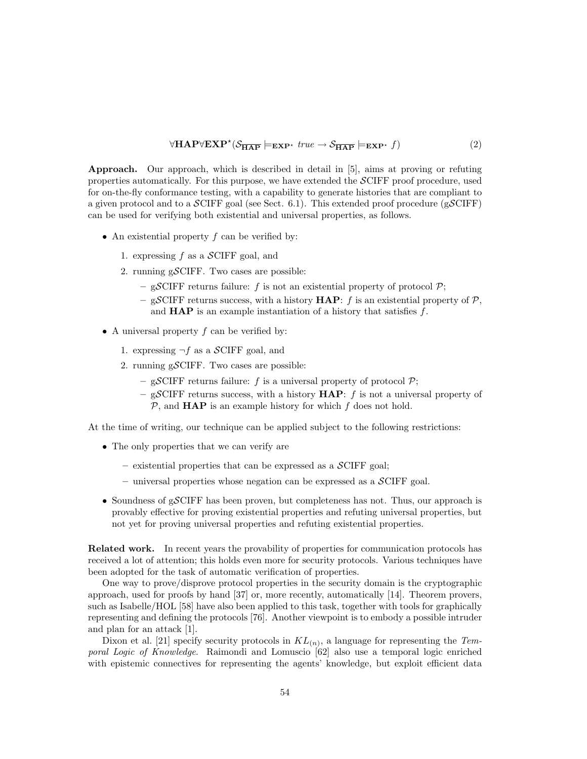$$
\forall \mathbf{HAP}\forall \mathbf{EXP}^{\star}(\mathcal{S}_{\overline{\mathbf{HAP}}} \models_{\mathbf{EXP}^{\star}} true \rightarrow \mathcal{S}_{\overline{\mathbf{HAP}}} \models_{\mathbf{EXP}^{\star}} f)
$$
(2)

Approach. Our approach, which is described in detail in [5], aims at proving or refuting properties automatically. For this purpose, we have extended the SCIFF proof procedure, used for on-the-fly conformance testing, with a capability to generate histories that are compliant to a given protocol and to a  $\mathcal{S}ClFF$  goal (see Sect. 6.1). This extended proof procedure ( $\mathcal{S}ClFF$ ) can be used for verifying both existential and universal properties, as follows.

- An existential property  $f$  can be verified by:
	- 1. expressing f as a  $\mathcal{S}$ CIFF goal, and
	- 2. running  $g\mathcal{S}$ CIFF. Two cases are possible:
		- gSCIFF returns failure: f is not an existential property of protocol  $P$ ;
		- gSCIFF returns success, with a history  $HAP: f$  is an existential property of  $P$ , and  $\bf{HAP}$  is an example instantiation of a history that satisfies  $f$ .
- A universal property  $f$  can be verified by:
	- 1. expressing  $\neg f$  as a SCIFF goal, and
	- 2. running gSCIFF. Two cases are possible:
		- gSCIFF returns failure: f is a universal property of protocol  $P$ ;
		- gSCIFF returns success, with a history  $HAP: f$  is not a universal property of  $P$ , and **HAP** is an example history for which  $f$  does not hold.

At the time of writing, our technique can be applied subject to the following restrictions:

- The only properties that we can verify are
	- $-$  existential properties that can be expressed as a  $\mathcal{S}$ CIFF goal;
	- $-$  universal properties whose negation can be expressed as a  $\mathcal{S}$ CIFF goal.
- Soundness of gSCIFF has been proven, but completeness has not. Thus, our approach is provably effective for proving existential properties and refuting universal properties, but not yet for proving universal properties and refuting existential properties.

Related work. In recent years the provability of properties for communication protocols has received a lot of attention; this holds even more for security protocols. Various techniques have been adopted for the task of automatic verification of properties.

One way to prove/disprove protocol properties in the security domain is the cryptographic approach, used for proofs by hand [37] or, more recently, automatically [14]. Theorem provers, such as Isabelle/HOL [58] have also been applied to this task, together with tools for graphically representing and defining the protocols [76]. Another viewpoint is to embody a possible intruder and plan for an attack [1].

Dixon et al. [21] specify security protocols in  $KL_{(n)}$ , a language for representing the Temporal Logic of Knowledge. Raimondi and Lomuscio [62] also use a temporal logic enriched with epistemic connectives for representing the agents' knowledge, but exploit efficient data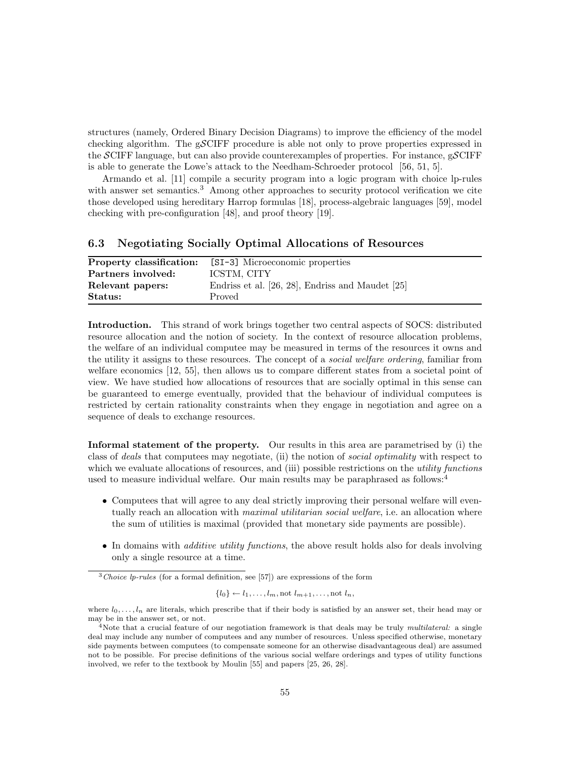structures (namely, Ordered Binary Decision Diagrams) to improve the efficiency of the model checking algorithm. The gSCIFF procedure is able not only to prove properties expressed in the SCIFF language, but can also provide counterexamples of properties. For instance,  $gSCIFF$ is able to generate the Lowe's attack to the Needham-Schroeder protocol [56, 51, 5].

Armando et al. [11] compile a security program into a logic program with choice lp-rules with answer set semantics.<sup>3</sup> Among other approaches to security protocol verification we cite those developed using hereditary Harrop formulas [18], process-algebraic languages [59], model checking with pre-configuration [48], and proof theory [19].

### 6.3 Negotiating Socially Optimal Allocations of Resources

| Property classification: | [SI-3] Microeconomic properties                  |
|--------------------------|--------------------------------------------------|
| Partners involved:       | ICSTM, CITY                                      |
| Relevant papers:         | Endriss et al. [26, 28], Endriss and Maudet [25] |
| Status:                  | Proved                                           |

Introduction. This strand of work brings together two central aspects of SOCS: distributed resource allocation and the notion of society. In the context of resource allocation problems, the welfare of an individual computee may be measured in terms of the resources it owns and the utility it assigns to these resources. The concept of a social welfare ordering, familiar from welfare economics [12, 55], then allows us to compare different states from a societal point of view. We have studied how allocations of resources that are socially optimal in this sense can be guaranteed to emerge eventually, provided that the behaviour of individual computees is restricted by certain rationality constraints when they engage in negotiation and agree on a sequence of deals to exchange resources.

Informal statement of the property. Our results in this area are parametrised by (i) the class of deals that computees may negotiate, (ii) the notion of social optimality with respect to which we evaluate allocations of resources, and (iii) possible restrictions on the *utility functions* used to measure individual welfare. Our main results may be paraphrased as follows:<sup>4</sup>

- Computees that will agree to any deal strictly improving their personal welfare will eventually reach an allocation with *maximal utilitarian social welfare*, i.e. an allocation where the sum of utilities is maximal (provided that monetary side payments are possible).
- In domains with *additive utility functions*, the above result holds also for deals involving only a single resource at a time.

$$
\{l_0\} \leftarrow l_1, \ldots, l_m, \text{not } l_{m+1}, \ldots, \text{not } l_n,
$$

 $3^3$ Choice lp-rules (for a formal definition, see [57]) are expressions of the form

where  $l_0, \ldots, l_n$  are literals, which prescribe that if their body is satisfied by an answer set, their head may or may be in the answer set, or not.

<sup>&</sup>lt;sup>4</sup>Note that a crucial feature of our negotiation framework is that deals may be truly *multilateral:* a single deal may include any number of computees and any number of resources. Unless specified otherwise, monetary side payments between computees (to compensate someone for an otherwise disadvantageous deal) are assumed not to be possible. For precise definitions of the various social welfare orderings and types of utility functions involved, we refer to the textbook by Moulin [55] and papers [25, 26, 28].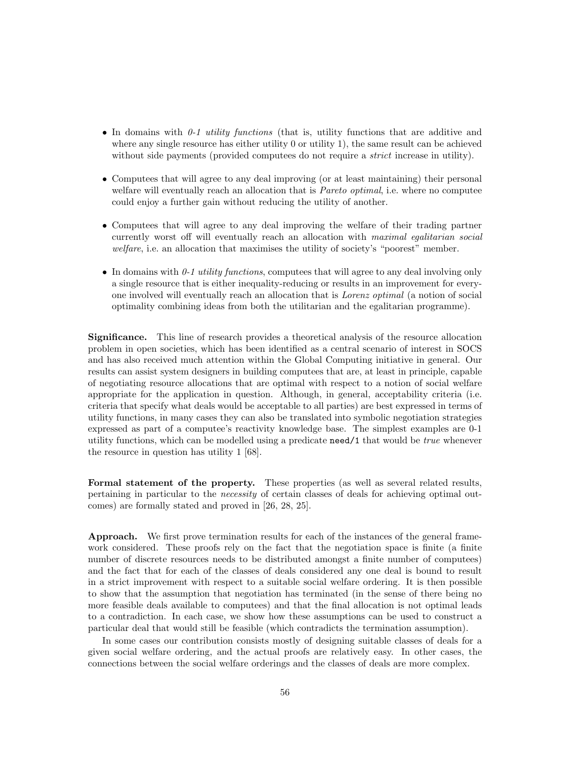- In domains with  $0-1$  utility functions (that is, utility functions that are additive and where any single resource has either utility 0 or utility 1), the same result can be achieved without side payments (provided computees do not require a *strict* increase in utility).
- Computees that will agree to any deal improving (or at least maintaining) their personal welfare will eventually reach an allocation that is *Pareto optimal*, i.e. where no computee could enjoy a further gain without reducing the utility of another.
- Computees that will agree to any deal improving the welfare of their trading partner currently worst off will eventually reach an allocation with maximal egalitarian social welfare, i.e. an allocation that maximises the utility of society's "poorest" member.
- In domains with  $0-1$  utility functions, computees that will agree to any deal involving only a single resource that is either inequality-reducing or results in an improvement for everyone involved will eventually reach an allocation that is Lorenz optimal (a notion of social optimality combining ideas from both the utilitarian and the egalitarian programme).

Significance. This line of research provides a theoretical analysis of the resource allocation problem in open societies, which has been identified as a central scenario of interest in SOCS and has also received much attention within the Global Computing initiative in general. Our results can assist system designers in building computees that are, at least in principle, capable of negotiating resource allocations that are optimal with respect to a notion of social welfare appropriate for the application in question. Although, in general, acceptability criteria (i.e. criteria that specify what deals would be acceptable to all parties) are best expressed in terms of utility functions, in many cases they can also be translated into symbolic negotiation strategies expressed as part of a computee's reactivity knowledge base. The simplest examples are 0-1 utility functions, which can be modelled using a predicate need/1 that would be true whenever the resource in question has utility 1 [68].

Formal statement of the property. These properties (as well as several related results, pertaining in particular to the necessity of certain classes of deals for achieving optimal outcomes) are formally stated and proved in [26, 28, 25].

Approach. We first prove termination results for each of the instances of the general framework considered. These proofs rely on the fact that the negotiation space is finite (a finite number of discrete resources needs to be distributed amongst a finite number of computees) and the fact that for each of the classes of deals considered any one deal is bound to result in a strict improvement with respect to a suitable social welfare ordering. It is then possible to show that the assumption that negotiation has terminated (in the sense of there being no more feasible deals available to computees) and that the final allocation is not optimal leads to a contradiction. In each case, we show how these assumptions can be used to construct a particular deal that would still be feasible (which contradicts the termination assumption).

In some cases our contribution consists mostly of designing suitable classes of deals for a given social welfare ordering, and the actual proofs are relatively easy. In other cases, the connections between the social welfare orderings and the classes of deals are more complex.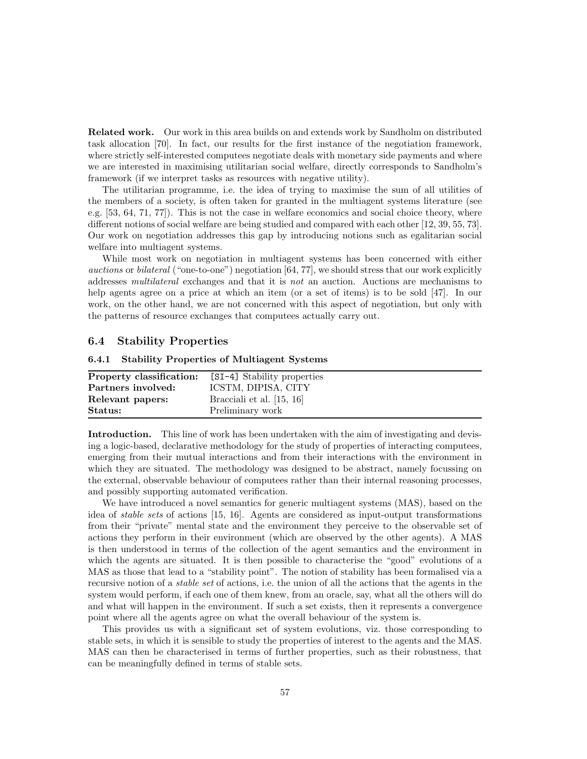Related work. Our work in this area builds on and extends work by Sandholm on distributed task allocation [70]. In fact, our results for the first instance of the negotiation framework, where strictly self-interested computees negotiate deals with monetary side payments and where we are interested in maximising utilitarian social welfare, directly corresponds to Sandholm's framework (if we interpret tasks as resources with negative utility).

The utilitarian programme, i.e. the idea of trying to maximise the sum of all utilities of the members of a society, is often taken for granted in the multiagent systems literature (see e.g. [53, 64, 71, 77]). This is not the case in welfare economics and social choice theory, where different notions of social welfare are being studied and compared with each other [12, 39, 55, 73]. Our work on negotiation addresses this gap by introducing notions such as egalitarian social welfare into multiagent systems.

While most work on negotiation in multiagent systems has been concerned with either *auctions* or *bilateral* ("one-to-one") negotiation  $[64, 77]$ , we should stress that our work explicitly addresses multilateral exchanges and that it is not an auction. Auctions are mechanisms to help agents agree on a price at which an item (or a set of items) is to be sold [47]. In our work, on the other hand, we are not concerned with this aspect of negotiation, but only with the patterns of resource exchanges that computees actually carry out.

### 6.4 Stability Properties

#### 6.4.1 Stability Properties of Multiagent Systems

| Property classification: | [SI-4] Stability properties |
|--------------------------|-----------------------------|
| Partners involved:       | ICSTM, DIPISA, CITY         |
| Relevant papers:         | Bracciali et al. $[15, 16]$ |
| Status:                  | Preliminary work            |

Introduction. This line of work has been undertaken with the aim of investigating and devising a logic-based, declarative methodology for the study of properties of interacting computees, emerging from their mutual interactions and from their interactions with the environment in which they are situated. The methodology was designed to be abstract, namely focussing on the external, observable behaviour of computees rather than their internal reasoning processes, and possibly supporting automated verification.

We have introduced a novel semantics for generic multiagent systems (MAS), based on the idea of stable sets of actions [15, 16]. Agents are considered as input-output transformations from their "private" mental state and the environment they perceive to the observable set of actions they perform in their environment (which are observed by the other agents). A MAS is then understood in terms of the collection of the agent semantics and the environment in which the agents are situated. It is then possible to characterise the "good" evolutions of a MAS as those that lead to a "stability point". The notion of stability has been formalised via a recursive notion of a stable set of actions, i.e. the union of all the actions that the agents in the system would perform, if each one of them knew, from an oracle, say, what all the others will do and what will happen in the environment. If such a set exists, then it represents a convergence point where all the agents agree on what the overall behaviour of the system is.

This provides us with a significant set of system evolutions, viz. those corresponding to stable sets, in which it is sensible to study the properties of interest to the agents and the MAS. MAS can then be characterised in terms of further properties, such as their robustness, that can be meaningfully defined in terms of stable sets.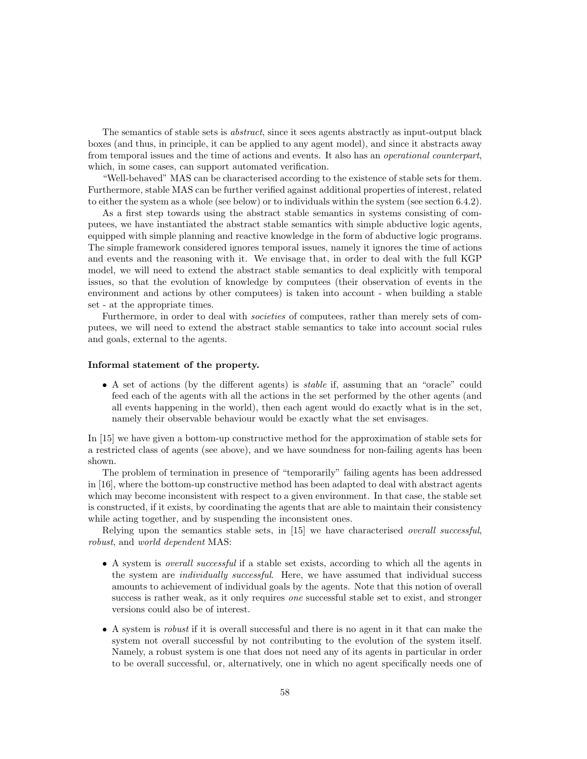The semantics of stable sets is abstract, since it sees agents abstractly as input-output black boxes (and thus, in principle, it can be applied to any agent model), and since it abstracts away from temporal issues and the time of actions and events. It also has an operational counterpart, which, in some cases, can support automated verification.

"Well-behaved" MAS can be characterised according to the existence of stable sets for them. Furthermore, stable MAS can be further verified against additional properties of interest, related to either the system as a whole (see below) or to individuals within the system (see section 6.4.2).

As a first step towards using the abstract stable semantics in systems consisting of computees, we have instantiated the abstract stable semantics with simple abductive logic agents, equipped with simple planning and reactive knowledge in the form of abductive logic programs. The simple framework considered ignores temporal issues, namely it ignores the time of actions and events and the reasoning with it. We envisage that, in order to deal with the full KGP model, we will need to extend the abstract stable semantics to deal explicitly with temporal issues, so that the evolution of knowledge by computees (their observation of events in the environment and actions by other computees) is taken into account - when building a stable set - at the appropriate times.

Furthermore, in order to deal with *societies* of computees, rather than merely sets of computees, we will need to extend the abstract stable semantics to take into account social rules and goals, external to the agents.

### Informal statement of the property.

• A set of actions (by the different agents) is stable if, assuming that an "oracle" could feed each of the agents with all the actions in the set performed by the other agents (and all events happening in the world), then each agent would do exactly what is in the set, namely their observable behaviour would be exactly what the set envisages.

In [15] we have given a bottom-up constructive method for the approximation of stable sets for a restricted class of agents (see above), and we have soundness for non-failing agents has been shown.

The problem of termination in presence of "temporarily" failing agents has been addressed in [16], where the bottom-up constructive method has been adapted to deal with abstract agents which may become inconsistent with respect to a given environment. In that case, the stable set is constructed, if it exists, by coordinating the agents that are able to maintain their consistency while acting together, and by suspending the inconsistent ones.

Relying upon the semantics stable sets, in [15] we have characterised *overall successful*, robust, and world dependent MAS:

- A system is overall successful if a stable set exists, according to which all the agents in the system are *individually successful*. Here, we have assumed that individual success amounts to achievement of individual goals by the agents. Note that this notion of overall success is rather weak, as it only requires *one* successful stable set to exist, and stronger versions could also be of interest.
- A system is *robust* if it is overall successful and there is no agent in it that can make the system not overall successful by not contributing to the evolution of the system itself. Namely, a robust system is one that does not need any of its agents in particular in order to be overall successful, or, alternatively, one in which no agent specifically needs one of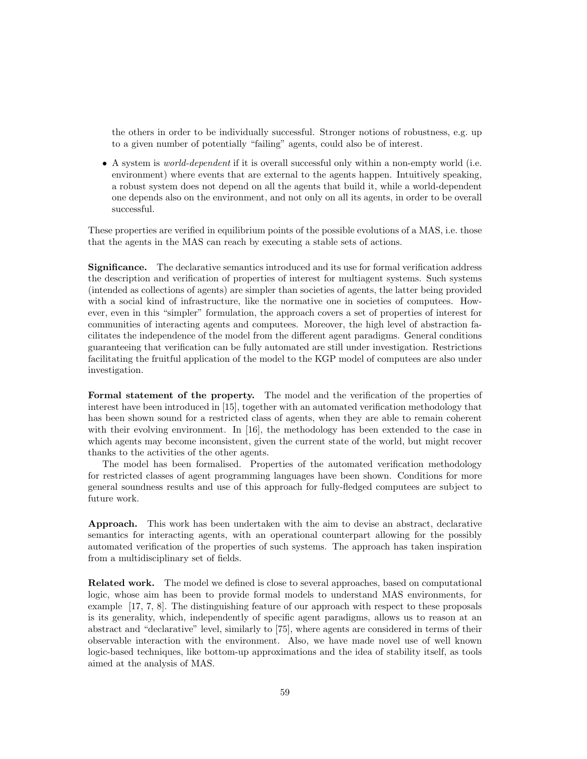the others in order to be individually successful. Stronger notions of robustness, e.g. up to a given number of potentially "failing" agents, could also be of interest.

• A system is *world-dependent* if it is overall successful only within a non-empty world (i.e. environment) where events that are external to the agents happen. Intuitively speaking, a robust system does not depend on all the agents that build it, while a world-dependent one depends also on the environment, and not only on all its agents, in order to be overall successful.

These properties are verified in equilibrium points of the possible evolutions of a MAS, i.e. those that the agents in the MAS can reach by executing a stable sets of actions.

Significance. The declarative semantics introduced and its use for formal verification address the description and verification of properties of interest for multiagent systems. Such systems (intended as collections of agents) are simpler than societies of agents, the latter being provided with a social kind of infrastructure, like the normative one in societies of computees. However, even in this "simpler" formulation, the approach covers a set of properties of interest for communities of interacting agents and computees. Moreover, the high level of abstraction facilitates the independence of the model from the different agent paradigms. General conditions guaranteeing that verification can be fully automated are still under investigation. Restrictions facilitating the fruitful application of the model to the KGP model of computees are also under investigation.

Formal statement of the property. The model and the verification of the properties of interest have been introduced in [15], together with an automated verification methodology that has been shown sound for a restricted class of agents, when they are able to remain coherent with their evolving environment. In [16], the methodology has been extended to the case in which agents may become inconsistent, given the current state of the world, but might recover thanks to the activities of the other agents.

The model has been formalised. Properties of the automated verification methodology for restricted classes of agent programming languages have been shown. Conditions for more general soundness results and use of this approach for fully-fledged computees are subject to future work.

Approach. This work has been undertaken with the aim to devise an abstract, declarative semantics for interacting agents, with an operational counterpart allowing for the possibly automated verification of the properties of such systems. The approach has taken inspiration from a multidisciplinary set of fields.

Related work. The model we defined is close to several approaches, based on computational logic, whose aim has been to provide formal models to understand MAS environments, for example [17, 7, 8]. The distinguishing feature of our approach with respect to these proposals is its generality, which, independently of specific agent paradigms, allows us to reason at an abstract and "declarative" level, similarly to [75], where agents are considered in terms of their observable interaction with the environment. Also, we have made novel use of well known logic-based techniques, like bottom-up approximations and the idea of stability itself, as tools aimed at the analysis of MAS.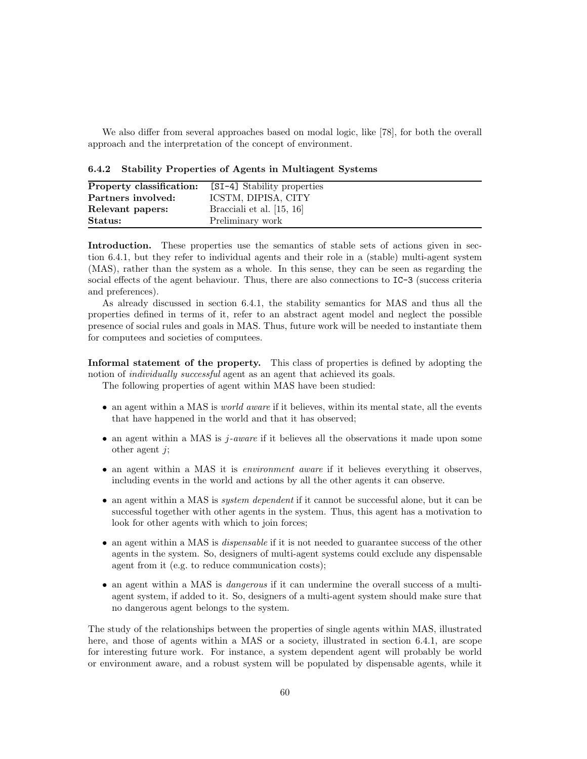We also differ from several approaches based on modal logic, like [78], for both the overall approach and the interpretation of the concept of environment.

6.4.2 Stability Properties of Agents in Multiagent Systems

| Property classification:<br>Partners involved: | [SI-4] Stability properties<br>ICSTM, DIPISA, CITY |
|------------------------------------------------|----------------------------------------------------|
| Relevant papers:                               | Bracciali et al. $[15, 16]$                        |
| Status:                                        | Preliminary work                                   |

Introduction. These properties use the semantics of stable sets of actions given in section 6.4.1, but they refer to individual agents and their role in a (stable) multi-agent system (MAS), rather than the system as a whole. In this sense, they can be seen as regarding the social effects of the agent behaviour. Thus, there are also connections to  $IC-3$  (success criteria and preferences).

As already discussed in section 6.4.1, the stability semantics for MAS and thus all the properties defined in terms of it, refer to an abstract agent model and neglect the possible presence of social rules and goals in MAS. Thus, future work will be needed to instantiate them for computees and societies of computees.

Informal statement of the property. This class of properties is defined by adopting the notion of *individually successful* agent as an agent that achieved its goals.

The following properties of agent within MAS have been studied:

- an agent within a MAS is *world aware* if it believes, within its mental state, all the events that have happened in the world and that it has observed;
- an agent within a MAS is  $j$ -aware if it believes all the observations it made upon some other agent  $i$ ;
- an agent within a MAS it is *environment aware* if it believes everything it observes, including events in the world and actions by all the other agents it can observe.
- an agent within a MAS is *system dependent* if it cannot be successful alone, but it can be successful together with other agents in the system. Thus, this agent has a motivation to look for other agents with which to join forces;
- an agent within a MAS is *dispensable* if it is not needed to guarantee success of the other agents in the system. So, designers of multi-agent systems could exclude any dispensable agent from it (e.g. to reduce communication costs);
- an agent within a MAS is *dangerous* if it can undermine the overall success of a multiagent system, if added to it. So, designers of a multi-agent system should make sure that no dangerous agent belongs to the system.

The study of the relationships between the properties of single agents within MAS, illustrated here, and those of agents within a MAS or a society, illustrated in section 6.4.1, are scope for interesting future work. For instance, a system dependent agent will probably be world or environment aware, and a robust system will be populated by dispensable agents, while it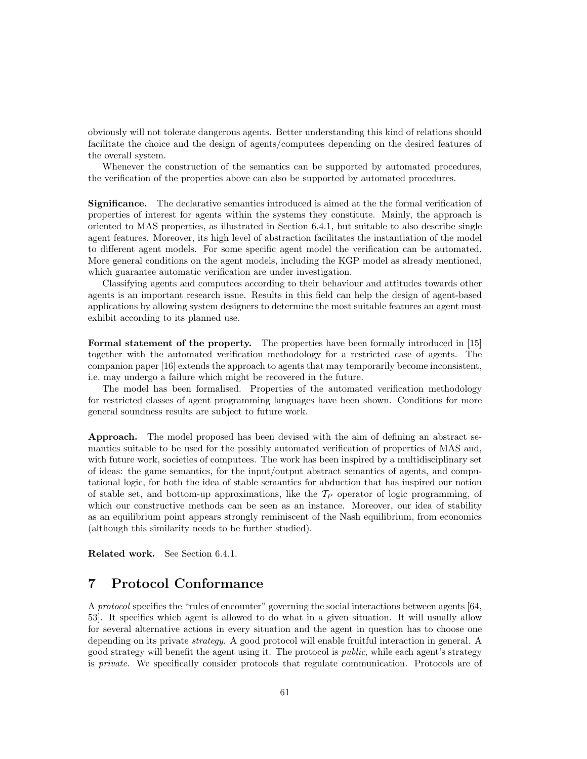obviously will not tolerate dangerous agents. Better understanding this kind of relations should facilitate the choice and the design of agents/computees depending on the desired features of the overall system.

Whenever the construction of the semantics can be supported by automated procedures, the verification of the properties above can also be supported by automated procedures.

Significance. The declarative semantics introduced is aimed at the the formal verification of properties of interest for agents within the systems they constitute. Mainly, the approach is oriented to MAS properties, as illustrated in Section 6.4.1, but suitable to also describe single agent features. Moreover, its high level of abstraction facilitates the instantiation of the model to different agent models. For some specific agent model the verification can be automated. More general conditions on the agent models, including the KGP model as already mentioned, which guarantee automatic verification are under investigation.

Classifying agents and computees according to their behaviour and attitudes towards other agents is an important research issue. Results in this field can help the design of agent-based applications by allowing system designers to determine the most suitable features an agent must exhibit according to its planned use.

Formal statement of the property. The properties have been formally introduced in [15] together with the automated verification methodology for a restricted case of agents. The companion paper [16] extends the approach to agents that may temporarily become inconsistent, i.e. may undergo a failure which might be recovered in the future.

The model has been formalised. Properties of the automated verification methodology for restricted classes of agent programming languages have been shown. Conditions for more general soundness results are subject to future work.

Approach. The model proposed has been devised with the aim of defining an abstract semantics suitable to be used for the possibly automated verification of properties of MAS and, with future work, societies of computees. The work has been inspired by a multidisciplinary set of ideas: the game semantics, for the input/output abstract semantics of agents, and computational logic, for both the idea of stable semantics for abduction that has inspired our notion of stable set, and bottom-up approximations, like the  $T_P$  operator of logic programming, of which our constructive methods can be seen as an instance. Moreover, our idea of stability as an equilibrium point appears strongly reminiscent of the Nash equilibrium, from economics (although this similarity needs to be further studied).

Related work. See Section 6.4.1.

# 7 Protocol Conformance

A protocol specifies the "rules of encounter" governing the social interactions between agents [64, 53]. It specifies which agent is allowed to do what in a given situation. It will usually allow for several alternative actions in every situation and the agent in question has to choose one depending on its private *strategy*. A good protocol will enable fruitful interaction in general. A good strategy will benefit the agent using it. The protocol is public, while each agent's strategy is private. We specifically consider protocols that regulate communication. Protocols are of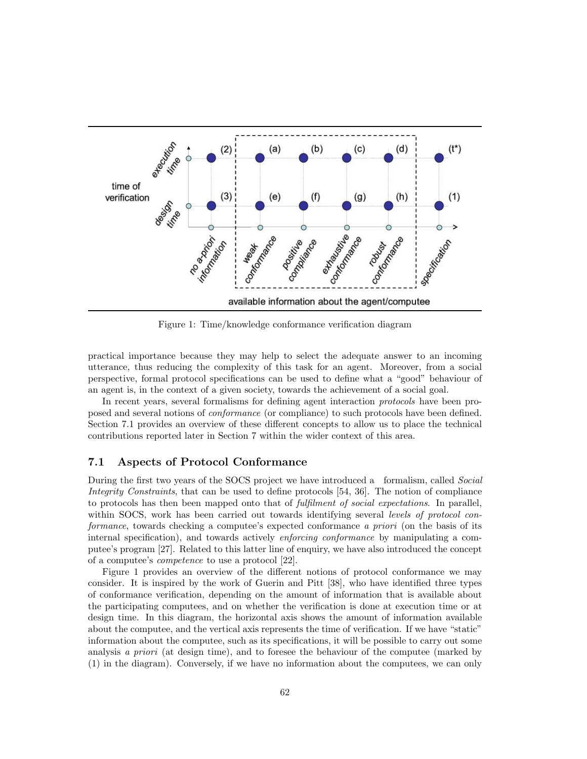

Figure 1: Time/knowledge conformance verification diagram

practical importance because they may help to select the adequate answer to an incoming utterance, thus reducing the complexity of this task for an agent. Moreover, from a social perspective, formal protocol specifications can be used to define what a "good" behaviour of an agent is, in the context of a given society, towards the achievement of a social goal.

In recent years, several formalisms for defining agent interaction *protocols* have been proposed and several notions of conformance (or compliance) to such protocols have been defined. Section 7.1 provides an overview of these different concepts to allow us to place the technical contributions reported later in Section 7 within the wider context of this area.

## 7.1 Aspects of Protocol Conformance

During the first two years of the SOCS project we have introduced a formalism, called Social Integrity Constraints, that can be used to define protocols [54, 36]. The notion of compliance to protocols has then been mapped onto that of *fulfilment of social expectations*. In parallel, within SOCS, work has been carried out towards identifying several levels of protocol conformance, towards checking a computee's expected conformance a priori (on the basis of its internal specification), and towards actively enforcing conformance by manipulating a computee's program [27]. Related to this latter line of enquiry, we have also introduced the concept of a computee's competence to use a protocol [22].

Figure 1 provides an overview of the different notions of protocol conformance we may consider. It is inspired by the work of Guerin and Pitt [38], who have identified three types of conformance verification, depending on the amount of information that is available about the participating computees, and on whether the verification is done at execution time or at design time. In this diagram, the horizontal axis shows the amount of information available about the computee, and the vertical axis represents the time of verification. If we have "static" information about the computee, such as its specifications, it will be possible to carry out some analysis a priori (at design time), and to foresee the behaviour of the computee (marked by (1) in the diagram). Conversely, if we have no information about the computees, we can only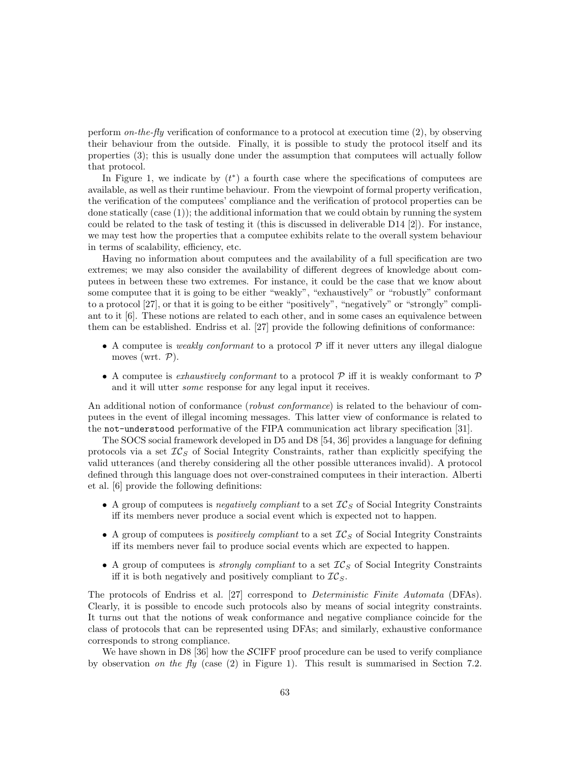perform on-the-fly verification of conformance to a protocol at execution time  $(2)$ , by observing their behaviour from the outside. Finally, it is possible to study the protocol itself and its properties (3); this is usually done under the assumption that computees will actually follow that protocol.

In Figure 1, we indicate by  $(t^*)$  a fourth case where the specifications of computees are available, as well as their runtime behaviour. From the viewpoint of formal property verification, the verification of the computees' compliance and the verification of protocol properties can be done statically (case (1)); the additional information that we could obtain by running the system could be related to the task of testing it (this is discussed in deliverable D14 [2]). For instance, we may test how the properties that a computee exhibits relate to the overall system behaviour in terms of scalability, efficiency, etc.

Having no information about computees and the availability of a full specification are two extremes; we may also consider the availability of different degrees of knowledge about computees in between these two extremes. For instance, it could be the case that we know about some computee that it is going to be either "weakly", "exhaustively" or "robustly" conformant to a protocol [27], or that it is going to be either "positively", "negatively" or "strongly" compliant to it [6]. These notions are related to each other, and in some cases an equivalence between them can be established. Endriss et al. [27] provide the following definitions of conformance:

- A computee is *weakly conformant* to a protocol  $P$  iff it never utters any illegal dialogue moves (wrt.  $P$ ).
- A computee is exhaustively conformant to a protocol  $P$  iff it is weakly conformant to  $P$ and it will utter some response for any legal input it receives.

An additional notion of conformance (robust conformance) is related to the behaviour of computees in the event of illegal incoming messages. This latter view of conformance is related to the not-understood performative of the FIPA communication act library specification [31].

The SOCS social framework developed in D5 and D8 [54, 36] provides a language for defining protocols via a set  $TC_S$  of Social Integrity Constraints, rather than explicitly specifying the valid utterances (and thereby considering all the other possible utterances invalid). A protocol defined through this language does not over-constrained computees in their interaction. Alberti et al. [6] provide the following definitions:

- A group of computees is negatively compliant to a set  $IC_S$  of Social Integrity Constraints iff its members never produce a social event which is expected not to happen.
- A group of computees is *positively compliant* to a set  $IC_S$  of Social Integrity Constraints iff its members never fail to produce social events which are expected to happen.
- A group of computees is *strongly compliant* to a set  $IC_S$  of Social Integrity Constraints iff it is both negatively and positively compliant to  $\mathcal{IC}_S$ .

The protocols of Endriss et al. [27] correspond to Deterministic Finite Automata (DFAs). Clearly, it is possible to encode such protocols also by means of social integrity constraints. It turns out that the notions of weak conformance and negative compliance coincide for the class of protocols that can be represented using DFAs; and similarly, exhaustive conformance corresponds to strong compliance.

We have shown in D8 [36] how the  $\mathcal{S}$ CIFF proof procedure can be used to verify compliance by observation on the fly (case  $(2)$  in Figure 1). This result is summarised in Section 7.2.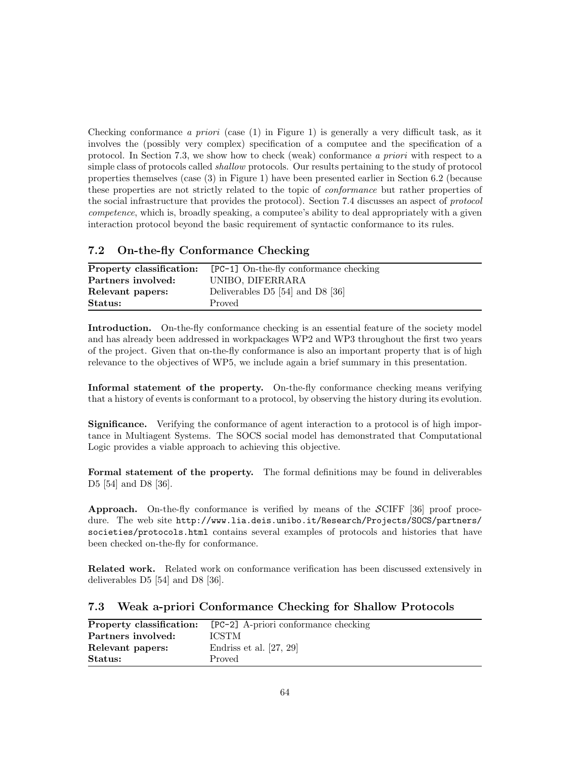Checking conformance a priori (case  $(1)$  in Figure 1) is generally a very difficult task, as it involves the (possibly very complex) specification of a computee and the specification of a protocol. In Section 7.3, we show how to check (weak) conformance a priori with respect to a simple class of protocols called *shallow* protocols. Our results pertaining to the study of protocol properties themselves (case (3) in Figure 1) have been presented earlier in Section 6.2 (because these properties are not strictly related to the topic of conformance but rather properties of the social infrastructure that provides the protocol). Section 7.4 discusses an aspect of protocol competence, which is, broadly speaking, a computee's ability to deal appropriately with a given interaction protocol beyond the basic requirement of syntactic conformance to its rules.

## 7.2 On-the-fly Conformance Checking

| Property classification: | [PC-1] On-the-fly conformance checking |
|--------------------------|----------------------------------------|
| Partners involved:       | UNIBO, DIFERRARA                       |
| Relevant papers:         | Deliverables $D5$ [54] and $D8$ [36]   |
| Status:                  | Proved                                 |

Introduction. On-the-fly conformance checking is an essential feature of the society model and has already been addressed in workpackages WP2 and WP3 throughout the first two years of the project. Given that on-the-fly conformance is also an important property that is of high relevance to the objectives of WP5, we include again a brief summary in this presentation.

Informal statement of the property. On-the-fly conformance checking means verifying that a history of events is conformant to a protocol, by observing the history during its evolution.

Significance. Verifying the conformance of agent interaction to a protocol is of high importance in Multiagent Systems. The SOCS social model has demonstrated that Computational Logic provides a viable approach to achieving this objective.

Formal statement of the property. The formal definitions may be found in deliverables D5 [54] and D8 [36].

**Approach.** On-the-fly conformance is verified by means of the  $\mathcal{SCIFF}$  [36] proof procedure. The web site http://www.lia.deis.unibo.it/Research/Projects/SOCS/partners/ societies/protocols.html contains several examples of protocols and histories that have been checked on-the-fly for conformance.

Related work. Related work on conformance verification has been discussed extensively in deliverables D5 [54] and D8 [36].

## 7.3 Weak a-priori Conformance Checking for Shallow Protocols

|                    | <b>Property classification:</b> [PC-2] A-priori conformance checking |
|--------------------|----------------------------------------------------------------------|
| Partners involved: | <b>ICSTM</b>                                                         |
| Relevant papers:   | Endriss et al. $[27, 29]$                                            |
| Status:            | Proved                                                               |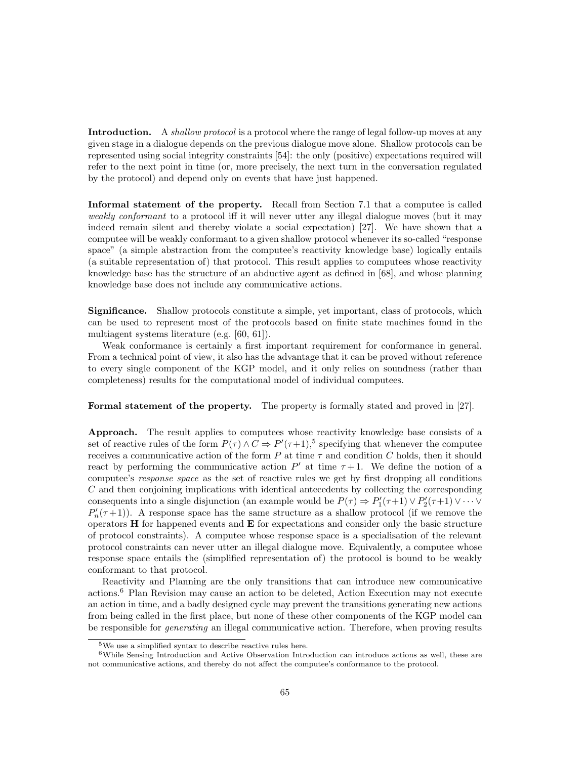Introduction. A *shallow protocol* is a protocol where the range of legal follow-up moves at any given stage in a dialogue depends on the previous dialogue move alone. Shallow protocols can be represented using social integrity constraints [54]: the only (positive) expectations required will refer to the next point in time (or, more precisely, the next turn in the conversation regulated by the protocol) and depend only on events that have just happened.

Informal statement of the property. Recall from Section 7.1 that a computee is called weakly conformant to a protocol iff it will never utter any illegal dialogue moves (but it may indeed remain silent and thereby violate a social expectation) [27]. We have shown that a computee will be weakly conformant to a given shallow protocol whenever its so-called "response space" (a simple abstraction from the computee's reactivity knowledge base) logically entails (a suitable representation of) that protocol. This result applies to computees whose reactivity knowledge base has the structure of an abductive agent as defined in [68], and whose planning knowledge base does not include any communicative actions.

Significance. Shallow protocols constitute a simple, yet important, class of protocols, which can be used to represent most of the protocols based on finite state machines found in the multiagent systems literature (e.g. [60, 61]).

Weak conformance is certainly a first important requirement for conformance in general. From a technical point of view, it also has the advantage that it can be proved without reference to every single component of the KGP model, and it only relies on soundness (rather than completeness) results for the computational model of individual computees.

Formal statement of the property. The property is formally stated and proved in [27].

Approach. The result applies to computees whose reactivity knowledge base consists of a set of reactive rules of the form  $P(\tau) \wedge C \Rightarrow P'(\tau+1),^5$  specifying that whenever the computee receives a communicative action of the form P at time  $\tau$  and condition C holds, then it should react by performing the communicative action  $P'$  at time  $\tau+1$ . We define the notion of a computee's response space as the set of reactive rules we get by first dropping all conditions C and then conjoining implications with identical antecedents by collecting the corresponding consequents into a single disjunction (an example would be  $P(\tau) \Rightarrow P'_1(\tau+1) \vee P'_2(\tau+1) \vee \cdots \vee P'_n$  $P'_n(\tau+1)$ ). A response space has the same structure as a shallow protocol (if we remove the operators  $H$  for happened events and  $E$  for expectations and consider only the basic structure of protocol constraints). A computee whose response space is a specialisation of the relevant protocol constraints can never utter an illegal dialogue move. Equivalently, a computee whose response space entails the (simplified representation of) the protocol is bound to be weakly conformant to that protocol.

Reactivity and Planning are the only transitions that can introduce new communicative actions.<sup>6</sup> Plan Revision may cause an action to be deleted, Action Execution may not execute an action in time, and a badly designed cycle may prevent the transitions generating new actions from being called in the first place, but none of these other components of the KGP model can be responsible for *generating* an illegal communicative action. Therefore, when proving results

<sup>5</sup>We use a simplified syntax to describe reactive rules here.

<sup>6</sup>While Sensing Introduction and Active Observation Introduction can introduce actions as well, these are not communicative actions, and thereby do not affect the computee's conformance to the protocol.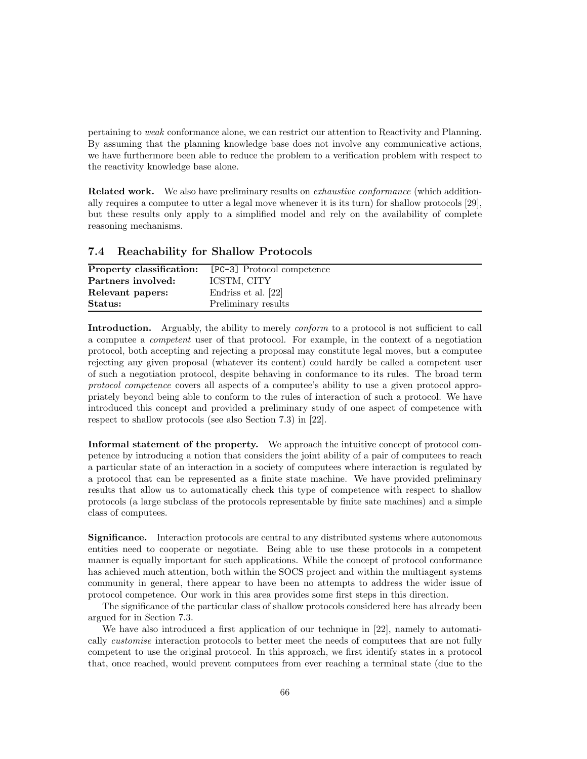pertaining to weak conformance alone, we can restrict our attention to Reactivity and Planning. By assuming that the planning knowledge base does not involve any communicative actions, we have furthermore been able to reduce the problem to a verification problem with respect to the reactivity knowledge base alone.

**Related work.** We also have preliminary results on *exhaustive conformance* (which additionally requires a computee to utter a legal move whenever it is its turn) for shallow protocols [29], but these results only apply to a simplified model and rely on the availability of complete reasoning mechanisms.

### 7.4 Reachability for Shallow Protocols

| Property classification: | [PC-3] Protocol competence |
|--------------------------|----------------------------|
| Partners involved:       | ICSTM, CITY                |
| Relevant papers:         | Endriss et al. [22]        |
| Status:                  | Preliminary results        |

Introduction. Arguably, the ability to merely *conform* to a protocol is not sufficient to call a computee a competent user of that protocol. For example, in the context of a negotiation protocol, both accepting and rejecting a proposal may constitute legal moves, but a computee rejecting any given proposal (whatever its content) could hardly be called a competent user of such a negotiation protocol, despite behaving in conformance to its rules. The broad term protocol competence covers all aspects of a computee's ability to use a given protocol appropriately beyond being able to conform to the rules of interaction of such a protocol. We have introduced this concept and provided a preliminary study of one aspect of competence with respect to shallow protocols (see also Section 7.3) in [22].

Informal statement of the property. We approach the intuitive concept of protocol competence by introducing a notion that considers the joint ability of a pair of computees to reach a particular state of an interaction in a society of computees where interaction is regulated by a protocol that can be represented as a finite state machine. We have provided preliminary results that allow us to automatically check this type of competence with respect to shallow protocols (a large subclass of the protocols representable by finite sate machines) and a simple class of computees.

Significance. Interaction protocols are central to any distributed systems where autonomous entities need to cooperate or negotiate. Being able to use these protocols in a competent manner is equally important for such applications. While the concept of protocol conformance has achieved much attention, both within the SOCS project and within the multiagent systems community in general, there appear to have been no attempts to address the wider issue of protocol competence. Our work in this area provides some first steps in this direction.

The significance of the particular class of shallow protocols considered here has already been argued for in Section 7.3.

We have also introduced a first application of our technique in [22], namely to automatically *customise* interaction protocols to better meet the needs of computees that are not fully competent to use the original protocol. In this approach, we first identify states in a protocol that, once reached, would prevent computees from ever reaching a terminal state (due to the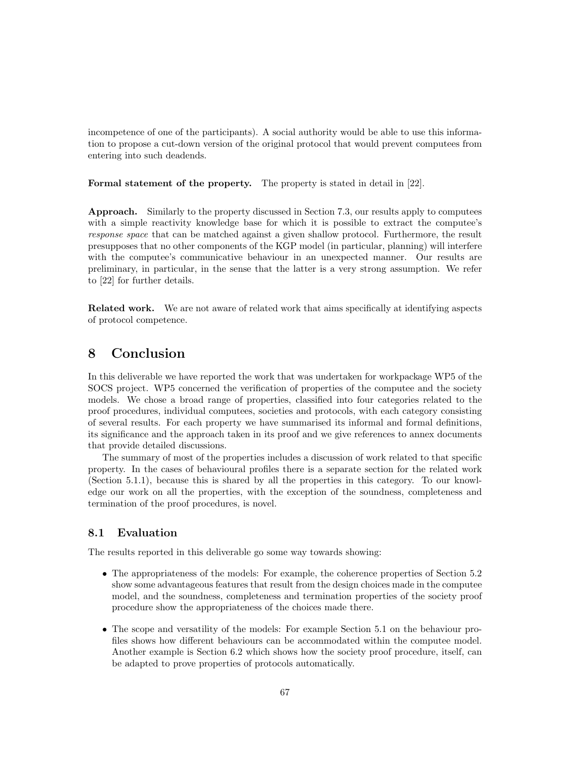incompetence of one of the participants). A social authority would be able to use this information to propose a cut-down version of the original protocol that would prevent computees from entering into such deadends.

Formal statement of the property. The property is stated in detail in [22].

Approach. Similarly to the property discussed in Section 7.3, our results apply to computees with a simple reactivity knowledge base for which it is possible to extract the computee's response space that can be matched against a given shallow protocol. Furthermore, the result presupposes that no other components of the KGP model (in particular, planning) will interfere with the computee's communicative behaviour in an unexpected manner. Our results are preliminary, in particular, in the sense that the latter is a very strong assumption. We refer to [22] for further details.

Related work. We are not aware of related work that aims specifically at identifying aspects of protocol competence.

# 8 Conclusion

In this deliverable we have reported the work that was undertaken for workpackage WP5 of the SOCS project. WP5 concerned the verification of properties of the computee and the society models. We chose a broad range of properties, classified into four categories related to the proof procedures, individual computees, societies and protocols, with each category consisting of several results. For each property we have summarised its informal and formal definitions, its significance and the approach taken in its proof and we give references to annex documents that provide detailed discussions.

The summary of most of the properties includes a discussion of work related to that specific property. In the cases of behavioural profiles there is a separate section for the related work (Section 5.1.1), because this is shared by all the properties in this category. To our knowledge our work on all the properties, with the exception of the soundness, completeness and termination of the proof procedures, is novel.

## 8.1 Evaluation

The results reported in this deliverable go some way towards showing:

- The appropriateness of the models: For example, the coherence properties of Section 5.2 show some advantageous features that result from the design choices made in the computee model, and the soundness, completeness and termination properties of the society proof procedure show the appropriateness of the choices made there.
- The scope and versatility of the models: For example Section 5.1 on the behaviour profiles shows how different behaviours can be accommodated within the computee model. Another example is Section 6.2 which shows how the society proof procedure, itself, can be adapted to prove properties of protocols automatically.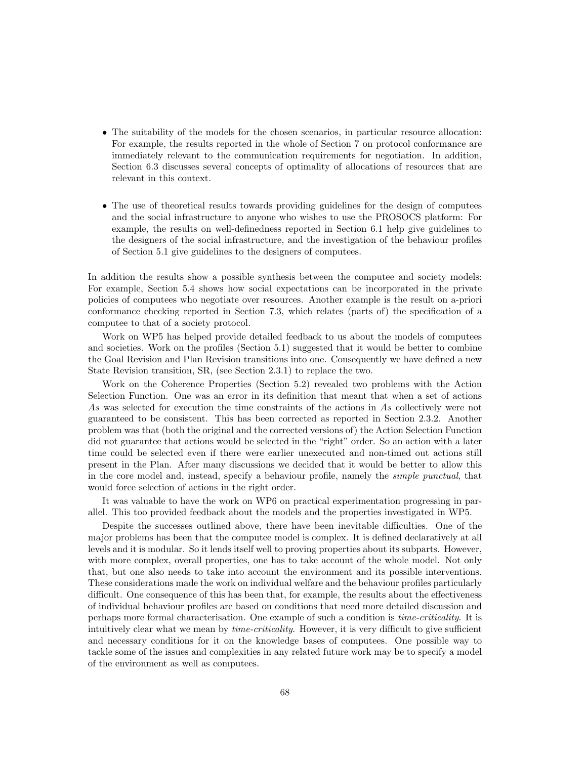- The suitability of the models for the chosen scenarios, in particular resource allocation: For example, the results reported in the whole of Section 7 on protocol conformance are immediately relevant to the communication requirements for negotiation. In addition, Section 6.3 discusses several concepts of optimality of allocations of resources that are relevant in this context.
- The use of theoretical results towards providing guidelines for the design of computees and the social infrastructure to anyone who wishes to use the PROSOCS platform: For example, the results on well-definedness reported in Section 6.1 help give guidelines to the designers of the social infrastructure, and the investigation of the behaviour profiles of Section 5.1 give guidelines to the designers of computees.

In addition the results show a possible synthesis between the computee and society models: For example, Section 5.4 shows how social expectations can be incorporated in the private policies of computees who negotiate over resources. Another example is the result on a-priori conformance checking reported in Section 7.3, which relates (parts of) the specification of a computee to that of a society protocol.

Work on WP5 has helped provide detailed feedback to us about the models of computees and societies. Work on the profiles (Section 5.1) suggested that it would be better to combine the Goal Revision and Plan Revision transitions into one. Consequently we have defined a new State Revision transition, SR, (see Section 2.3.1) to replace the two.

Work on the Coherence Properties (Section 5.2) revealed two problems with the Action Selection Function. One was an error in its definition that meant that when a set of actions As was selected for execution the time constraints of the actions in As collectively were not guaranteed to be consistent. This has been corrected as reported in Section 2.3.2. Another problem was that (both the original and the corrected versions of) the Action Selection Function did not guarantee that actions would be selected in the "right" order. So an action with a later time could be selected even if there were earlier unexecuted and non-timed out actions still present in the Plan. After many discussions we decided that it would be better to allow this in the core model and, instead, specify a behaviour profile, namely the simple punctual, that would force selection of actions in the right order.

It was valuable to have the work on WP6 on practical experimentation progressing in parallel. This too provided feedback about the models and the properties investigated in WP5.

Despite the successes outlined above, there have been inevitable difficulties. One of the major problems has been that the computee model is complex. It is defined declaratively at all levels and it is modular. So it lends itself well to proving properties about its subparts. However, with more complex, overall properties, one has to take account of the whole model. Not only that, but one also needs to take into account the environment and its possible interventions. These considerations made the work on individual welfare and the behaviour profiles particularly difficult. One consequence of this has been that, for example, the results about the effectiveness of individual behaviour profiles are based on conditions that need more detailed discussion and perhaps more formal characterisation. One example of such a condition is time-criticality. It is intuitively clear what we mean by *time-criticality*. However, it is very difficult to give sufficient and necessary conditions for it on the knowledge bases of computees. One possible way to tackle some of the issues and complexities in any related future work may be to specify a model of the environment as well as computees.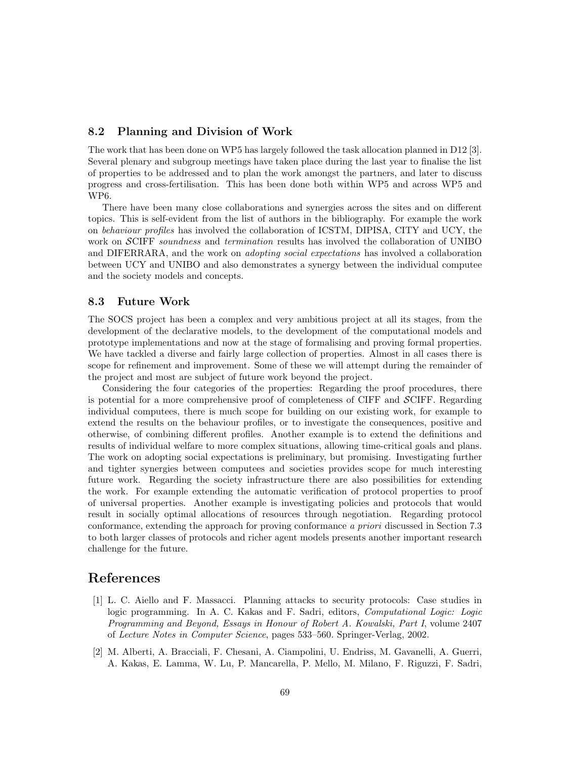## 8.2 Planning and Division of Work

The work that has been done on WP5 has largely followed the task allocation planned in D12 [3]. Several plenary and subgroup meetings have taken place during the last year to finalise the list of properties to be addressed and to plan the work amongst the partners, and later to discuss progress and cross-fertilisation. This has been done both within WP5 and across WP5 and WP6.

There have been many close collaborations and synergies across the sites and on different topics. This is self-evident from the list of authors in the bibliography. For example the work on behaviour profiles has involved the collaboration of ICSTM, DIPISA, CITY and UCY, the work on SCIFF soundness and termination results has involved the collaboration of UNIBO and DIFERRARA, and the work on adopting social expectations has involved a collaboration between UCY and UNIBO and also demonstrates a synergy between the individual computee and the society models and concepts.

### 8.3 Future Work

The SOCS project has been a complex and very ambitious project at all its stages, from the development of the declarative models, to the development of the computational models and prototype implementations and now at the stage of formalising and proving formal properties. We have tackled a diverse and fairly large collection of properties. Almost in all cases there is scope for refinement and improvement. Some of these we will attempt during the remainder of the project and most are subject of future work beyond the project.

Considering the four categories of the properties: Regarding the proof procedures, there is potential for a more comprehensive proof of completeness of CIFF and SCIFF. Regarding individual computees, there is much scope for building on our existing work, for example to extend the results on the behaviour profiles, or to investigate the consequences, positive and otherwise, of combining different profiles. Another example is to extend the definitions and results of individual welfare to more complex situations, allowing time-critical goals and plans. The work on adopting social expectations is preliminary, but promising. Investigating further and tighter synergies between computees and societies provides scope for much interesting future work. Regarding the society infrastructure there are also possibilities for extending the work. For example extending the automatic verification of protocol properties to proof of universal properties. Another example is investigating policies and protocols that would result in socially optimal allocations of resources through negotiation. Regarding protocol conformance, extending the approach for proving conformance a priori discussed in Section 7.3 to both larger classes of protocols and richer agent models presents another important research challenge for the future.

## References

- [1] L. C. Aiello and F. Massacci. Planning attacks to security protocols: Case studies in logic programming. In A. C. Kakas and F. Sadri, editors, Computational Logic: Logic Programming and Beyond, Essays in Honour of Robert A. Kowalski, Part I, volume 2407 of Lecture Notes in Computer Science, pages 533–560. Springer-Verlag, 2002.
- [2] M. Alberti, A. Bracciali, F. Chesani, A. Ciampolini, U. Endriss, M. Gavanelli, A. Guerri, A. Kakas, E. Lamma, W. Lu, P. Mancarella, P. Mello, M. Milano, F. Riguzzi, F. Sadri,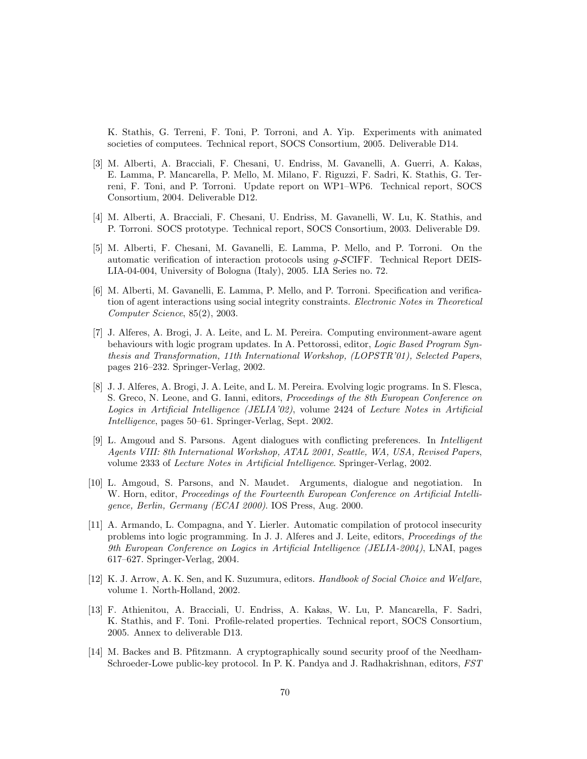K. Stathis, G. Terreni, F. Toni, P. Torroni, and A. Yip. Experiments with animated societies of computees. Technical report, SOCS Consortium, 2005. Deliverable D14.

- [3] M. Alberti, A. Bracciali, F. Chesani, U. Endriss, M. Gavanelli, A. Guerri, A. Kakas, E. Lamma, P. Mancarella, P. Mello, M. Milano, F. Riguzzi, F. Sadri, K. Stathis, G. Terreni, F. Toni, and P. Torroni. Update report on WP1–WP6. Technical report, SOCS Consortium, 2004. Deliverable D12.
- [4] M. Alberti, A. Bracciali, F. Chesani, U. Endriss, M. Gavanelli, W. Lu, K. Stathis, and P. Torroni. SOCS prototype. Technical report, SOCS Consortium, 2003. Deliverable D9.
- [5] M. Alberti, F. Chesani, M. Gavanelli, E. Lamma, P. Mello, and P. Torroni. On the automatic verification of interaction protocols using  $q$ -SCIFF. Technical Report DEIS-LIA-04-004, University of Bologna (Italy), 2005. LIA Series no. 72.
- [6] M. Alberti, M. Gavanelli, E. Lamma, P. Mello, and P. Torroni. Specification and verification of agent interactions using social integrity constraints. Electronic Notes in Theoretical Computer Science, 85(2), 2003.
- [7] J. Alferes, A. Brogi, J. A. Leite, and L. M. Pereira. Computing environment-aware agent behaviours with logic program updates. In A. Pettorossi, editor, Logic Based Program Synthesis and Transformation, 11th International Workshop, (LOPSTR'01), Selected Papers, pages 216–232. Springer-Verlag, 2002.
- [8] J. J. Alferes, A. Brogi, J. A. Leite, and L. M. Pereira. Evolving logic programs. In S. Flesca, S. Greco, N. Leone, and G. Ianni, editors, *Proceedings of the 8th European Conference on* Logics in Artificial Intelligence (JELIA'02), volume 2424 of Lecture Notes in Artificial Intelligence, pages 50–61. Springer-Verlag, Sept. 2002.
- [9] L. Amgoud and S. Parsons. Agent dialogues with conflicting preferences. In Intelligent Agents VIII: 8th International Workshop, ATAL 2001, Seattle, WA, USA, Revised Papers, volume 2333 of Lecture Notes in Artificial Intelligence. Springer-Verlag, 2002.
- [10] L. Amgoud, S. Parsons, and N. Maudet. Arguments, dialogue and negotiation. In W. Horn, editor, Proceedings of the Fourteenth European Conference on Artificial Intelligence, Berlin, Germany (ECAI 2000). IOS Press, Aug. 2000.
- [11] A. Armando, L. Compagna, and Y. Lierler. Automatic compilation of protocol insecurity problems into logic programming. In J. J. Alferes and J. Leite, editors, Proceedings of the 9th European Conference on Logics in Artificial Intelligence (JELIA-2004), LNAI, pages 617–627. Springer-Verlag, 2004.
- [12] K. J. Arrow, A. K. Sen, and K. Suzumura, editors. Handbook of Social Choice and Welfare, volume 1. North-Holland, 2002.
- [13] F. Athienitou, A. Bracciali, U. Endriss, A. Kakas, W. Lu, P. Mancarella, F. Sadri, K. Stathis, and F. Toni. Profile-related properties. Technical report, SOCS Consortium, 2005. Annex to deliverable D13.
- [14] M. Backes and B. Pfitzmann. A cryptographically sound security proof of the Needham-Schroeder-Lowe public-key protocol. In P. K. Pandya and J. Radhakrishnan, editors, FST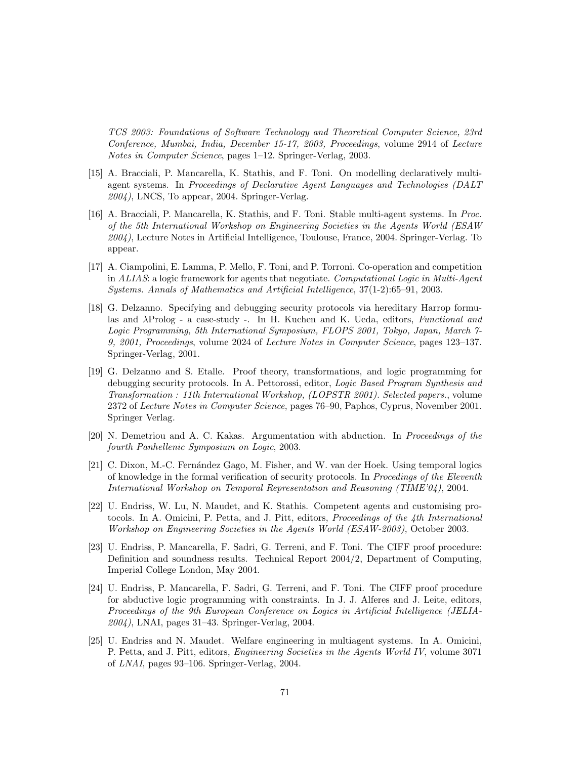TCS 2003: Foundations of Software Technology and Theoretical Computer Science, 23rd Conference, Mumbai, India, December 15-17, 2003, Proceedings, volume 2914 of Lecture Notes in Computer Science, pages 1–12. Springer-Verlag, 2003.

- [15] A. Bracciali, P. Mancarella, K. Stathis, and F. Toni. On modelling declaratively multiagent systems. In Proceedings of Declarative Agent Languages and Technologies (DALT  $2004$ ), LNCS, To appear, 2004. Springer-Verlag.
- [16] A. Bracciali, P. Mancarella, K. Stathis, and F. Toni. Stable multi-agent systems. In Proc. of the 5th International Workshop on Engineering Societies in the Agents World (ESAW 2004), Lecture Notes in Artificial Intelligence, Toulouse, France, 2004. Springer-Verlag. To appear.
- [17] A. Ciampolini, E. Lamma, P. Mello, F. Toni, and P. Torroni. Co-operation and competition in ALIAS: a logic framework for agents that negotiate. Computational Logic in Multi-Agent Systems. Annals of Mathematics and Artificial Intelligence, 37(1-2):65–91, 2003.
- [18] G. Delzanno. Specifying and debugging security protocols via hereditary Harrop formulas and  $\lambda$ Prolog - a case-study -. In H. Kuchen and K. Ueda, editors, Functional and Logic Programming, 5th International Symposium, FLOPS 2001, Tokyo, Japan, March 7- 9, 2001, Proceedings, volume 2024 of Lecture Notes in Computer Science, pages 123–137. Springer-Verlag, 2001.
- [19] G. Delzanno and S. Etalle. Proof theory, transformations, and logic programming for debugging security protocols. In A. Pettorossi, editor, Logic Based Program Synthesis and Transformation : 11th International Workshop, (LOPSTR 2001). Selected papers., volume 2372 of Lecture Notes in Computer Science, pages 76–90, Paphos, Cyprus, November 2001. Springer Verlag.
- [20] N. Demetriou and A. C. Kakas. Argumentation with abduction. In Proceedings of the fourth Panhellenic Symposium on Logic, 2003.
- [21] C. Dixon, M.-C. Fern´andez Gago, M. Fisher, and W. van der Hoek. Using temporal logics of knowledge in the formal verification of security protocols. In Procedings of the Eleventh International Workshop on Temporal Representation and Reasoning (TIME'04), 2004.
- [22] U. Endriss, W. Lu, N. Maudet, and K. Stathis. Competent agents and customising protocols. In A. Omicini, P. Petta, and J. Pitt, editors, Proceedings of the 4th International Workshop on Engineering Societies in the Agents World (ESAW-2003), October 2003.
- [23] U. Endriss, P. Mancarella, F. Sadri, G. Terreni, and F. Toni. The CIFF proof procedure: Definition and soundness results. Technical Report 2004/2, Department of Computing, Imperial College London, May 2004.
- [24] U. Endriss, P. Mancarella, F. Sadri, G. Terreni, and F. Toni. The CIFF proof procedure for abductive logic programming with constraints. In J. J. Alferes and J. Leite, editors, Proceedings of the 9th European Conference on Logics in Artificial Intelligence (JELIA-2004), LNAI, pages 31–43. Springer-Verlag, 2004.
- [25] U. Endriss and N. Maudet. Welfare engineering in multiagent systems. In A. Omicini, P. Petta, and J. Pitt, editors, Engineering Societies in the Agents World IV, volume 3071 of LNAI, pages 93–106. Springer-Verlag, 2004.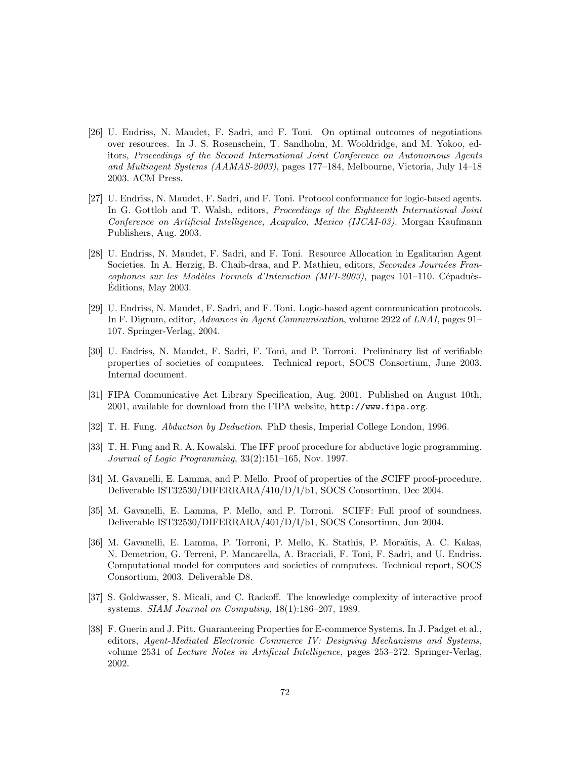- [26] U. Endriss, N. Maudet, F. Sadri, and F. Toni. On optimal outcomes of negotiations over resources. In J. S. Rosenschein, T. Sandholm, M. Wooldridge, and M. Yokoo, editors, Proceedings of the Second International Joint Conference on Autonomous Agents and Multiagent Systems (AAMAS-2003), pages 177–184, Melbourne, Victoria, July 14–18 2003. ACM Press.
- [27] U. Endriss, N. Maudet, F. Sadri, and F. Toni. Protocol conformance for logic-based agents. In G. Gottlob and T. Walsh, editors, Proceedings of the Eighteenth International Joint Conference on Artificial Intelligence, Acapulco, Mexico (IJCAI-03). Morgan Kaufmann Publishers, Aug. 2003.
- [28] U. Endriss, N. Maudet, F. Sadri, and F. Toni. Resource Allocation in Egalitarian Agent Societies. In A. Herzig, B. Chaib-draa, and P. Mathieu, editors, Secondes Journées Fran $cophones sur les Modèles Formels d'Interaction (MFI-2003), pages 101-110. Cépaduès-$ Editions, May 2003.
- [29] U. Endriss, N. Maudet, F. Sadri, and F. Toni. Logic-based agent communication protocols. In F. Dignum, editor, Advances in Agent Communication, volume 2922 of LNAI, pages 91– 107. Springer-Verlag, 2004.
- [30] U. Endriss, N. Maudet, F. Sadri, F. Toni, and P. Torroni. Preliminary list of verifiable properties of societies of computees. Technical report, SOCS Consortium, June 2003. Internal document.
- [31] FIPA Communicative Act Library Specification, Aug. 2001. Published on August 10th, 2001, available for download from the FIPA website, http://www.fipa.org.
- [32] T. H. Fung. Abduction by Deduction. PhD thesis, Imperial College London, 1996.
- [33] T. H. Fung and R. A. Kowalski. The IFF proof procedure for abductive logic programming. Journal of Logic Programming, 33(2):151–165, Nov. 1997.
- [34] M. Gavanelli, E. Lamma, and P. Mello. Proof of properties of the SCIFF proof-procedure. Deliverable IST32530/DIFERRARA/410/D/I/b1, SOCS Consortium, Dec 2004.
- [35] M. Gavanelli, E. Lamma, P. Mello, and P. Torroni. SCIFF: Full proof of soundness. Deliverable IST32530/DIFERRARA/401/D/I/b1, SOCS Consortium, Jun 2004.
- [36] M. Gavanelli, E. Lamma, P. Torroni, P. Mello, K. Stathis, P. Moraïtis, A. C. Kakas, N. Demetriou, G. Terreni, P. Mancarella, A. Bracciali, F. Toni, F. Sadri, and U. Endriss. Computational model for computees and societies of computees. Technical report, SOCS Consortium, 2003. Deliverable D8.
- [37] S. Goldwasser, S. Micali, and C. Rackoff. The knowledge complexity of interactive proof systems. SIAM Journal on Computing, 18(1):186–207, 1989.
- [38] F. Guerin and J. Pitt. Guaranteeing Properties for E-commerce Systems. In J. Padget et al., editors, Agent-Mediated Electronic Commerce IV: Designing Mechanisms and Systems, volume 2531 of Lecture Notes in Artificial Intelligence, pages 253–272. Springer-Verlag, 2002.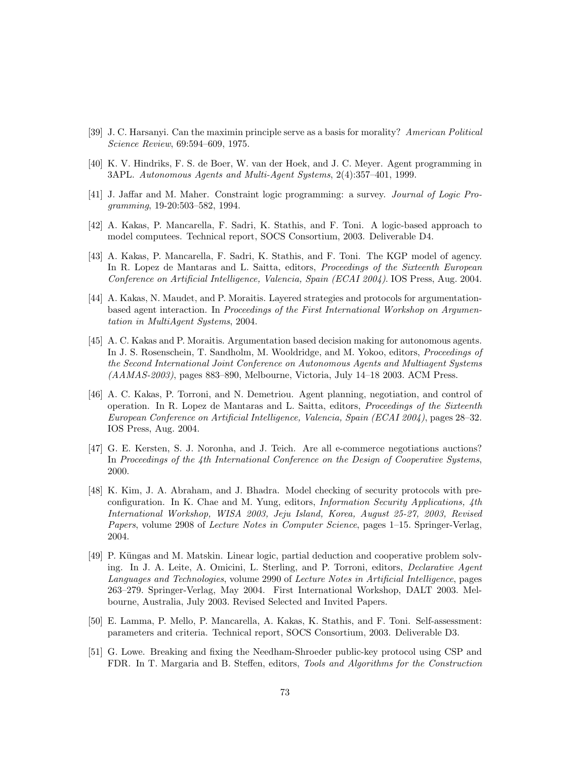- [39] J. C. Harsanyi. Can the maximin principle serve as a basis for morality? American Political Science Review, 69:594–609, 1975.
- [40] K. V. Hindriks, F. S. de Boer, W. van der Hoek, and J. C. Meyer. Agent programming in 3APL. Autonomous Agents and Multi-Agent Systems, 2(4):357–401, 1999.
- [41] J. Jaffar and M. Maher. Constraint logic programming: a survey. Journal of Logic Programming, 19-20:503–582, 1994.
- [42] A. Kakas, P. Mancarella, F. Sadri, K. Stathis, and F. Toni. A logic-based approach to model computees. Technical report, SOCS Consortium, 2003. Deliverable D4.
- [43] A. Kakas, P. Mancarella, F. Sadri, K. Stathis, and F. Toni. The KGP model of agency. In R. Lopez de Mantaras and L. Saitta, editors, Proceedings of the Sixteenth European Conference on Artificial Intelligence, Valencia, Spain (ECAI 2004). IOS Press, Aug. 2004.
- [44] A. Kakas, N. Maudet, and P. Moraitis. Layered strategies and protocols for argumentationbased agent interaction. In Proceedings of the First International Workshop on Argumentation in MultiAgent Systems, 2004.
- [45] A. C. Kakas and P. Moraitis. Argumentation based decision making for autonomous agents. In J. S. Rosenschein, T. Sandholm, M. Wooldridge, and M. Yokoo, editors, Proceedings of the Second International Joint Conference on Autonomous Agents and Multiagent Systems (AAMAS-2003), pages 883–890, Melbourne, Victoria, July 14–18 2003. ACM Press.
- [46] A. C. Kakas, P. Torroni, and N. Demetriou. Agent planning, negotiation, and control of operation. In R. Lopez de Mantaras and L. Saitta, editors, Proceedings of the Sixteenth European Conference on Artificial Intelligence, Valencia, Spain (ECAI 2004), pages 28–32. IOS Press, Aug. 2004.
- [47] G. E. Kersten, S. J. Noronha, and J. Teich. Are all e-commerce negotiations auctions? In Proceedings of the 4th International Conference on the Design of Cooperative Systems. 2000.
- [48] K. Kim, J. A. Abraham, and J. Bhadra. Model checking of security protocols with preconfiguration. In K. Chae and M. Yung, editors, Information Security Applications, 4th International Workshop, WISA 2003, Jeju Island, Korea, August 25-27, 2003, Revised Papers, volume 2908 of Lecture Notes in Computer Science, pages 1–15. Springer-Verlag, 2004.
- [49] P. Küngas and M. Matskin. Linear logic, partial deduction and cooperative problem solving. In J. A. Leite, A. Omicini, L. Sterling, and P. Torroni, editors, Declarative Agent Languages and Technologies, volume 2990 of Lecture Notes in Artificial Intelligence, pages 263–279. Springer-Verlag, May 2004. First International Workshop, DALT 2003. Melbourne, Australia, July 2003. Revised Selected and Invited Papers.
- [50] E. Lamma, P. Mello, P. Mancarella, A. Kakas, K. Stathis, and F. Toni. Self-assessment: parameters and criteria. Technical report, SOCS Consortium, 2003. Deliverable D3.
- [51] G. Lowe. Breaking and fixing the Needham-Shroeder public-key protocol using CSP and FDR. In T. Margaria and B. Steffen, editors, Tools and Algorithms for the Construction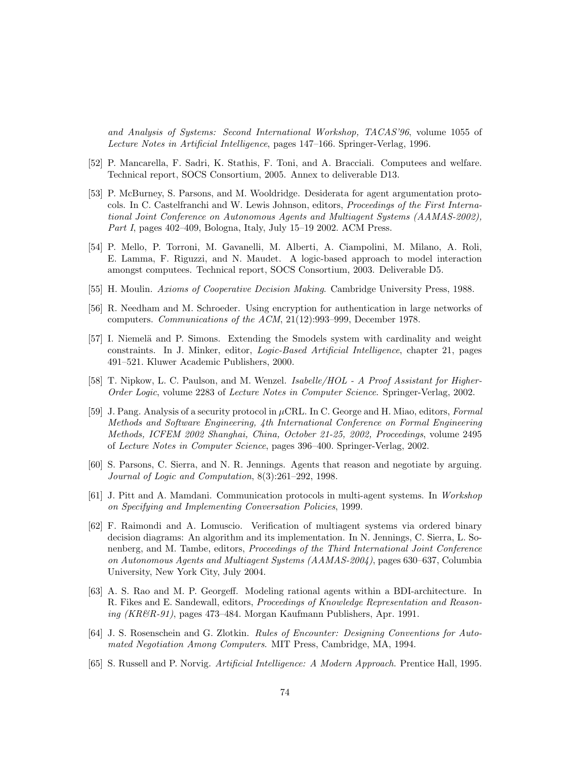and Analysis of Systems: Second International Workshop, TACAS'96, volume 1055 of Lecture Notes in Artificial Intelligence, pages 147–166. Springer-Verlag, 1996.

- [52] P. Mancarella, F. Sadri, K. Stathis, F. Toni, and A. Bracciali. Computees and welfare. Technical report, SOCS Consortium, 2005. Annex to deliverable D13.
- [53] P. McBurney, S. Parsons, and M. Wooldridge. Desiderata for agent argumentation protocols. In C. Castelfranchi and W. Lewis Johnson, editors, Proceedings of the First International Joint Conference on Autonomous Agents and Multiagent Systems (AAMAS-2002), Part I, pages 402–409, Bologna, Italy, July 15–19 2002. ACM Press.
- [54] P. Mello, P. Torroni, M. Gavanelli, M. Alberti, A. Ciampolini, M. Milano, A. Roli, E. Lamma, F. Riguzzi, and N. Maudet. A logic-based approach to model interaction amongst computees. Technical report, SOCS Consortium, 2003. Deliverable D5.
- [55] H. Moulin. Axioms of Cooperative Decision Making. Cambridge University Press, 1988.
- [56] R. Needham and M. Schroeder. Using encryption for authentication in large networks of computers. Communications of the ACM, 21(12):993–999, December 1978.
- [57] I. Niemelä and P. Simons. Extending the Smodels system with cardinality and weight constraints. In J. Minker, editor, Logic-Based Artificial Intelligence, chapter 21, pages 491–521. Kluwer Academic Publishers, 2000.
- [58] T. Nipkow, L. C. Paulson, and M. Wenzel. Isabelle/HOL A Proof Assistant for Higher-Order Logic, volume 2283 of Lecture Notes in Computer Science. Springer-Verlag, 2002.
- [59] J. Pang. Analysis of a security protocol in µCRL. In C. George and H. Miao, editors, Formal Methods and Software Engineering, 4th International Conference on Formal Engineering Methods, ICFEM 2002 Shanghai, China, October 21-25, 2002, Proceedings, volume 2495 of Lecture Notes in Computer Science, pages 396–400. Springer-Verlag, 2002.
- [60] S. Parsons, C. Sierra, and N. R. Jennings. Agents that reason and negotiate by arguing. Journal of Logic and Computation, 8(3):261–292, 1998.
- [61] J. Pitt and A. Mamdani. Communication protocols in multi-agent systems. In Workshop on Specifying and Implementing Conversation Policies, 1999.
- [62] F. Raimondi and A. Lomuscio. Verification of multiagent systems via ordered binary decision diagrams: An algorithm and its implementation. In N. Jennings, C. Sierra, L. Sonenberg, and M. Tambe, editors, Proceedings of the Third International Joint Conference on Autonomous Agents and Multiagent Systems (AAMAS-2004), pages 630–637, Columbia University, New York City, July 2004.
- [63] A. S. Rao and M. P. Georgeff. Modeling rational agents within a BDI-architecture. In R. Fikes and E. Sandewall, editors, Proceedings of Knowledge Representation and Reasoning (KR&R-91), pages 473–484. Morgan Kaufmann Publishers, Apr. 1991.
- [64] J. S. Rosenschein and G. Zlotkin. Rules of Encounter: Designing Conventions for Automated Negotiation Among Computers. MIT Press, Cambridge, MA, 1994.
- [65] S. Russell and P. Norvig. Artificial Intelligence: A Modern Approach. Prentice Hall, 1995.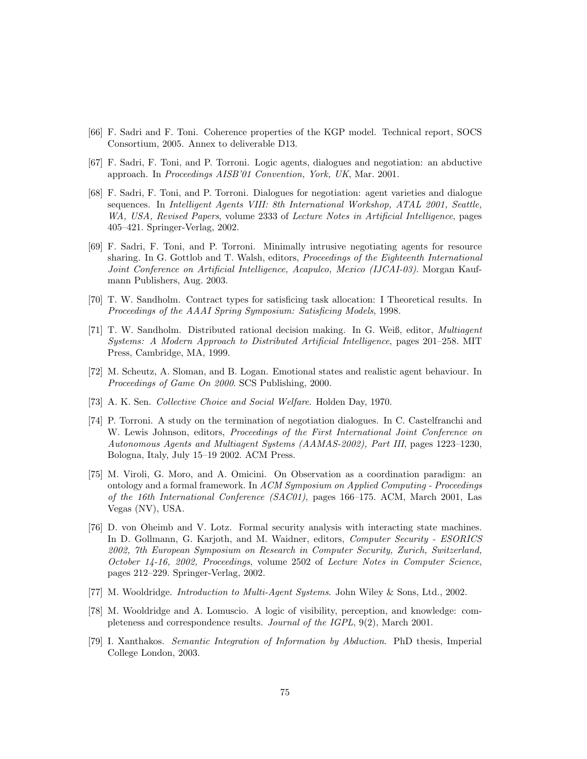- [66] F. Sadri and F. Toni. Coherence properties of the KGP model. Technical report, SOCS Consortium, 2005. Annex to deliverable D13.
- [67] F. Sadri, F. Toni, and P. Torroni. Logic agents, dialogues and negotiation: an abductive approach. In Proceedings AISB'01 Convention, York, UK, Mar. 2001.
- [68] F. Sadri, F. Toni, and P. Torroni. Dialogues for negotiation: agent varieties and dialogue sequences. In Intelligent Agents VIII: 8th International Workshop, ATAL 2001, Seattle, WA, USA, Revised Papers, volume 2333 of Lecture Notes in Artificial Intelligence, pages 405–421. Springer-Verlag, 2002.
- [69] F. Sadri, F. Toni, and P. Torroni. Minimally intrusive negotiating agents for resource sharing. In G. Gottlob and T. Walsh, editors, Proceedings of the Eighteenth International Joint Conference on Artificial Intelligence, Acapulco, Mexico (IJCAI-03). Morgan Kaufmann Publishers, Aug. 2003.
- [70] T. W. Sandholm. Contract types for satisficing task allocation: I Theoretical results. In Proceedings of the AAAI Spring Symposium: Satisficing Models, 1998.
- [71] T. W. Sandholm. Distributed rational decision making. In G. Weiß, editor, Multiagent Systems: A Modern Approach to Distributed Artificial Intelligence, pages 201–258. MIT Press, Cambridge, MA, 1999.
- [72] M. Scheutz, A. Sloman, and B. Logan. Emotional states and realistic agent behaviour. In Proceedings of Game On 2000. SCS Publishing, 2000.
- [73] A. K. Sen. Collective Choice and Social Welfare. Holden Day, 1970.
- [74] P. Torroni. A study on the termination of negotiation dialogues. In C. Castelfranchi and W. Lewis Johnson, editors, Proceedings of the First International Joint Conference on Autonomous Agents and Multiagent Systems (AAMAS-2002), Part III, pages 1223–1230, Bologna, Italy, July 15–19 2002. ACM Press.
- [75] M. Viroli, G. Moro, and A. Omicini. On Observation as a coordination paradigm: an ontology and a formal framework. In ACM Symposium on Applied Computing - Proceedings of the 16th International Conference (SAC01), pages 166–175. ACM, March 2001, Las Vegas (NV), USA.
- [76] D. von Oheimb and V. Lotz. Formal security analysis with interacting state machines. In D. Gollmann, G. Karjoth, and M. Waidner, editors, Computer Security - ESORICS 2002, 7th European Symposium on Research in Computer Security, Zurich, Switzerland, October 14-16, 2002, Proceedings, volume 2502 of Lecture Notes in Computer Science, pages 212–229. Springer-Verlag, 2002.
- [77] M. Wooldridge. Introduction to Multi-Agent Systems. John Wiley & Sons, Ltd., 2002.
- [78] M. Wooldridge and A. Lomuscio. A logic of visibility, perception, and knowledge: completeness and correspondence results. Journal of the IGPL, 9(2), March 2001.
- [79] I. Xanthakos. Semantic Integration of Information by Abduction. PhD thesis, Imperial College London, 2003.